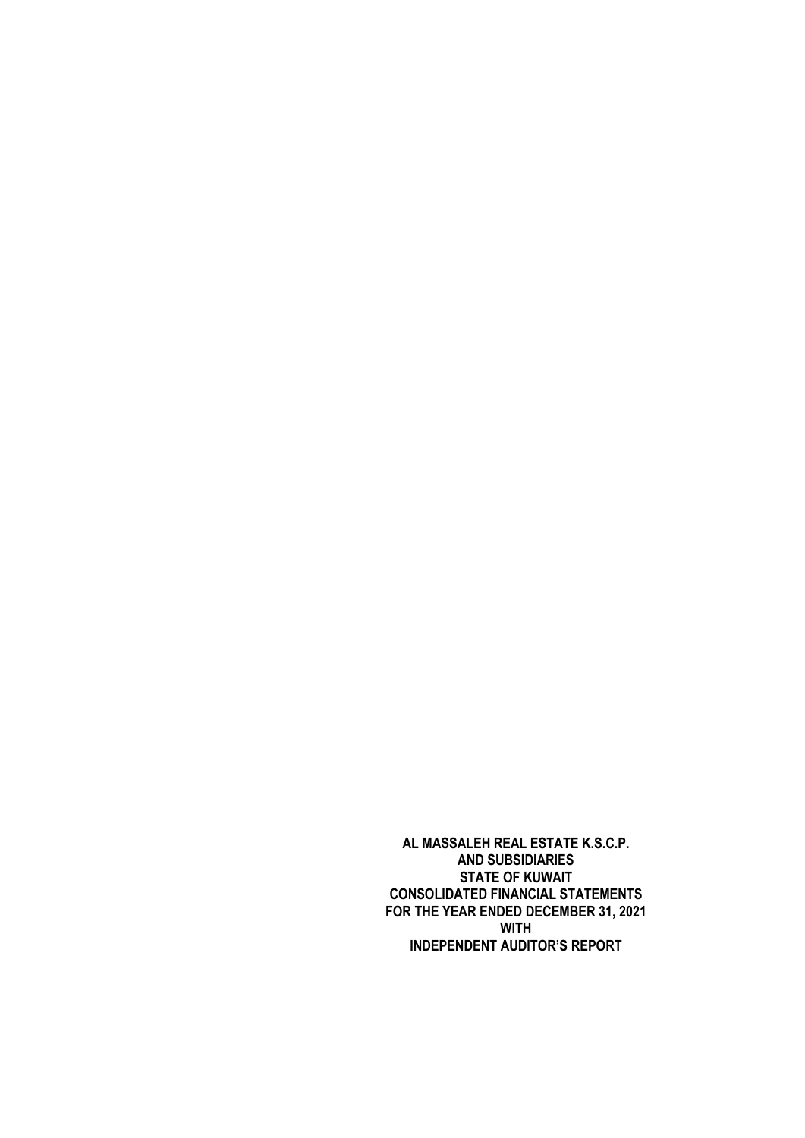**AL MASSALEH REAL ESTATE K.S.C.P. AND SUBSIDIARIES STATE OF KUWAIT CONSOLIDATED FINANCIAL STATEMENTS FOR THE YEAR ENDED DECEMBER 31, 2021 WITH INDEPENDENT AUDITOR'S REPORT**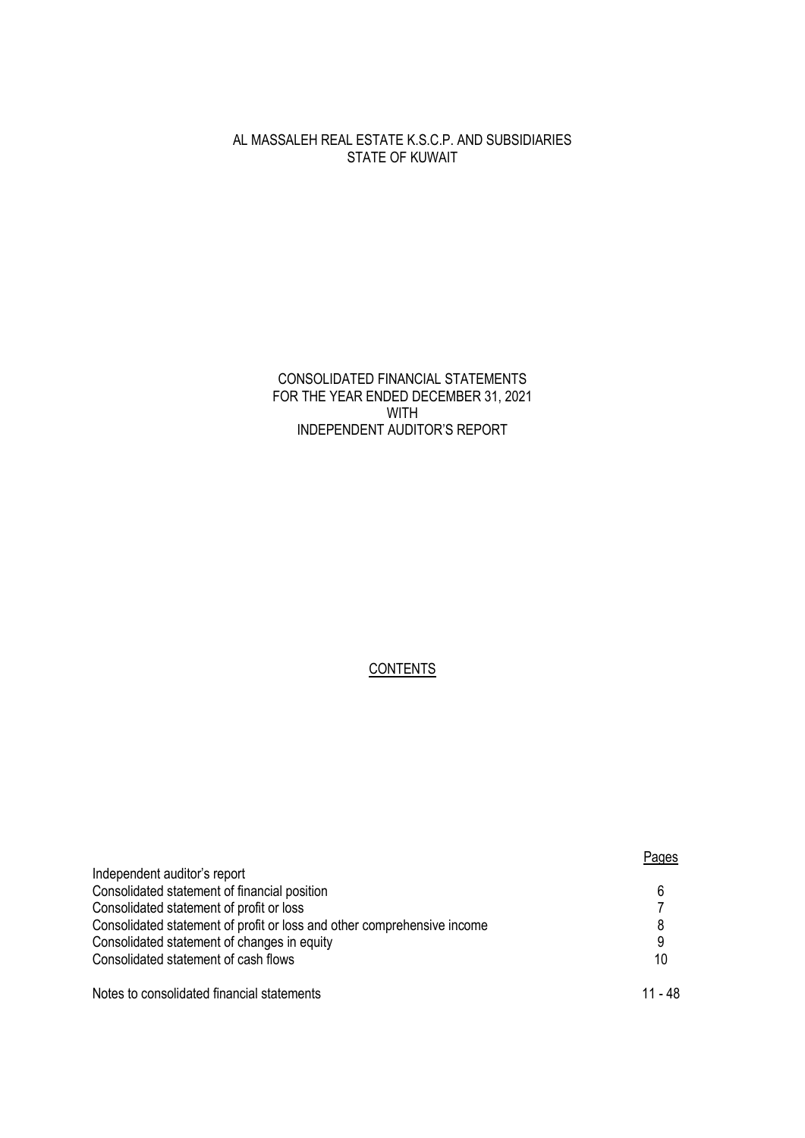## AL MASSALEH REAL ESTATE K.S.C.P. AND SUBSIDIARIES STATE OF KUWAIT

## CONSOLIDATED FINANCIAL STATEMENTS FOR THE YEAR ENDED DECEMBER 31, 2021 WITH INDEPENDENT AUDITOR'S REPORT

## **CONTENTS**

|                                                                         | Pages   |
|-------------------------------------------------------------------------|---------|
| Independent auditor's report                                            |         |
| Consolidated statement of financial position                            | 6       |
| Consolidated statement of profit or loss                                |         |
| Consolidated statement of profit or loss and other comprehensive income | 8       |
| Consolidated statement of changes in equity                             | 9       |
| Consolidated statement of cash flows                                    | 10      |
| Notes to consolidated financial statements                              | 11 - 48 |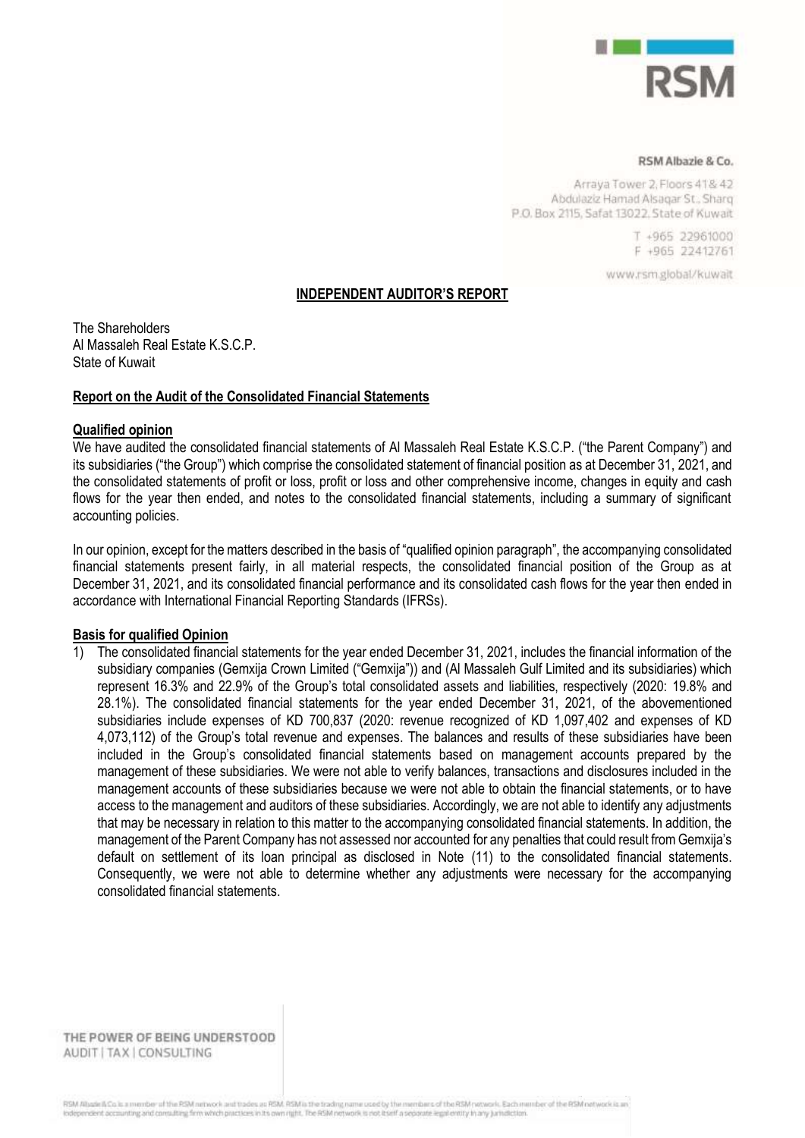

#### RSM Albazie & Co.

Arraya Tower 2, Floors 41& 42 Abdulaziz Hamad Alsagar St., Sharq P.O. Box 2115, Safat 13022, State of Kuwait

> T +965 22961000 F +965 22412761

www.rsm.global/kuwait

#### **INDEPENDENT AUDITOR'S REPORT**

The Shareholders Al Massaleh Real Estate K.S.C.P. State of Kuwait

## **Report on the Audit of the Consolidated Financial Statements**

#### **Qualified opinion**

We have audited the consolidated financial statements of Al Massaleh Real Estate K.S.C.P. ("the Parent Company") and its subsidiaries ("the Group") which comprise the consolidated statement of financial position as at December 31, 2021, and the consolidated statements of profit or loss, profit or loss and other comprehensive income, changes in equity and cash flows for the year then ended, and notes to the consolidated financial statements, including a summary of significant accounting policies.

In our opinion, except for the matters described in the basis of "qualified opinion paragraph", the accompanying consolidated financial statements present fairly, in all material respects, the consolidated financial position of the Group as at December 31, 2021, and its consolidated financial performance and its consolidated cash flows for the year then ended in accordance with International Financial Reporting Standards (IFRSs).

#### **Basis for qualified Opinion**

1) The consolidated financial statements for the year ended December 31, 2021, includes the financial information of the subsidiary companies (Gemxija Crown Limited ("Gemxija")) and (Al Massaleh Gulf Limited and its subsidiaries) which represent 16.3% and 22.9% of the Group's total consolidated assets and liabilities, respectively (2020: 19.8% and 28.1%). The consolidated financial statements for the year ended December 31, 2021, of the abovementioned subsidiaries include expenses of KD 700,837 (2020: revenue recognized of KD 1,097,402 and expenses of KD 4,073,112) of the Group's total revenue and expenses. The balances and results of these subsidiaries have been included in the Group's consolidated financial statements based on management accounts prepared by the management of these subsidiaries. We were not able to verify balances, transactions and disclosures included in the management accounts of these subsidiaries because we were not able to obtain the financial statements, or to have access to the management and auditors of these subsidiaries. Accordingly, we are not able to identify any adjustments that may be necessary in relation to this matter to the accompanying consolidated financial statements. In addition, the management of the Parent Company has not assessed nor accounted for any penalties that could result from Gemxija's default on settlement of its loan principal as disclosed in Note (11) to the consolidated financial statements. Consequently, we were not able to determine whether any adjustments were necessary for the accompanying consolidated financial statements.

THE POWER OF BEING UNDERSTOOD AUDIT | TAX | CONSULTING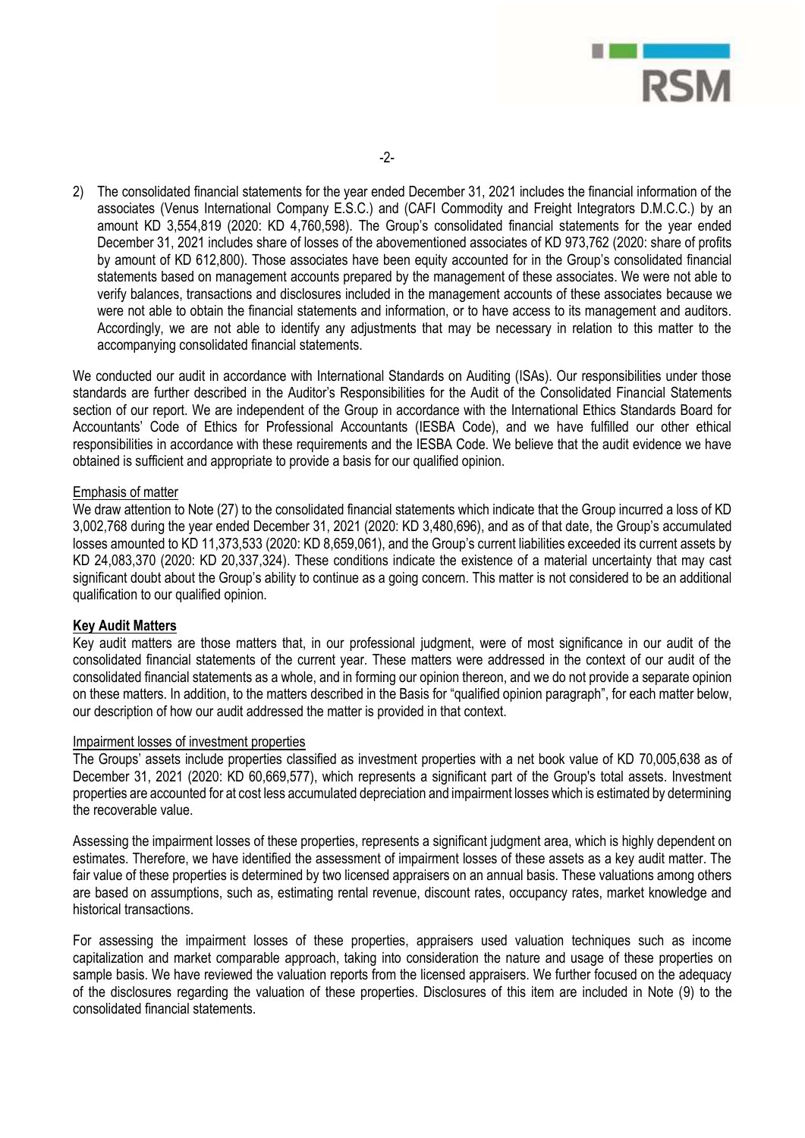

2) The consolidated financial statements for the year ended December 31, 2021 includes the financial information of the associates (Venus International Company E.S.C.) and (CAFI Commodity and Freight Integrators D.M.C.C.) by an amount KD 3,554,819 (2020: KD 4,760,598). The Group's consolidated financial statements for the year ended December 31, 2021 includes share of losses of the abovementioned associates of KD 973,762 (2020: share of profits by amount of KD 612,800). Those associates have been equity accounted for in the Group's consolidated financial statements based on management accounts prepared by the management of these associates. We were not able to verify balances, transactions and disclosures included in the management accounts of these associates because we were not able to obtain the financial statements and information, or to have access to its management and auditors. Accordingly, we are not able to identify any adjustments that may be necessary in relation to this matter to the accompanying consolidated financial statements.

We conducted our audit in accordance with International Standards on Auditing (ISAs). Our responsibilities under those standards are further described in the Auditor's Responsibilities for the Audit of the Consolidated Financial Statements section of our report. We are independent of the Group in accordance with the International Ethics Standards Board for Accountants' Code of Ethics for Professional Accountants (IESBA Code), and we have fulfilled our other ethical responsibilities in accordance with these requirements and the IESBA Code. We believe that the audit evidence we have obtained is sufficient and appropriate to provide a basis for our qualified opinion.

## Emphasis of matter

We draw attention to Note (27) to the consolidated financial statements which indicate that the Group incurred a loss of KD 3,002,768 during the year ended December 31, 2021 (2020: KD 3,480,696), and as of that date, the Group's accumulated losses amounted to KD 11,373,533 (2020: KD 8,659,061), and the Group's current liabilities exceeded its current assets by KD 24,083,370 (2020: KD 20,337,324). These conditions indicate the existence of a material uncertainty that may cast significant doubt about the Group's ability to continue as a going concern. This matter is not considered to be an additional qualification to our qualified opinion.

#### **Key Audit Matters**

Key audit matters are those matters that, in our professional judgment, were of most significance in our audit of the consolidated financial statements of the current year. These matters were addressed in the context of our audit of the consolidated financial statements as a whole, and in forming our opinion thereon, and we do not provide a separate opinion on these matters. In addition, to the matters described in the Basis for "qualified opinion paragraph", for each matter below, our description of how our audit addressed the matter is provided in that context.

#### Impairment losses of investment properties

The Groups' assets include properties classified as investment properties with a net book value of KD 70,005,638 as of December 31, 2021 (2020: KD 60,669,577), which represents a significant part of the Group's total assets. Investment properties are accounted for at cost less accumulated depreciation and impairment losses which is estimated by determining the recoverable value.

Assessing the impairment losses of these properties, represents a significant judgment area, which is highly dependent on estimates. Therefore, we have identified the assessment of impairment losses of these assets as a key audit matter. The fair value of these properties is determined by two licensed appraisers on an annual basis. These valuations among others are based on assumptions, such as, estimating rental revenue, discount rates, occupancy rates, market knowledge and historical transactions.

For assessing the impairment losses of these properties, appraisers used valuation techniques such as income capitalization and market comparable approach, taking into consideration the nature and usage of these properties on sample basis. We have reviewed the valuation reports from the licensed appraisers. We further focused on the adequacy of the disclosures regarding the valuation of these properties. Disclosures of this item are included in Note (9) to the consolidated financial statements.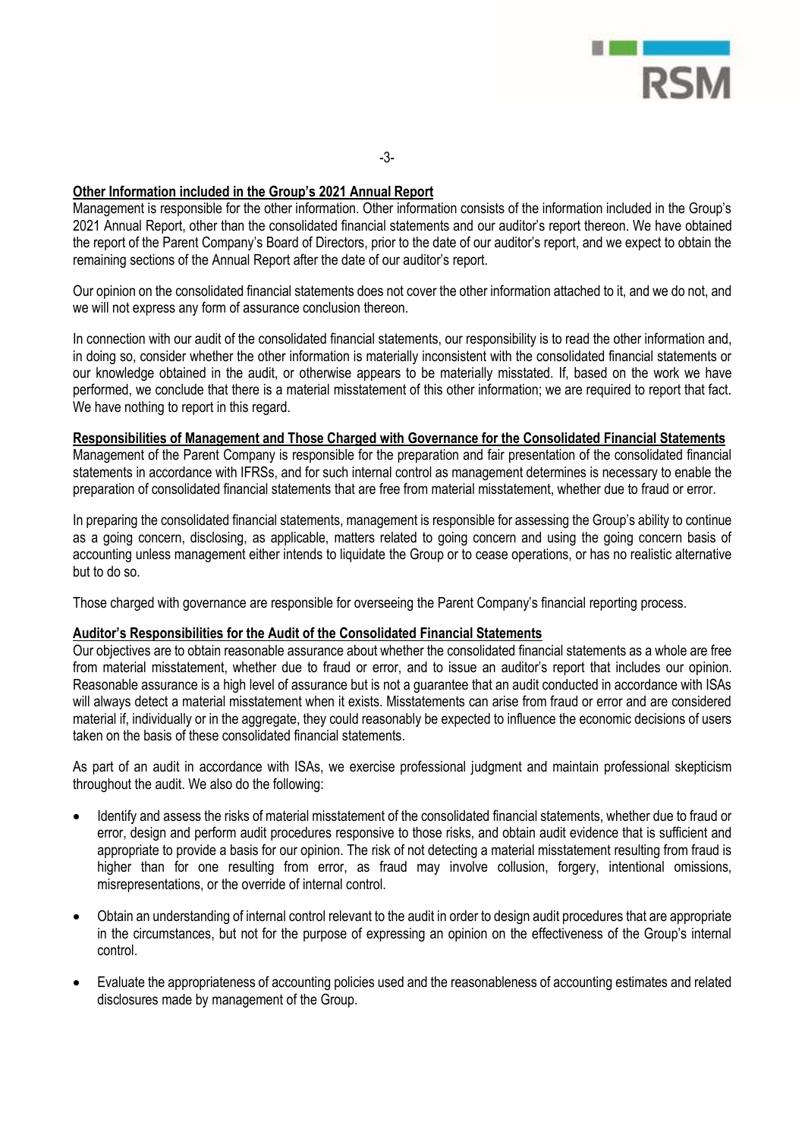

## **Other Information included in the Group's 2021 Annual Report**

Management is responsible for the other information. Other information consists of the information included in the Group's 2021 Annual Report, other than the consolidated financial statements and our auditor's report thereon. We have obtained the report of the Parent Company's Board of Directors, prior to the date of our auditor's report, and we expect to obtain the remaining sections of the Annual Report after the date of our auditor's report.

Our opinion on the consolidated financial statements does not cover the other information attached to it, and we do not, and we will not express any form of assurance conclusion thereon.

In connection with our audit of the consolidated financial statements, our responsibility is to read the other information and, in doing so, consider whether the other information is materially inconsistent with the consolidated financial statements or our knowledge obtained in the audit, or otherwise appears to be materially misstated. If, based on the work we have performed, we conclude that there is a material misstatement of this other information; we are required to report that fact. We have nothing to report in this regard.

#### **Responsibilities of Management and Those Charged with Governance for the Consolidated Financial Statements**

Management of the Parent Company is responsible for the preparation and fair presentation of the consolidated financial statements in accordance with IFRSs, and for such internal control as management determines is necessary to enable the preparation of consolidated financial statements that are free from material misstatement, whether due to fraud or error.

In preparing the consolidated financial statements, management is responsible for assessing the Group's ability to continue as a going concern, disclosing, as applicable, matters related to going concern and using the going concern basis of accounting unless management either intends to liquidate the Group or to cease operations, or has no realistic alternative but to do so.

Those charged with governance are responsible for overseeing the Parent Company's financial reporting process.

#### **Auditor's Responsibilities for the Audit of the Consolidated Financial Statements**

Our objectives are to obtain reasonable assurance about whether the consolidated financial statements as a whole are free from material misstatement, whether due to fraud or error, and to issue an auditor's report that includes our opinion. Reasonable assurance is a high level of assurance but is not a guarantee that an audit conducted in accordance with ISAs will always detect a material misstatement when it exists. Misstatements can arise from fraud or error and are considered material if, individually or in the aggregate, they could reasonably be expected to influence the economic decisions of users taken on the basis of these consolidated financial statements.

As part of an audit in accordance with ISAs, we exercise professional judgment and maintain professional skepticism throughout the audit. We also do the following:

- Identify and assess the risks of material misstatement of the consolidated financial statements, whether due to fraud or error, design and perform audit procedures responsive to those risks, and obtain audit evidence that is sufficient and appropriate to provide a basis for our opinion. The risk of not detecting a material misstatement resulting from fraud is higher than for one resulting from error, as fraud may involve collusion, forgery, intentional omissions, misrepresentations, or the override of internal control.
- Obtain an understanding of internal control relevant to the audit in order to design audit procedures that are appropriate in the circumstances, but not for the purpose of expressing an opinion on the effectiveness of the Group's internal control.
- Evaluate the appropriateness of accounting policies used and the reasonableness of accounting estimates and related disclosures made by management of the Group.

-3-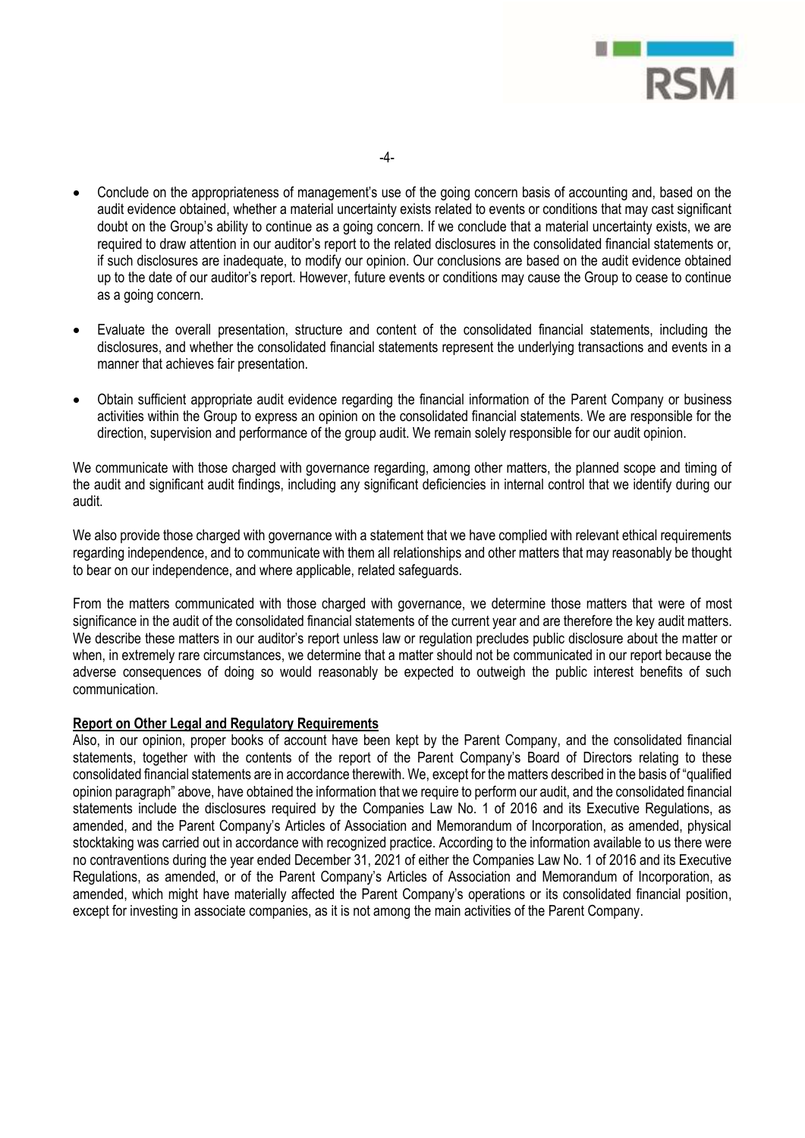

- Conclude on the appropriateness of management's use of the going concern basis of accounting and, based on the audit evidence obtained, whether a material uncertainty exists related to events or conditions that may cast significant doubt on the Group's ability to continue as a going concern. If we conclude that a material uncertainty exists, we are required to draw attention in our auditor's report to the related disclosures in the consolidated financial statements or, if such disclosures are inadequate, to modify our opinion. Our conclusions are based on the audit evidence obtained up to the date of our auditor's report. However, future events or conditions may cause the Group to cease to continue as a going concern.
- Evaluate the overall presentation, structure and content of the consolidated financial statements, including the disclosures, and whether the consolidated financial statements represent the underlying transactions and events in a manner that achieves fair presentation.
- Obtain sufficient appropriate audit evidence regarding the financial information of the Parent Company or business activities within the Group to express an opinion on the consolidated financial statements. We are responsible for the direction, supervision and performance of the group audit. We remain solely responsible for our audit opinion.

We communicate with those charged with governance regarding, among other matters, the planned scope and timing of the audit and significant audit findings, including any significant deficiencies in internal control that we identify during our audit.

We also provide those charged with governance with a statement that we have complied with relevant ethical requirements regarding independence, and to communicate with them all relationships and other matters that may reasonably be thought to bear on our independence, and where applicable, related safeguards.

From the matters communicated with those charged with governance, we determine those matters that were of most significance in the audit of the consolidated financial statements of the current year and are therefore the key audit matters. We describe these matters in our auditor's report unless law or regulation precludes public disclosure about the matter or when, in extremely rare circumstances, we determine that a matter should not be communicated in our report because the adverse consequences of doing so would reasonably be expected to outweigh the public interest benefits of such communication.

#### **Report on Other Legal and Regulatory Requirements**

Also, in our opinion, proper books of account have been kept by the Parent Company, and the consolidated financial statements, together with the contents of the report of the Parent Company's Board of Directors relating to these consolidated financial statements are in accordance therewith. We, except for the matters described in the basis of "qualified opinion paragraph" above, have obtained the information that we require to perform our audit, and the consolidated financial statements include the disclosures required by the Companies Law No. 1 of 2016 and its Executive Regulations, as amended, and the Parent Company's Articles of Association and Memorandum of Incorporation, as amended, physical stocktaking was carried out in accordance with recognized practice. According to the information available to us there were no contraventions during the year ended December 31, 2021 of either the Companies Law No. 1 of 2016 and its Executive Regulations, as amended, or of the Parent Company's Articles of Association and Memorandum of Incorporation, as amended, which might have materially affected the Parent Company's operations or its consolidated financial position, except for investing in associate companies, as it is not among the main activities of the Parent Company.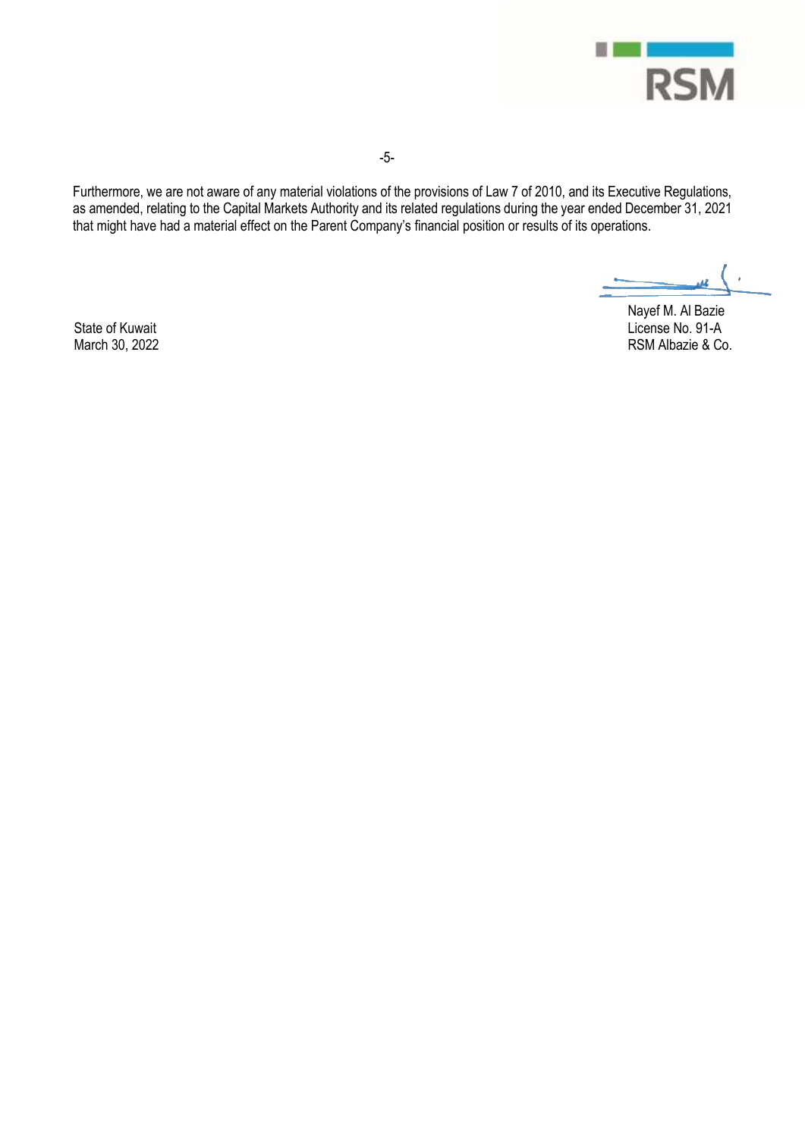

Furthermore, we are not aware of any material violations of the provisions of Law 7 of 2010, and its Executive Regulations, as amended, relating to the Capital Markets Authority and its related regulations during the year ended December 31, 2021 that might have had a material effect on the Parent Company's financial position or results of its operations.

Nayef M. Al Bazie State of Kuwait License No. 91-A March 30, 2022 RSM Albazie & Co.

-5-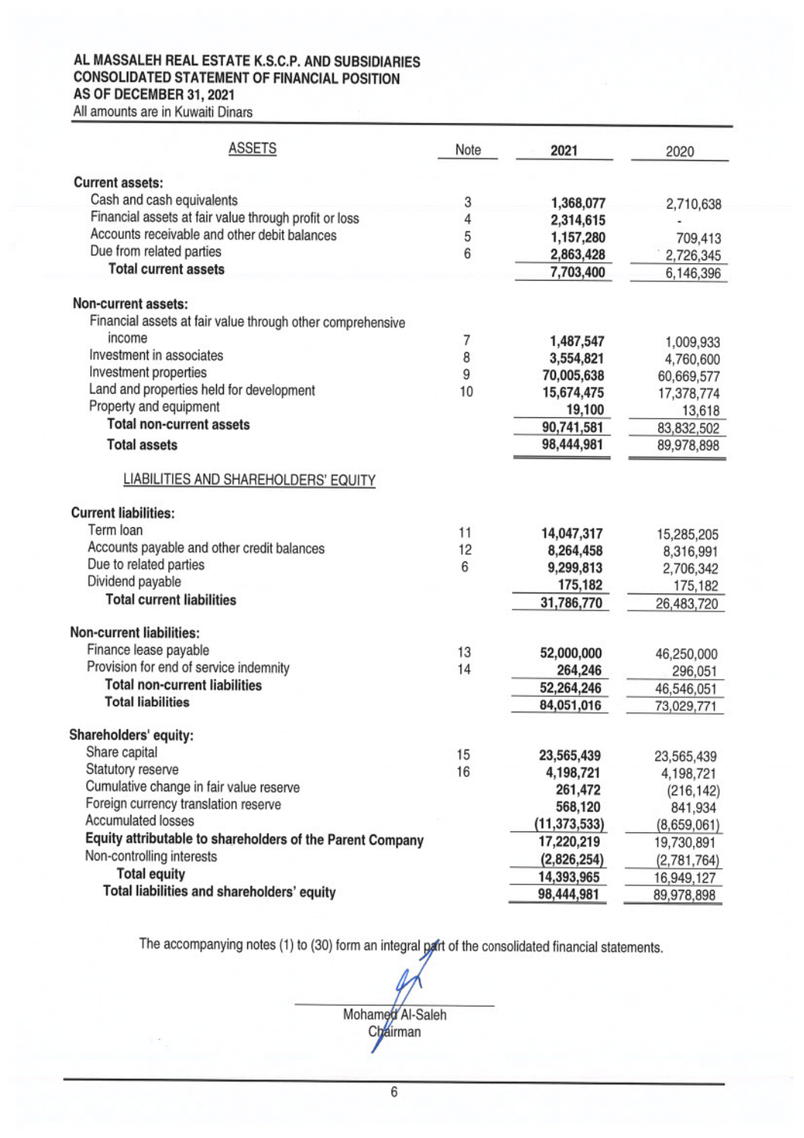# AL MASSALEH REAL ESTATE K.S.C.P. AND SUBSIDIARIES **CONSOLIDATED STATEMENT OF FINANCIAL POSITION** AS OF DECEMBER 31, 2021

All amounts are in Kuwaiti Dinars

| <b>ASSETS</b>                                              | Note | 2021           | 2020        |
|------------------------------------------------------------|------|----------------|-------------|
| <b>Current assets:</b>                                     |      |                |             |
| Cash and cash equivalents                                  | 3    | 1,368,077      | 2,710,638   |
| Financial assets at fair value through profit or loss      | 4    | 2,314,615      |             |
| Accounts receivable and other debit balances               | 5    | 1,157,280      | 709,413     |
| Due from related parties                                   | 6    | 2,863,428      | 2,726,345   |
| <b>Total current assets</b>                                |      | 7,703,400      | 6,146,396   |
|                                                            |      |                |             |
| Non-current assets:                                        |      |                |             |
| Financial assets at fair value through other comprehensive |      |                |             |
| income<br>Investment in associates                         | 7    | 1,487,547      | 1,009,933   |
|                                                            | 8    | 3,554,821      | 4,760,600   |
| Investment properties                                      | 9    | 70,005,638     | 60,669,577  |
| Land and properties held for development                   | 10   | 15,674,475     | 17,378,774  |
| Property and equipment<br><b>Total non-current assets</b>  |      | 19,100         | 13,618      |
|                                                            |      | 90,741,581     | 83,832,502  |
| <b>Total assets</b>                                        |      | 98,444,981     | 89,978,898  |
| LIABILITIES AND SHAREHOLDERS' EQUITY                       |      |                |             |
| <b>Current liabilities:</b>                                |      |                |             |
| Term Ioan                                                  | 11   | 14,047,317     | 15,285,205  |
| Accounts payable and other credit balances                 | 12   | 8,264,458      | 8,316,991   |
| Due to related parties                                     | 6    | 9,299,813      | 2,706,342   |
| Dividend payable                                           |      | 175,182        | 175,182     |
| <b>Total current liabilities</b>                           |      | 31,786,770     | 26,483,720  |
|                                                            |      |                |             |
| <b>Non-current liabilities:</b>                            |      |                |             |
| Finance lease payable                                      | 13   | 52,000,000     | 46,250,000  |
| Provision for end of service indemnity                     | 14   | 264,246        | 296,051     |
| <b>Total non-current liabilities</b>                       |      | 52,264,246     | 46,546,051  |
| <b>Total liabilities</b>                                   |      | 84,051,016     | 73,029,771  |
| Shareholders' equity:                                      |      |                |             |
| Share capital                                              | 15   | 23,565,439     | 23,565,439  |
| Statutory reserve                                          | 16   | 4,198,721      | 4,198,721   |
| Cumulative change in fair value reserve                    |      | 261,472        | (216, 142)  |
| Foreign currency translation reserve                       |      | 568,120        | 841,934     |
| <b>Accumulated losses</b>                                  |      | (11, 373, 533) | (8,659,061) |
| Equity attributable to shareholders of the Parent Company  |      | 17,220,219     | 19,730,891  |
| Non-controlling interests                                  |      | (2,826,254)    | (2,781,764) |
| <b>Total equity</b>                                        |      | 14,393,965     | 16,949,127  |
| Total liabilities and shareholders' equity                 |      | 98,444,981     | 89,978,898  |

Mohamed Al-Saleh Chairman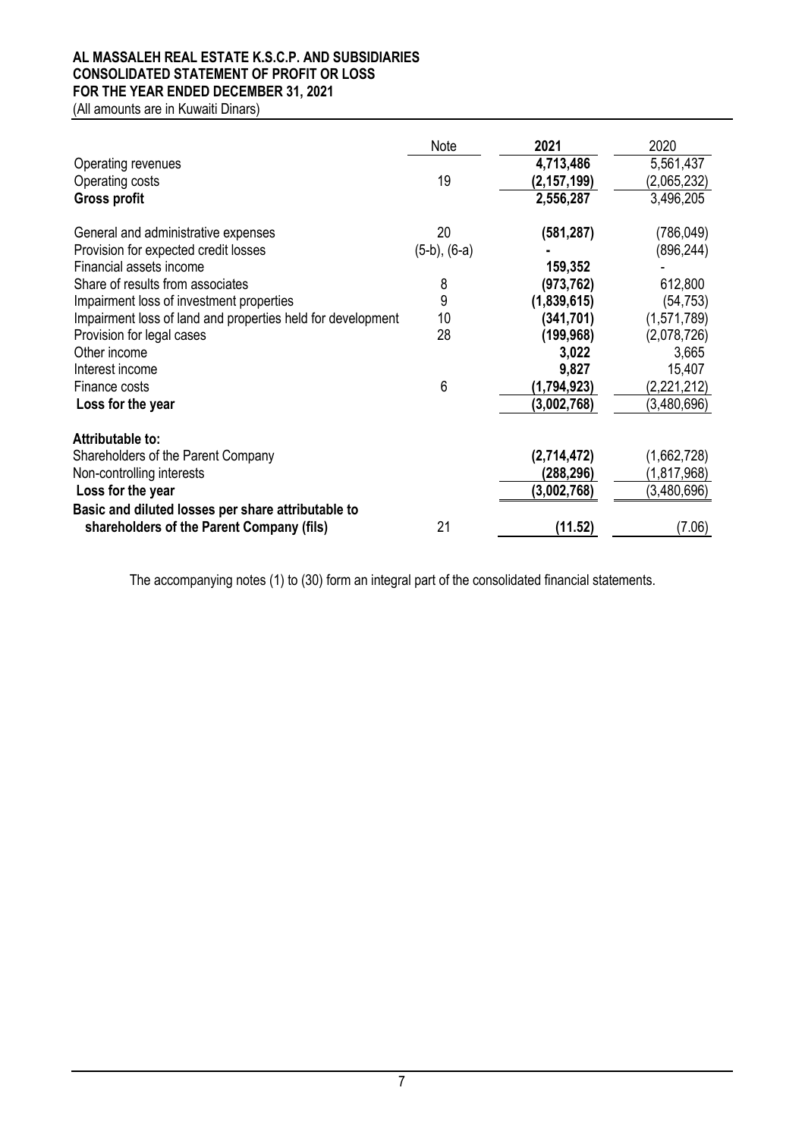## **AL MASSALEH REAL ESTATE K.S.C.P. AND SUBSIDIARIES CONSOLIDATED STATEMENT OF PROFIT OR LOSS FOR THE YEAR ENDED DECEMBER 31, 2021**

(All amounts are in Kuwaiti Dinars)

| Operating revenues<br>Operating costs<br>Gross profit                                                                                                                                                                                                                                                                                                       | Note<br>19                                         | 2021<br>4,713,486<br>(2,157,199)<br>2,556,287                                                                                  | 2020<br>5,561,437<br>(2,065,232)<br>3,496,205                                                                                   |
|-------------------------------------------------------------------------------------------------------------------------------------------------------------------------------------------------------------------------------------------------------------------------------------------------------------------------------------------------------------|----------------------------------------------------|--------------------------------------------------------------------------------------------------------------------------------|---------------------------------------------------------------------------------------------------------------------------------|
| General and administrative expenses<br>Provision for expected credit losses<br>Financial assets income<br>Share of results from associates<br>Impairment loss of investment properties<br>Impairment loss of land and properties held for development<br>Provision for legal cases<br>Other income<br>Interest income<br>Finance costs<br>Loss for the year | 20<br>$(5-b)$ , $(6-a)$<br>8<br>9<br>10<br>28<br>6 | (581, 287)<br>159,352<br>(973, 762)<br>(1,839,615)<br>(341, 701)<br>(199, 968)<br>3,022<br>9,827<br>(1,794,923)<br>(3,002,768) | (786, 049)<br>(896, 244)<br>612,800<br>(54, 753)<br>(1,571,789)<br>(2,078,726)<br>3,665<br>15,407<br>(2,221,212)<br>(3,480,696) |
| Attributable to:<br>Shareholders of the Parent Company<br>Non-controlling interests<br>Loss for the year<br>Basic and diluted losses per share attributable to<br>shareholders of the Parent Company (fils)                                                                                                                                                 | 21                                                 | (2,714,472)<br>(288,296)<br>(3,002,768)<br>(11.52)                                                                             | (1,662,728)<br>(1,817,968)<br>(3,480,696)<br>(7.06)                                                                             |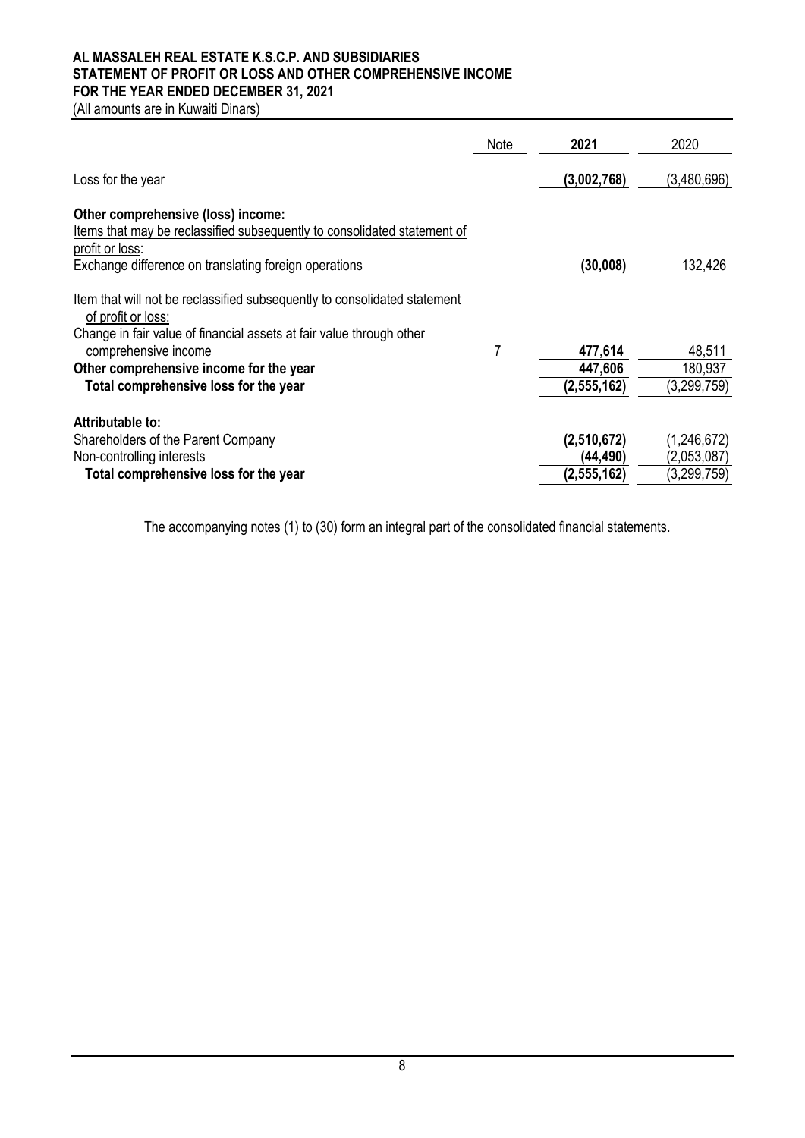## **AL MASSALEH REAL ESTATE K.S.C.P. AND SUBSIDIARIES STATEMENT OF PROFIT OR LOSS AND OTHER COMPREHENSIVE INCOME FOR THE YEAR ENDED DECEMBER 31, 2021**

(All amounts are in Kuwaiti Dinars)

|                                                                                                                                                                                                                                  | Note | 2021        | 2020        |
|----------------------------------------------------------------------------------------------------------------------------------------------------------------------------------------------------------------------------------|------|-------------|-------------|
| Loss for the year                                                                                                                                                                                                                |      | (3,002,768) | (3,480,696) |
| Other comprehensive (loss) income:<br>Items that may be reclassified subsequently to consolidated statement of<br>profit or loss:                                                                                                |      |             |             |
| Exchange difference on translating foreign operations<br>Item that will not be reclassified subsequently to consolidated statement<br>of profit or loss:<br>Change in fair value of financial assets at fair value through other |      | (30,008)    | 132,426     |
| comprehensive income                                                                                                                                                                                                             | 7    | 477,614     | 48,511      |
| Other comprehensive income for the year                                                                                                                                                                                          |      | 447,606     | 180,937     |
| Total comprehensive loss for the year                                                                                                                                                                                            |      | (2,555,162) | (3,299,759) |
| Attributable to:                                                                                                                                                                                                                 |      |             |             |
| Shareholders of the Parent Company                                                                                                                                                                                               |      | (2,510,672) | (1,246,672) |
| Non-controlling interests                                                                                                                                                                                                        |      | (44,490)    | (2,053,087) |
| Total comprehensive loss for the year                                                                                                                                                                                            |      | (2,555,162) | (3,299,759) |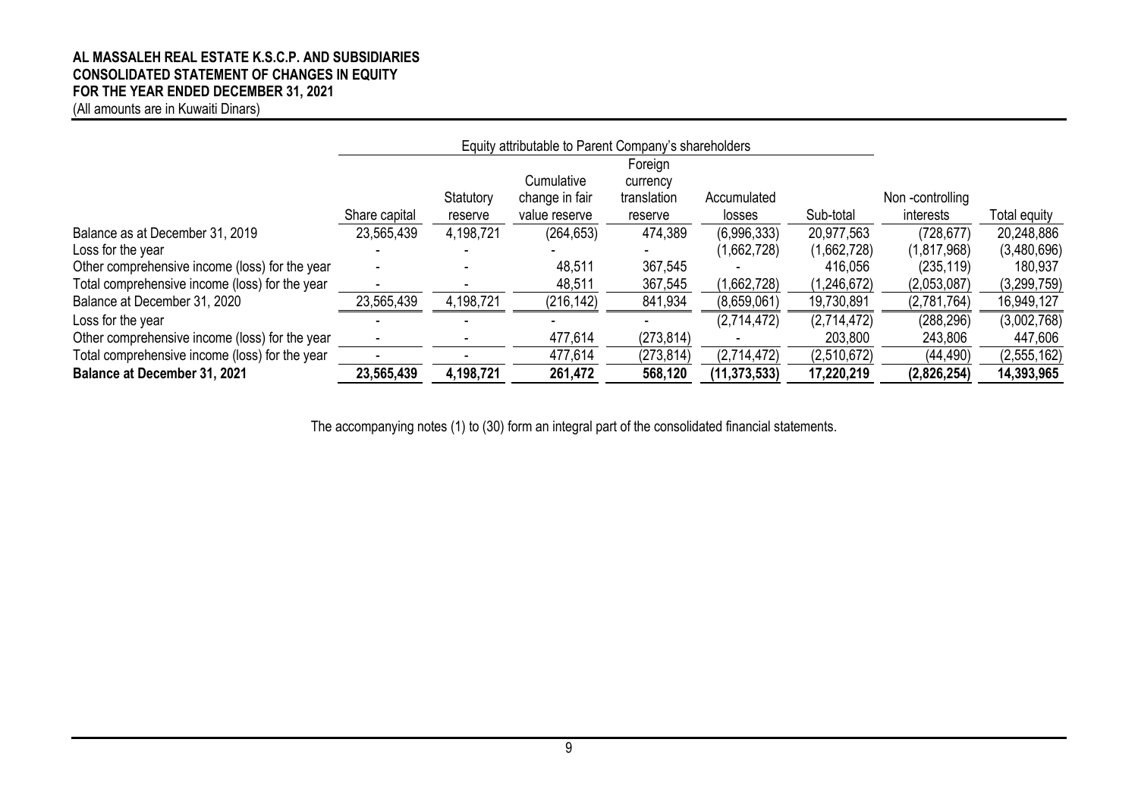## **AL MASSALEH REAL ESTATE K.S.C.P. AND SUBSIDIARIES CONSOLIDATED STATEMENT OF CHANGES IN EQUITY FOR THE YEAR ENDED DECEMBER 31, 2021**

(All amounts are in Kuwaiti Dinars)

| Equity attributable to Parent Company's shareholders |               |           |                |                     |                |               |                 |              |
|------------------------------------------------------|---------------|-----------|----------------|---------------------|----------------|---------------|-----------------|--------------|
|                                                      |               |           | Cumulative     | Foreign<br>currency |                |               |                 |              |
|                                                      |               | Statutory | change in fair | translation         | Accumulated    |               | Non-controlling |              |
|                                                      | Share capital | reserve   | value reserve  | reserve             | losses         | Sub-total     | interests       | Total equity |
| Balance as at December 31, 2019                      | 23,565,439    | 4,198,721 | (264, 653)     | 474,389             | (6,996,333)    | 20,977,563    | (728, 677)      | 20,248,886   |
| Loss for the year                                    |               |           |                |                     | (1,662,728)    | (1,662,728)   | (1,817,968)     | (3,480,696)  |
| Other comprehensive income (loss) for the year       |               |           | 48,511         | 367,545             |                | 416,056       | (235, 119)      | 180,937      |
| Total comprehensive income (loss) for the year       |               |           | 48,511         | 367,545             | (1,662,728)    | (1, 246, 672) | (2,053,087)     | (3,299,759)  |
| Balance at December 31, 2020                         | 23,565,439    | 4,198,721 | (216, 142)     | 841,934             | (8,659,061)    | 19,730,891    | (2,781,764)     | 16,949,127   |
| Loss for the year                                    |               |           |                |                     | (2,714,472)    | (2,714,472)   | (288, 296)      | (3,002,768)  |
| Other comprehensive income (loss) for the year       |               |           | 477,614        | (273, 814)          |                | 203,800       | 243,806         | 447,606      |
| Total comprehensive income (loss) for the year       |               |           | 477,614        | (273, 814)          | (2,714,472)    | (2,510,672)   | (44, 490)       | (2,555,162)  |
| <b>Balance at December 31, 2021</b>                  | 23,565,439    | 4,198,721 | 261,472        | 568,120             | (11, 373, 533) | 17,220,219    | (2,826,254)     | 14,393,965   |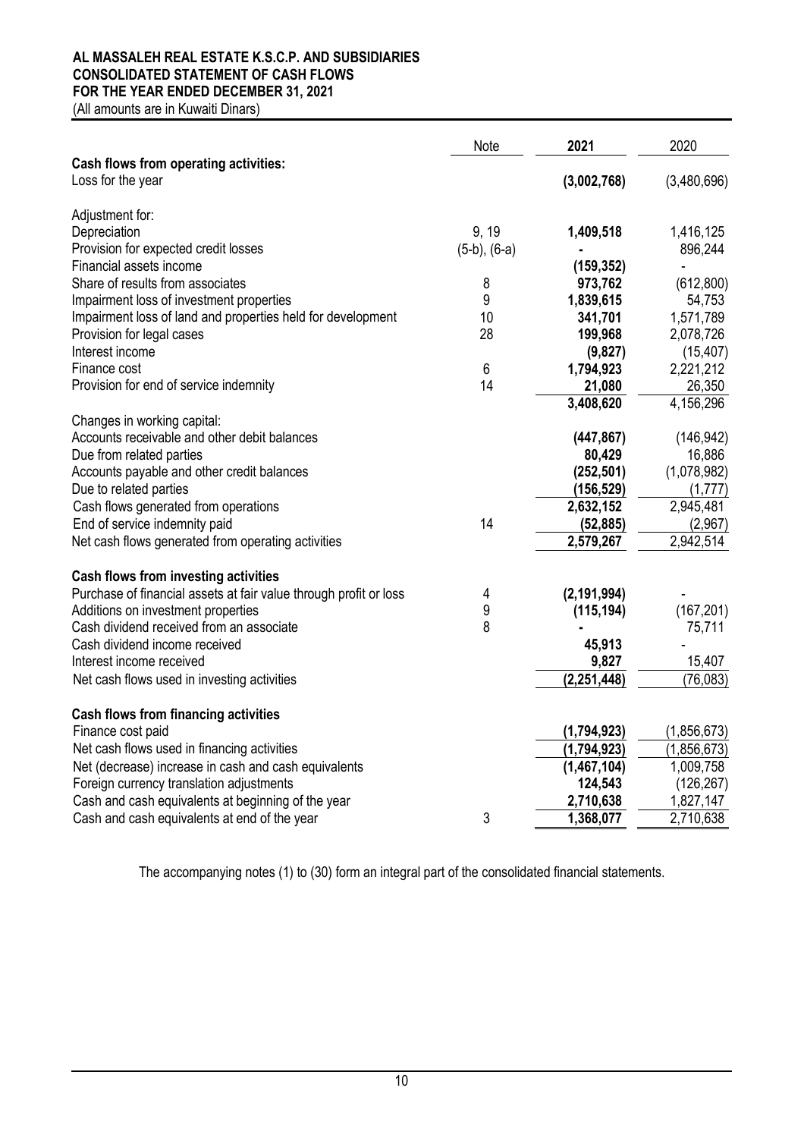## **AL MASSALEH REAL ESTATE K.S.C.P. AND SUBSIDIARIES CONSOLIDATED STATEMENT OF CASH FLOWS FOR THE YEAR ENDED DECEMBER 31, 2021**

(All amounts are in Kuwaiti Dinars)

|                                                                                | Note           | 2021                     | 2020        |
|--------------------------------------------------------------------------------|----------------|--------------------------|-------------|
| Cash flows from operating activities:                                          |                |                          |             |
| Loss for the year                                                              |                | (3,002,768)              | (3,480,696) |
| Adjustment for:                                                                |                |                          |             |
| Depreciation                                                                   | 9, 19          | 1,409,518                | 1,416,125   |
| Provision for expected credit losses                                           | $(5-b), (6-a)$ |                          | 896,244     |
| Financial assets income                                                        |                | (159, 352)               |             |
| Share of results from associates                                               | 8              | 973,762                  | (612,800)   |
| Impairment loss of investment properties                                       | 9              | 1,839,615                | 54,753      |
| Impairment loss of land and properties held for development                    | 10             | 341,701                  | 1,571,789   |
| Provision for legal cases                                                      | 28             | 199,968                  | 2,078,726   |
| Interest income                                                                |                | (9,827)                  | (15, 407)   |
| Finance cost                                                                   | 6              | 1,794,923                | 2,221,212   |
| Provision for end of service indemnity                                         | 14             | 21,080                   | 26,350      |
|                                                                                |                | 3,408,620                | 4,156,296   |
| Changes in working capital:<br>Accounts receivable and other debit balances    |                | (447, 867)               | (146, 942)  |
| Due from related parties                                                       |                | 80,429                   | 16,886      |
| Accounts payable and other credit balances                                     |                | (252, 501)               | (1,078,982) |
| Due to related parties                                                         |                | (156, 529)               | (1,777)     |
| Cash flows generated from operations                                           |                | 2,632,152                | 2,945,481   |
| End of service indemnity paid                                                  | 14             | (52, 885)                | (2,967)     |
| Net cash flows generated from operating activities                             |                | 2,579,267                | 2,942,514   |
|                                                                                |                |                          |             |
| Cash flows from investing activities                                           |                |                          |             |
| Purchase of financial assets at fair value through profit or loss              | 4              | (2, 191, 994)            |             |
| Additions on investment properties<br>Cash dividend received from an associate | 9<br>8         | (115, 194)               | (167, 201)  |
|                                                                                |                |                          | 75,711      |
| Cash dividend income received<br>Interest income received                      |                | 45,913                   |             |
|                                                                                |                | 9,827                    | 15,407      |
| Net cash flows used in investing activities                                    |                | $\overline{(2,251,448)}$ | (76, 083)   |
| <b>Cash flows from financing activities</b>                                    |                |                          |             |
| Finance cost paid                                                              |                | (1,794,923)              | (1,856,673) |
| Net cash flows used in financing activities                                    |                | (1,794,923)              | (1,856,673) |
| Net (decrease) increase in cash and cash equivalents                           |                | (1,467,104)              | 1,009,758   |
| Foreign currency translation adjustments                                       |                | 124,543                  | (126, 267)  |
| Cash and cash equivalents at beginning of the year                             |                | 2,710,638                | 1,827,147   |
| Cash and cash equivalents at end of the year                                   | 3              | 1,368,077                | 2,710,638   |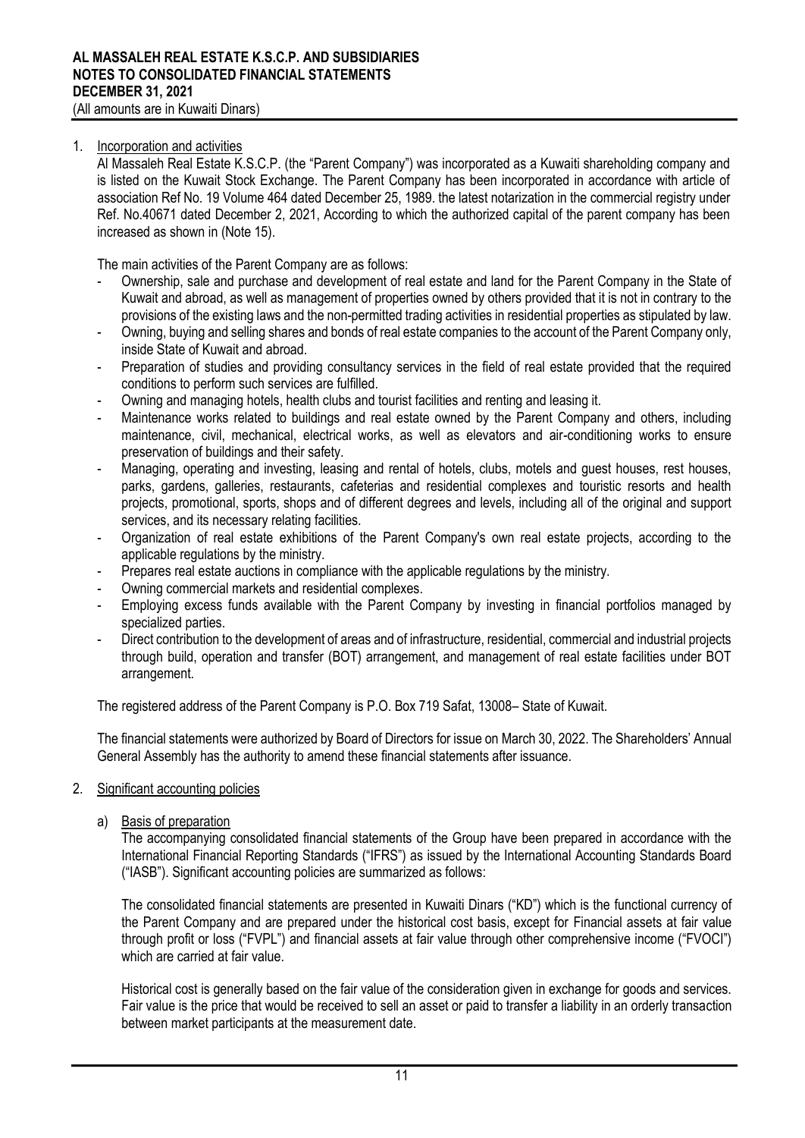## 1. Incorporation and activities

Al Massaleh Real Estate K.S.C.P. (the "Parent Company") was incorporated as a Kuwaiti shareholding company and is listed on the Kuwait Stock Exchange. The Parent Company has been incorporated in accordance with article of association Ref No. 19 Volume 464 dated December 25, 1989. the latest notarization in the commercial registry under Ref. No.40671 dated December 2, 2021, According to which the authorized capital of the parent company has been increased as shown in (Note 15).

The main activities of the Parent Company are as follows:

- Ownership, sale and purchase and development of real estate and land for the Parent Company in the State of Kuwait and abroad, as well as management of properties owned by others provided that it is not in contrary to the provisions of the existing laws and the non-permitted trading activities in residential properties as stipulated by law.
- Owning, buying and selling shares and bonds of real estate companies to the account of the Parent Company only, inside State of Kuwait and abroad.
- Preparation of studies and providing consultancy services in the field of real estate provided that the required conditions to perform such services are fulfilled.
- Owning and managing hotels, health clubs and tourist facilities and renting and leasing it.
- Maintenance works related to buildings and real estate owned by the Parent Company and others, including maintenance, civil, mechanical, electrical works, as well as elevators and air-conditioning works to ensure preservation of buildings and their safety.
- Managing, operating and investing, leasing and rental of hotels, clubs, motels and guest houses, rest houses, parks, gardens, galleries, restaurants, cafeterias and residential complexes and touristic resorts and health projects, promotional, sports, shops and of different degrees and levels, including all of the original and support services, and its necessary relating facilities.
- Organization of real estate exhibitions of the Parent Company's own real estate projects, according to the applicable regulations by the ministry.
- Prepares real estate auctions in compliance with the applicable regulations by the ministry.
- Owning commercial markets and residential complexes.
- Employing excess funds available with the Parent Company by investing in financial portfolios managed by specialized parties.
- Direct contribution to the development of areas and of infrastructure, residential, commercial and industrial projects through build, operation and transfer (BOT) arrangement, and management of real estate facilities under BOT arrangement.

The registered address of the Parent Company is P.O. Box 719 Safat, 13008– State of Kuwait.

The financial statements were authorized by Board of Directors for issue on March 30, 2022. The Shareholders' Annual General Assembly has the authority to amend these financial statements after issuance.

#### 2. Significant accounting policies

a) Basis of preparation

The accompanying consolidated financial statements of the Group have been prepared in accordance with the International Financial Reporting Standards ("IFRS") as issued by the International Accounting Standards Board ("IASB"). Significant accounting policies are summarized as follows:

The consolidated financial statements are presented in Kuwaiti Dinars ("KD") which is the functional currency of the Parent Company and are prepared under the historical cost basis, except for Financial assets at fair value through profit or loss ("FVPL") and financial assets at fair value through other comprehensive income ("FVOCI") which are carried at fair value.

Historical cost is generally based on the fair value of the consideration given in exchange for goods and services. Fair value is the price that would be received to sell an asset or paid to transfer a liability in an orderly transaction between market participants at the measurement date.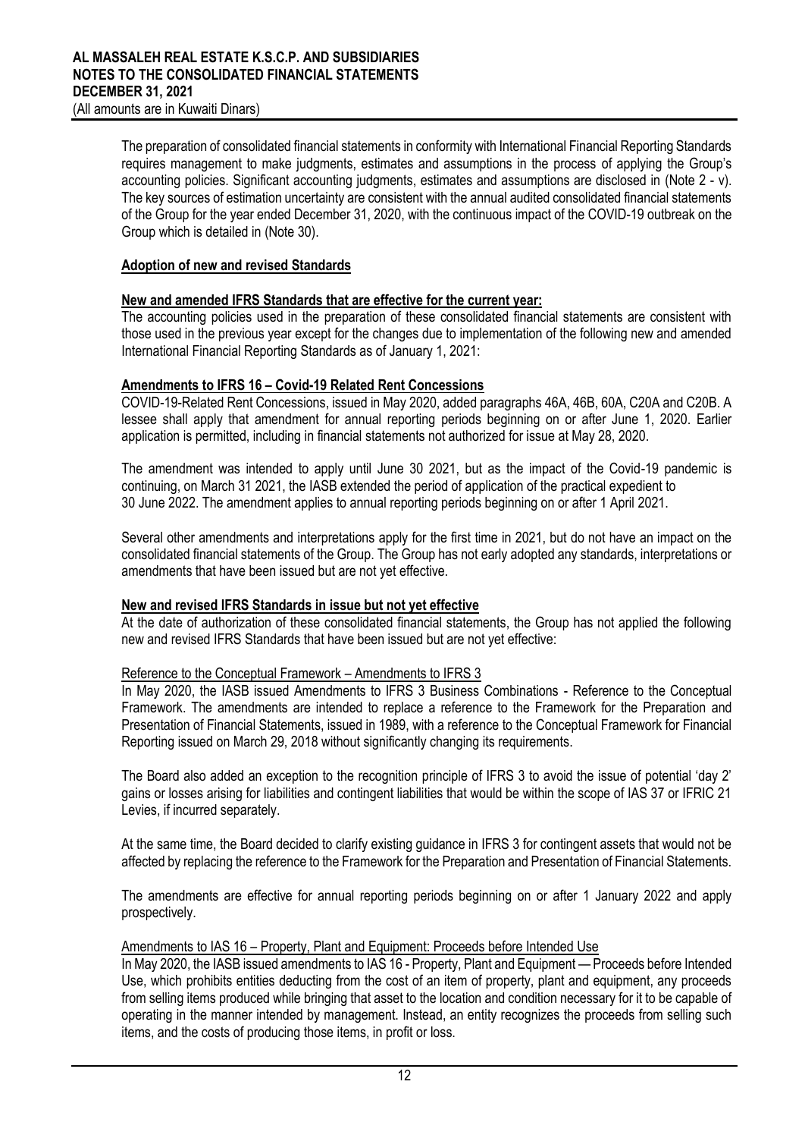The preparation of consolidated financial statements in conformity with International Financial Reporting Standards requires management to make judgments, estimates and assumptions in the process of applying the Group's accounting policies. Significant accounting judgments, estimates and assumptions are disclosed in (Note 2 - v). The key sources of estimation uncertainty are consistent with the annual audited consolidated financial statements of the Group for the year ended December 31, 2020, with the continuous impact of the COVID-19 outbreak on the Group which is detailed in (Note 30).

## **Adoption of new and revised Standards**

## **New and amended IFRS Standards that are effective for the current year:**

The accounting policies used in the preparation of these consolidated financial statements are consistent with those used in the previous year except for the changes due to implementation of the following new and amended International Financial Reporting Standards as of January 1, 2021:

## **Amendments to IFRS 16 – Covid-19 Related Rent Concessions**

COVID-19-Related Rent Concessions, issued in May 2020, added paragraphs 46A, 46B, 60A, C20A and C20B. A lessee shall apply that amendment for annual reporting periods beginning on or after June 1, 2020. Earlier application is permitted, including in financial statements not authorized for issue at May 28, 2020.

The amendment was intended to apply until June 30 2021, but as the impact of the Covid-19 pandemic is continuing, on March 31 2021, the IASB extended the period of application of the practical expedient to 30 June 2022. The amendment applies to annual reporting periods beginning on or after 1 April 2021.

Several other amendments and interpretations apply for the first time in 2021, but do not have an impact on the consolidated financial statements of the Group. The Group has not early adopted any standards, interpretations or amendments that have been issued but are not yet effective.

#### **New and revised IFRS Standards in issue but not yet effective**

At the date of authorization of these consolidated financial statements, the Group has not applied the following new and revised IFRS Standards that have been issued but are not yet effective:

#### Reference to the Conceptual Framework – Amendments to IFRS 3

In May 2020, the IASB issued Amendments to IFRS 3 Business Combinations - Reference to the Conceptual Framework. The amendments are intended to replace a reference to the Framework for the Preparation and Presentation of Financial Statements, issued in 1989, with a reference to the Conceptual Framework for Financial Reporting issued on March 29, 2018 without significantly changing its requirements.

The Board also added an exception to the recognition principle of IFRS 3 to avoid the issue of potential 'day 2' gains or losses arising for liabilities and contingent liabilities that would be within the scope of IAS 37 or IFRIC 21 Levies, if incurred separately.

At the same time, the Board decided to clarify existing guidance in IFRS 3 for contingent assets that would not be affected by replacing the reference to the Framework for the Preparation and Presentation of Financial Statements.

The amendments are effective for annual reporting periods beginning on or after 1 January 2022 and apply prospectively.

#### Amendments to IAS 16 – Property, Plant and Equipment: Proceeds before Intended Use

In May 2020, the IASB issued amendments to IAS 16 - Property, Plant and Equipment — Proceeds before Intended Use, which prohibits entities deducting from the cost of an item of property, plant and equipment, any proceeds from selling items produced while bringing that asset to the location and condition necessary for it to be capable of operating in the manner intended by management. Instead, an entity recognizes the proceeds from selling such items, and the costs of producing those items, in profit or loss.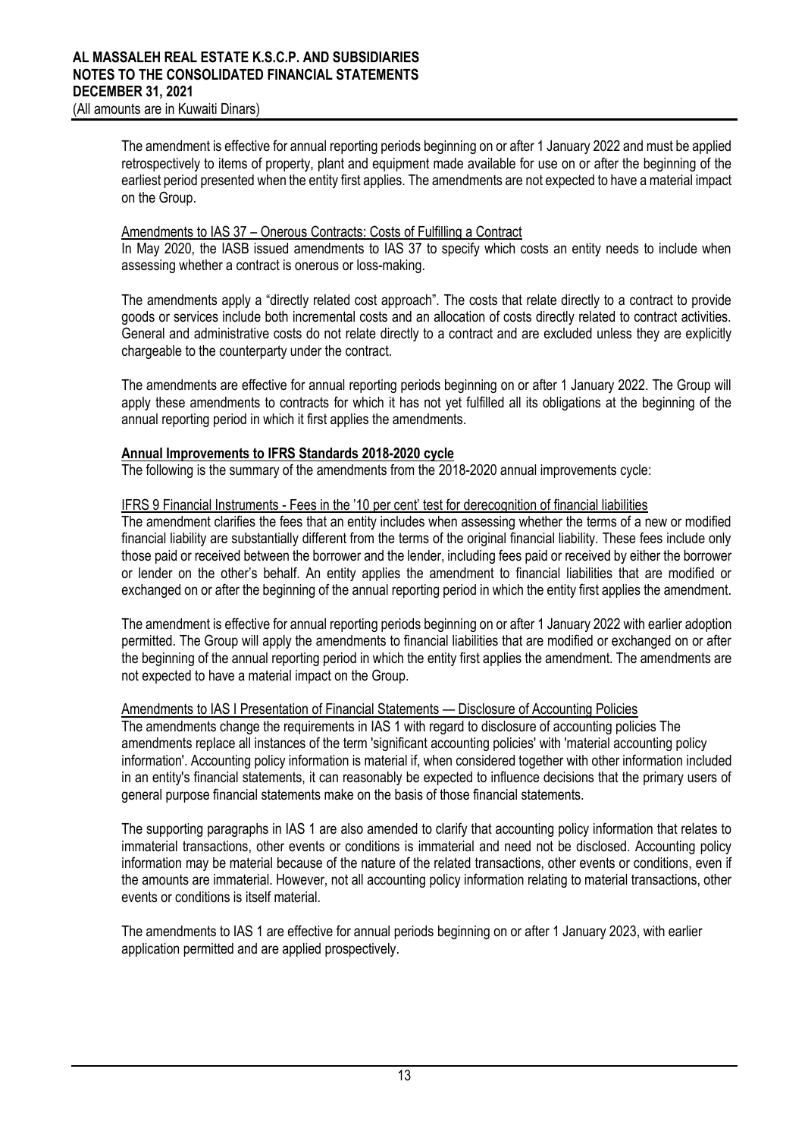The amendment is effective for annual reporting periods beginning on or after 1 January 2022 and must be applied retrospectively to items of property, plant and equipment made available for use on or after the beginning of the earliest period presented when the entity first applies. The amendments are not expected to have a material impact on the Group.

## Amendments to IAS 37 – Onerous Contracts: Costs of Fulfilling a Contract

In May 2020, the IASB issued amendments to IAS 37 to specify which costs an entity needs to include when assessing whether a contract is onerous or loss-making.

The amendments apply a "directly related cost approach". The costs that relate directly to a contract to provide goods or services include both incremental costs and an allocation of costs directly related to contract activities. General and administrative costs do not relate directly to a contract and are excluded unless they are explicitly chargeable to the counterparty under the contract.

The amendments are effective for annual reporting periods beginning on or after 1 January 2022. The Group will apply these amendments to contracts for which it has not yet fulfilled all its obligations at the beginning of the annual reporting period in which it first applies the amendments.

## **Annual Improvements to IFRS Standards 2018-2020 cycle**

The following is the summary of the amendments from the 2018-2020 annual improvements cycle:

## IFRS 9 Financial Instruments - Fees in the '10 per cent' test for derecognition of financial liabilities

The amendment clarifies the fees that an entity includes when assessing whether the terms of a new or modified financial liability are substantially different from the terms of the original financial liability. These fees include only those paid or received between the borrower and the lender, including fees paid or received by either the borrower or lender on the other's behalf. An entity applies the amendment to financial liabilities that are modified or exchanged on or after the beginning of the annual reporting period in which the entity first applies the amendment.

The amendment is effective for annual reporting periods beginning on or after 1 January 2022 with earlier adoption permitted. The Group will apply the amendments to financial liabilities that are modified or exchanged on or after the beginning of the annual reporting period in which the entity first applies the amendment. The amendments are not expected to have a material impact on the Group.

#### Amendments to IAS I Presentation of Financial Statements — Disclosure of Accounting Policies

The amendments change the requirements in IAS 1 with regard to disclosure of accounting policies The amendments replace all instances of the term 'significant accounting policies' with 'material accounting policy information'. Accounting policy information is material if, when considered together with other information included in an entity's financial statements, it can reasonably be expected to influence decisions that the primary users of general purpose financial statements make on the basis of those financial statements.

The supporting paragraphs in IAS 1 are also amended to clarify that accounting policy information that relates to immaterial transactions, other events or conditions is immaterial and need not be disclosed. Accounting policy information may be material because of the nature of the related transactions, other events or conditions, even if the amounts are immaterial. However, not all accounting policy information relating to material transactions, other events or conditions is itself material

The amendments to IAS 1 are effective for annual periods beginning on or after 1 January 2023, with earlier application permitted and are applied prospectively.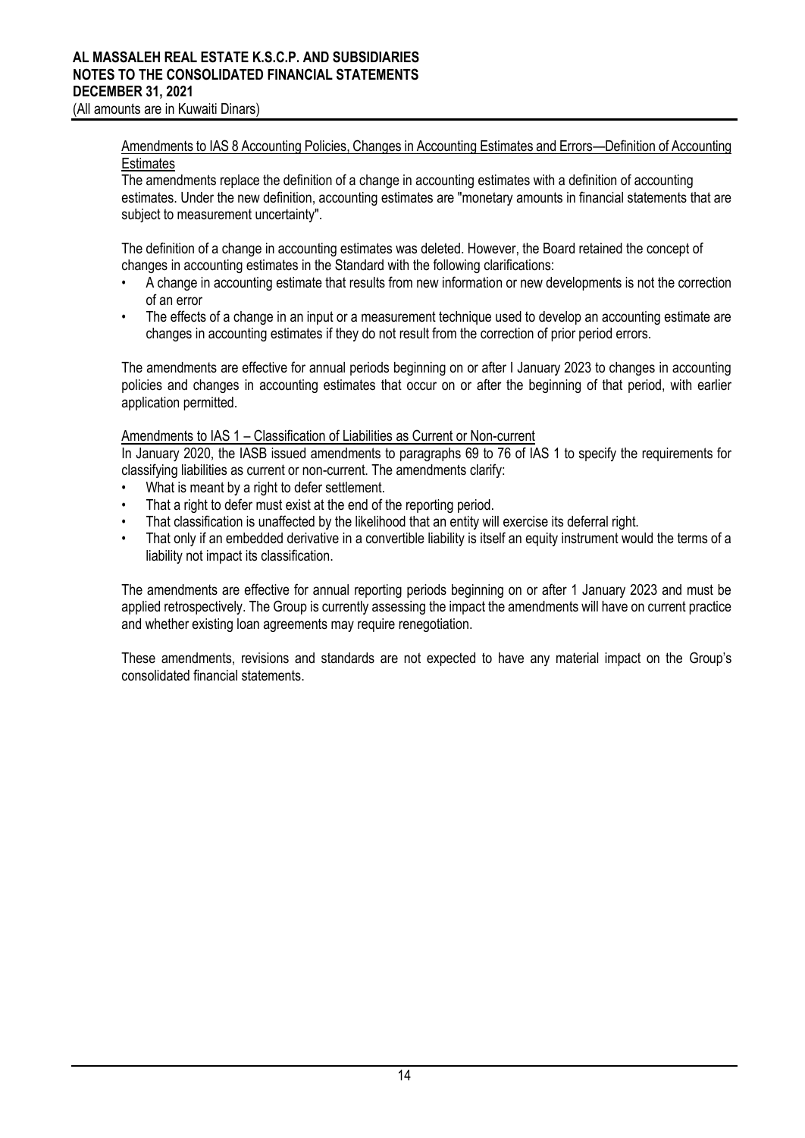## Amendments to IAS 8 Accounting Policies, Changes in Accounting Estimates and Errors—Definition of Accounting **Estimates**

The amendments replace the definition of a change in accounting estimates with a definition of accounting estimates. Under the new definition, accounting estimates are "monetary amounts in financial statements that are subject to measurement uncertainty".

The definition of a change in accounting estimates was deleted. However, the Board retained the concept of changes in accounting estimates in the Standard with the following clarifications:

- A change in accounting estimate that results from new information or new developments is not the correction of an error
- The effects of a change in an input or a measurement technique used to develop an accounting estimate are changes in accounting estimates if they do not result from the correction of prior period errors.

The amendments are effective for annual periods beginning on or after I January 2023 to changes in accounting policies and changes in accounting estimates that occur on or after the beginning of that period, with earlier application permitted.

## Amendments to IAS 1 – Classification of Liabilities as Current or Non-current

In January 2020, the IASB issued amendments to paragraphs 69 to 76 of IAS 1 to specify the requirements for classifying liabilities as current or non-current. The amendments clarify:

- What is meant by a right to defer settlement.
- That a right to defer must exist at the end of the reporting period.
- That classification is unaffected by the likelihood that an entity will exercise its deferral right.
- That only if an embedded derivative in a convertible liability is itself an equity instrument would the terms of a liability not impact its classification.

The amendments are effective for annual reporting periods beginning on or after 1 January 2023 and must be applied retrospectively. The Group is currently assessing the impact the amendments will have on current practice and whether existing loan agreements may require renegotiation.

These amendments, revisions and standards are not expected to have any material impact on the Group's consolidated financial statements.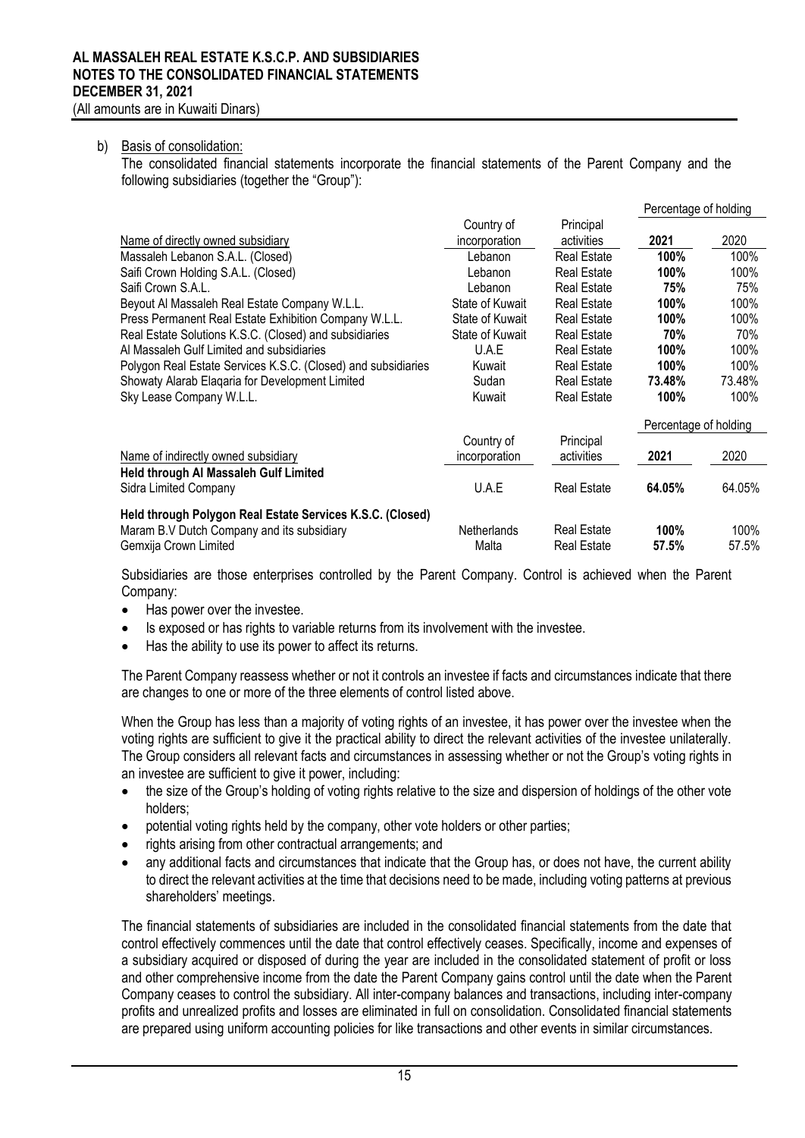# **AL MASSALEH REAL ESTATE K.S.C.P. AND SUBSIDIARIES NOTES TO THE CONSOLIDATED FINANCIAL STATEMENTS DECEMBER 31, 2021**

(All amounts are in Kuwaiti Dinars)

#### b) Basis of consolidation:

The consolidated financial statements incorporate the financial statements of the Parent Company and the following subsidiaries (together the "Group"):

|                                                               |                    |                    | Percentage of holding |        |
|---------------------------------------------------------------|--------------------|--------------------|-----------------------|--------|
|                                                               | Country of         | Principal          |                       |        |
| Name of directly owned subsidiary                             | incorporation      | activities         | 2021                  | 2020   |
| Massaleh Lebanon S.A.L. (Closed)                              | Lebanon            | <b>Real Estate</b> | 100%                  | 100%   |
| Saifi Crown Holding S.A.L. (Closed)                           | Lebanon            | <b>Real Estate</b> | 100%                  | 100%   |
| Saifi Crown S.A.L.                                            | Lebanon            | <b>Real Estate</b> | 75%                   | 75%    |
| Beyout Al Massaleh Real Estate Company W.L.L.                 | State of Kuwait    | <b>Real Estate</b> | 100%                  | 100%   |
| Press Permanent Real Estate Exhibition Company W.L.L.         | State of Kuwait    | <b>Real Estate</b> | 100%                  | 100%   |
| Real Estate Solutions K.S.C. (Closed) and subsidiaries        | State of Kuwait    | <b>Real Estate</b> | 70%                   | 70%    |
| Al Massaleh Gulf Limited and subsidiaries                     | U.A.E              | <b>Real Estate</b> | 100%                  | 100%   |
| Polygon Real Estate Services K.S.C. (Closed) and subsidiaries | Kuwait             | <b>Real Estate</b> | 100%                  | 100%   |
| Showaty Alarab Elagaria for Development Limited               | Sudan              | <b>Real Estate</b> | 73.48%                | 73.48% |
| Sky Lease Company W.L.L.                                      | Kuwait             | <b>Real Estate</b> | 100%                  | 100%   |
|                                                               |                    |                    | Percentage of holding |        |
|                                                               | Country of         | Principal          |                       |        |
| Name of indirectly owned subsidiary                           | incorporation      | activities         | 2021                  | 2020   |
| <b>Held through AI Massaleh Gulf Limited</b>                  |                    |                    |                       |        |
| Sidra Limited Company                                         | U.A.E              | <b>Real Estate</b> | 64.05%                | 64.05% |
| Held through Polygon Real Estate Services K.S.C. (Closed)     |                    |                    |                       |        |
| Maram B.V Dutch Company and its subsidiary                    | <b>Netherlands</b> | <b>Real Estate</b> | 100%                  | 100%   |
| Gemxija Crown Limited                                         | Malta              | <b>Real Estate</b> | 57.5%                 | 57.5%  |

Subsidiaries are those enterprises controlled by the Parent Company. Control is achieved when the Parent Company:

- Has power over the investee.
- Is exposed or has rights to variable returns from its involvement with the investee.
- Has the ability to use its power to affect its returns.

The Parent Company reassess whether or not it controls an investee if facts and circumstances indicate that there are changes to one or more of the three elements of control listed above.

When the Group has less than a majority of voting rights of an investee, it has power over the investee when the voting rights are sufficient to give it the practical ability to direct the relevant activities of the investee unilaterally. The Group considers all relevant facts and circumstances in assessing whether or not the Group's voting rights in an investee are sufficient to give it power, including:

- the size of the Group's holding of voting rights relative to the size and dispersion of holdings of the other vote holders;
- potential voting rights held by the company, other vote holders or other parties;
- rights arising from other contractual arrangements; and
- any additional facts and circumstances that indicate that the Group has, or does not have, the current ability to direct the relevant activities at the time that decisions need to be made, including voting patterns at previous shareholders' meetings.

The financial statements of subsidiaries are included in the consolidated financial statements from the date that control effectively commences until the date that control effectively ceases. Specifically, income and expenses of a subsidiary acquired or disposed of during the year are included in the consolidated statement of profit or loss and other comprehensive income from the date the Parent Company gains control until the date when the Parent Company ceases to control the subsidiary. All inter-company balances and transactions, including inter-company profits and unrealized profits and losses are eliminated in full on consolidation. Consolidated financial statements are prepared using uniform accounting policies for like transactions and other events in similar circumstances.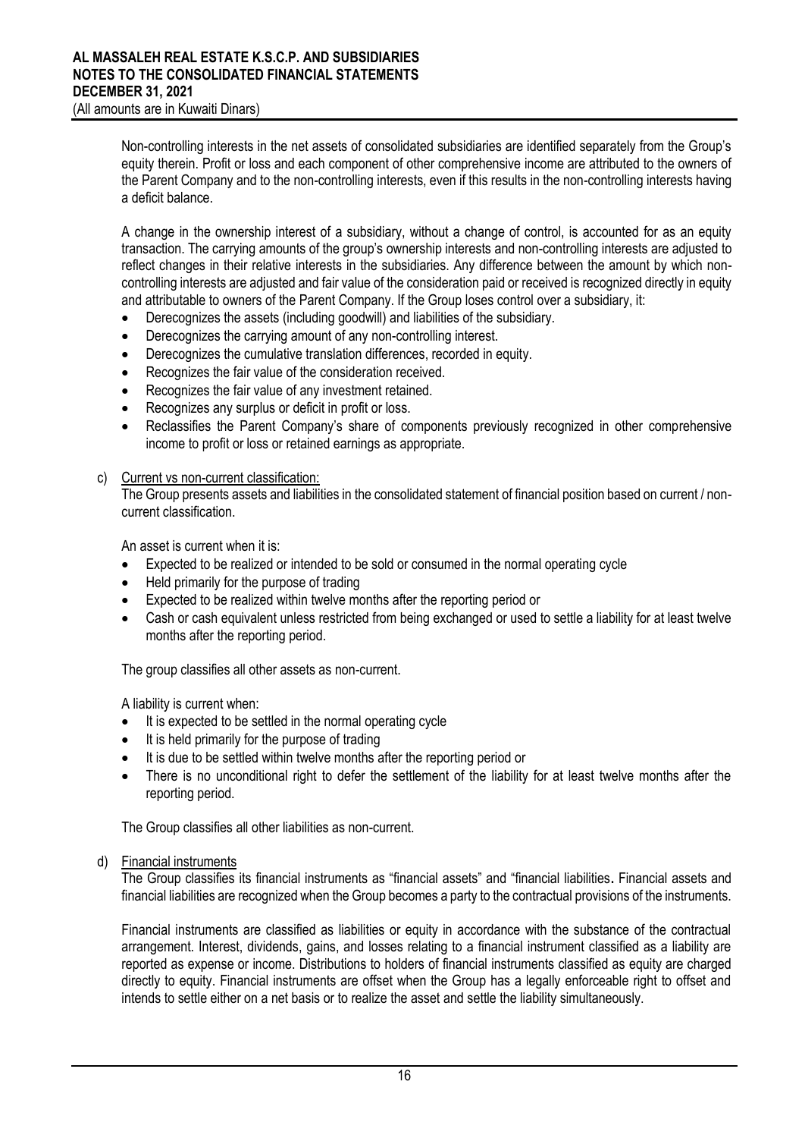Non-controlling interests in the net assets of consolidated subsidiaries are identified separately from the Group's equity therein. Profit or loss and each component of other comprehensive income are attributed to the owners of the Parent Company and to the non-controlling interests, even if this results in the non-controlling interests having a deficit balance.

A change in the ownership interest of a subsidiary, without a change of control, is accounted for as an equity transaction. The carrying amounts of the group's ownership interests and non-controlling interests are adjusted to reflect changes in their relative interests in the subsidiaries. Any difference between the amount by which noncontrolling interests are adjusted and fair value of the consideration paid or received is recognized directly in equity and attributable to owners of the Parent Company. If the Group loses control over a subsidiary, it:

- Derecognizes the assets (including goodwill) and liabilities of the subsidiary.
- Derecognizes the carrying amount of any non-controlling interest.
- Derecognizes the cumulative translation differences, recorded in equity.
- Recognizes the fair value of the consideration received.
- Recognizes the fair value of any investment retained.
- Recognizes any surplus or deficit in profit or loss.
- Reclassifies the Parent Company's share of components previously recognized in other comprehensive income to profit or loss or retained earnings as appropriate.

## c) Current vs non-current classification:

The Group presents assets and liabilities in the consolidated statement of financial position based on current / noncurrent classification.

An asset is current when it is:

- Expected to be realized or intended to be sold or consumed in the normal operating cycle
- Held primarily for the purpose of trading
- Expected to be realized within twelve months after the reporting period or
- Cash or cash equivalent unless restricted from being exchanged or used to settle a liability for at least twelve months after the reporting period.

The group classifies all other assets as non-current.

A liability is current when:

- It is expected to be settled in the normal operating cycle
- It is held primarily for the purpose of trading
- It is due to be settled within twelve months after the reporting period or
- There is no unconditional right to defer the settlement of the liability for at least twelve months after the reporting period.

The Group classifies all other liabilities as non-current.

#### d) Financial instruments

The Group classifies its financial instruments as "financial assets" and "financial liabilities**.** Financial assets and financial liabilities are recognized when the Group becomes a party to the contractual provisions of the instruments.

Financial instruments are classified as liabilities or equity in accordance with the substance of the contractual arrangement. Interest, dividends, gains, and losses relating to a financial instrument classified as a liability are reported as expense or income. Distributions to holders of financial instruments classified as equity are charged directly to equity. Financial instruments are offset when the Group has a legally enforceable right to offset and intends to settle either on a net basis or to realize the asset and settle the liability simultaneously.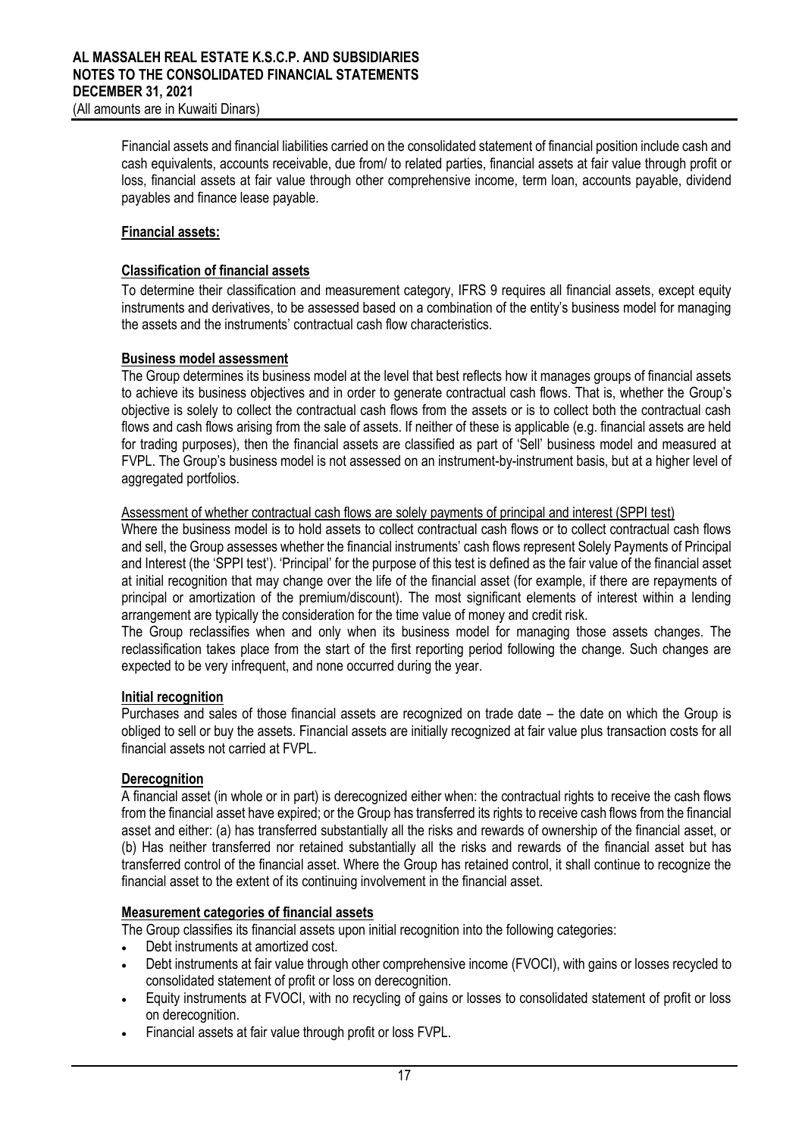Financial assets and financial liabilities carried on the consolidated statement of financial position include cash and cash equivalents, accounts receivable, due from/ to related parties, financial assets at fair value through profit or loss, financial assets at fair value through other comprehensive income, term loan, accounts payable, dividend payables and finance lease payable.

## **Financial assets:**

## **Classification of financial assets**

To determine their classification and measurement category, IFRS 9 requires all financial assets, except equity instruments and derivatives, to be assessed based on a combination of the entity's business model for managing the assets and the instruments' contractual cash flow characteristics.

## **Business model assessment**

The Group determines its business model at the level that best reflects how it manages groups of financial assets to achieve its business objectives and in order to generate contractual cash flows. That is, whether the Group's objective is solely to collect the contractual cash flows from the assets or is to collect both the contractual cash flows and cash flows arising from the sale of assets. If neither of these is applicable (e.g. financial assets are held for trading purposes), then the financial assets are classified as part of 'Sell' business model and measured at FVPL. The Group's business model is not assessed on an instrument-by-instrument basis, but at a higher level of aggregated portfolios.

## Assessment of whether contractual cash flows are solely payments of principal and interest (SPPI test)

Where the business model is to hold assets to collect contractual cash flows or to collect contractual cash flows and sell, the Group assesses whether the financial instruments' cash flows represent Solely Payments of Principal and Interest (the 'SPPI test'). 'Principal' for the purpose of this test is defined as the fair value of the financial asset at initial recognition that may change over the life of the financial asset (for example, if there are repayments of principal or amortization of the premium/discount). The most significant elements of interest within a lending arrangement are typically the consideration for the time value of money and credit risk.

The Group reclassifies when and only when its business model for managing those assets changes. The reclassification takes place from the start of the first reporting period following the change. Such changes are expected to be very infrequent, and none occurred during the year.

## **Initial recognition**

Purchases and sales of those financial assets are recognized on trade date – the date on which the Group is obliged to sell or buy the assets. Financial assets are initially recognized at fair value plus transaction costs for all financial assets not carried at FVPL.

## **Derecognition**

A financial asset (in whole or in part) is derecognized either when: the contractual rights to receive the cash flows from the financial asset have expired; or the Group has transferred its rights to receive cash flows from the financial asset and either: (a) has transferred substantially all the risks and rewards of ownership of the financial asset, or (b) Has neither transferred nor retained substantially all the risks and rewards of the financial asset but has transferred control of the financial asset. Where the Group has retained control, it shall continue to recognize the financial asset to the extent of its continuing involvement in the financial asset.

## **Measurement categories of financial assets**

The Group classifies its financial assets upon initial recognition into the following categories:

- Debt instruments at amortized cost.
- Debt instruments at fair value through other comprehensive income (FVOCI), with gains or losses recycled to consolidated statement of profit or loss on derecognition.
- Equity instruments at FVOCI, with no recycling of gains or losses to consolidated statement of profit or loss on derecognition.
- Financial assets at fair value through profit or loss FVPL.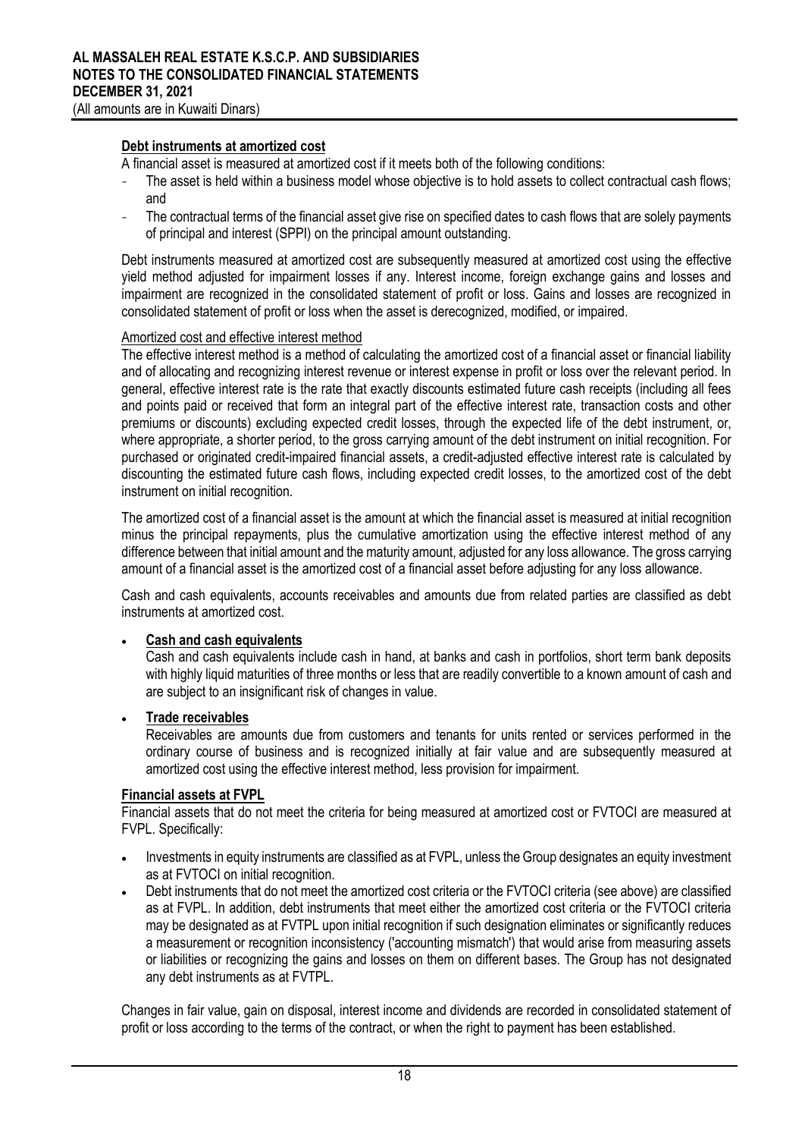## **Debt instruments at amortized cost**

A financial asset is measured at amortized cost if it meets both of the following conditions:

- The asset is held within a business model whose objective is to hold assets to collect contractual cash flows; and
- The contractual terms of the financial asset give rise on specified dates to cash flows that are solely payments of principal and interest (SPPI) on the principal amount outstanding.

Debt instruments measured at amortized cost are subsequently measured at amortized cost using the effective yield method adjusted for impairment losses if any. Interest income, foreign exchange gains and losses and impairment are recognized in the consolidated statement of profit or loss. Gains and losses are recognized in consolidated statement of profit or loss when the asset is derecognized, modified, or impaired.

#### Amortized cost and effective interest method

The effective interest method is a method of calculating the amortized cost of a financial asset or financial liability and of allocating and recognizing interest revenue or interest expense in profit or loss over the relevant period. In general, effective interest rate is the rate that exactly discounts estimated future cash receipts (including all fees and points paid or received that form an integral part of the effective interest rate, transaction costs and other premiums or discounts) excluding expected credit losses, through the expected life of the debt instrument, or, where appropriate, a shorter period, to the gross carrying amount of the debt instrument on initial recognition. For purchased or originated credit-impaired financial assets, a credit-adjusted effective interest rate is calculated by discounting the estimated future cash flows, including expected credit losses, to the amortized cost of the debt instrument on initial recognition.

The amortized cost of a financial asset is the amount at which the financial asset is measured at initial recognition minus the principal repayments, plus the cumulative amortization using the effective interest method of any difference between that initial amount and the maturity amount, adjusted for any loss allowance. The gross carrying amount of a financial asset is the amortized cost of a financial asset before adjusting for any loss allowance.

Cash and cash equivalents, accounts receivables and amounts due from related parties are classified as debt instruments at amortized cost.

## • **Cash and cash equivalents**

Cash and cash equivalents include cash in hand, at banks and cash in portfolios, short term bank deposits with highly liquid maturities of three months or less that are readily convertible to a known amount of cash and are subject to an insignificant risk of changes in value.

## • **Trade receivables**

Receivables are amounts due from customers and tenants for units rented or services performed in the ordinary course of business and is recognized initially at fair value and are subsequently measured at amortized cost using the effective interest method, less provision for impairment.

#### **Financial assets at FVPL**

Financial assets that do not meet the criteria for being measured at amortized cost or FVTOCI are measured at FVPL. Specifically:

- Investments in equity instruments are classified as at FVPL, unless the Group designates an equity investment as at FVTOCI on initial recognition.
- Debt instruments that do not meet the amortized cost criteria or the FVTOCI criteria (see above) are classified as at FVPL. In addition, debt instruments that meet either the amortized cost criteria or the FVTOCI criteria may be designated as at FVTPL upon initial recognition if such designation eliminates or significantly reduces a measurement or recognition inconsistency ('accounting mismatch') that would arise from measuring assets or liabilities or recognizing the gains and losses on them on different bases. The Group has not designated any debt instruments as at FVTPL.

Changes in fair value, gain on disposal, interest income and dividends are recorded in consolidated statement of profit or loss according to the terms of the contract, or when the right to payment has been established.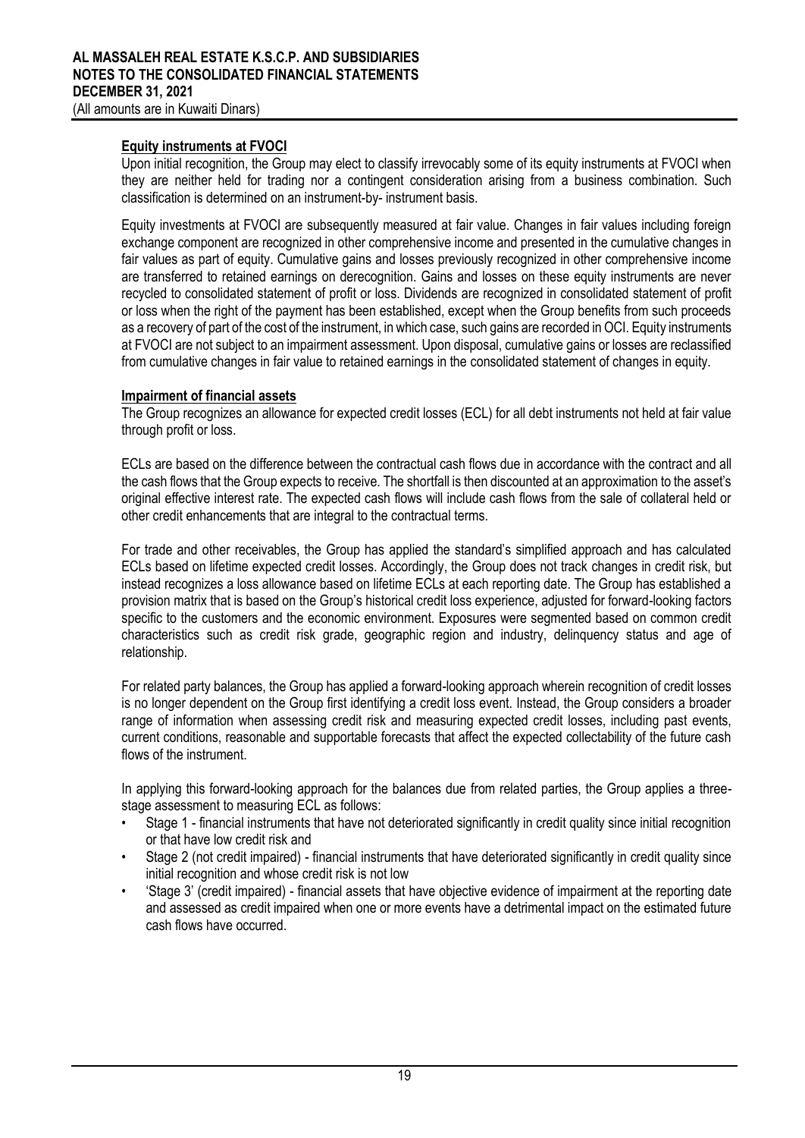## **Equity instruments at FVOCI**

Upon initial recognition, the Group may elect to classify irrevocably some of its equity instruments at FVOCI when they are neither held for trading nor a contingent consideration arising from a business combination. Such classification is determined on an instrument-by- instrument basis.

Equity investments at FVOCI are subsequently measured at fair value. Changes in fair values including foreign exchange component are recognized in other comprehensive income and presented in the cumulative changes in fair values as part of equity. Cumulative gains and losses previously recognized in other comprehensive income are transferred to retained earnings on derecognition. Gains and losses on these equity instruments are never recycled to consolidated statement of profit or loss. Dividends are recognized in consolidated statement of profit or loss when the right of the payment has been established, except when the Group benefits from such proceeds as a recovery of part of the cost of the instrument, in which case, such gains are recorded in OCI. Equity instruments at FVOCI are not subject to an impairment assessment. Upon disposal, cumulative gains or losses are reclassified from cumulative changes in fair value to retained earnings in the consolidated statement of changes in equity.

## **Impairment of financial assets**

The Group recognizes an allowance for expected credit losses (ECL) for all debt instruments not held at fair value through profit or loss.

ECLs are based on the difference between the contractual cash flows due in accordance with the contract and all the cash flows that the Group expects to receive. The shortfall is then discounted at an approximation to the asset's original effective interest rate. The expected cash flows will include cash flows from the sale of collateral held or other credit enhancements that are integral to the contractual terms.

For trade and other receivables, the Group has applied the standard's simplified approach and has calculated ECLs based on lifetime expected credit losses. Accordingly, the Group does not track changes in credit risk, but instead recognizes a loss allowance based on lifetime ECLs at each reporting date. The Group has established a provision matrix that is based on the Group's historical credit loss experience, adjusted for forward-looking factors specific to the customers and the economic environment. Exposures were segmented based on common credit characteristics such as credit risk grade, geographic region and industry, delinquency status and age of relationship.

For related party balances, the Group has applied a forward-looking approach wherein recognition of credit losses is no longer dependent on the Group first identifying a credit loss event. Instead, the Group considers a broader range of information when assessing credit risk and measuring expected credit losses, including past events, current conditions, reasonable and supportable forecasts that affect the expected collectability of the future cash flows of the instrument.

In applying this forward-looking approach for the balances due from related parties, the Group applies a threestage assessment to measuring ECL as follows:

- Stage 1 financial instruments that have not deteriorated significantly in credit quality since initial recognition or that have low credit risk and
- Stage 2 (not credit impaired) financial instruments that have deteriorated significantly in credit quality since initial recognition and whose credit risk is not low
- 'Stage 3' (credit impaired) financial assets that have objective evidence of impairment at the reporting date and assessed as credit impaired when one or more events have a detrimental impact on the estimated future cash flows have occurred.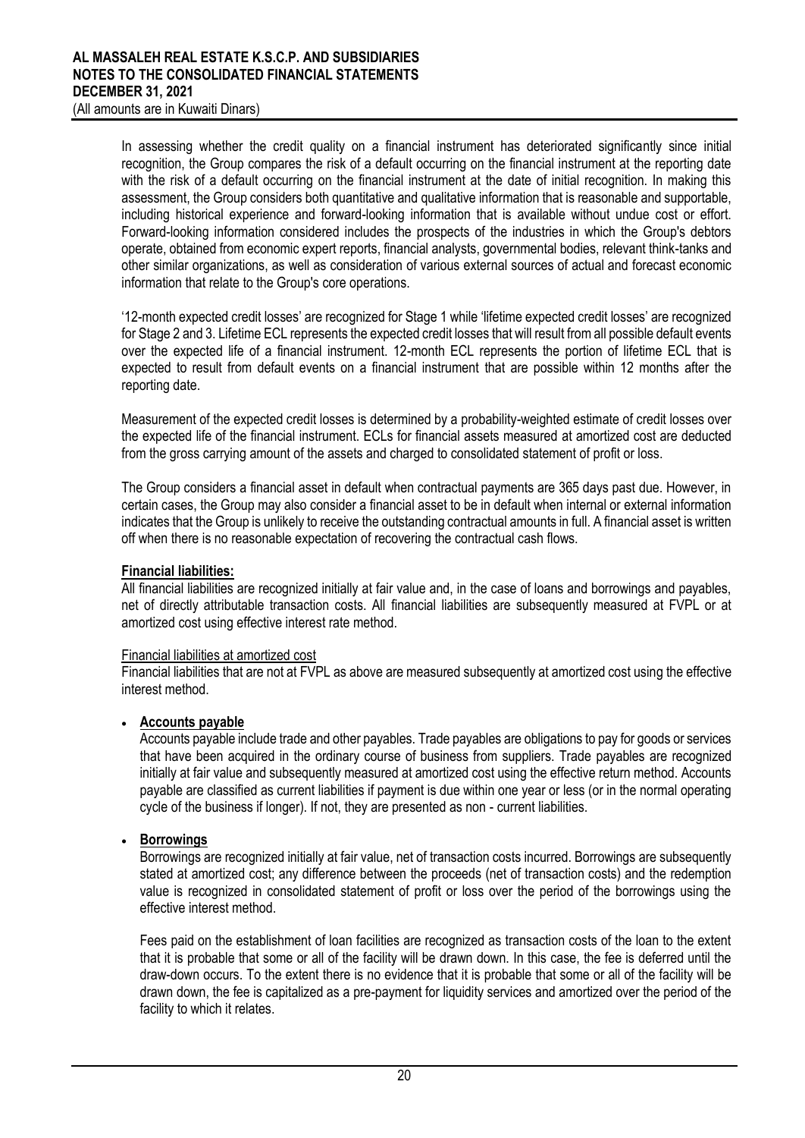In assessing whether the credit quality on a financial instrument has deteriorated significantly since initial recognition. the Group compares the risk of a default occurring on the financial instrument at the reporting date with the risk of a default occurring on the financial instrument at the date of initial recognition. In making this assessment, the Group considers both quantitative and qualitative information that is reasonable and supportable, including historical experience and forward-looking information that is available without undue cost or effort. Forward-looking information considered includes the prospects of the industries in which the Group's debtors operate, obtained from economic expert reports, financial analysts, governmental bodies, relevant think-tanks and other similar organizations, as well as consideration of various external sources of actual and forecast economic information that relate to the Group's core operations.

'12-month expected credit losses' are recognized for Stage 1 while 'lifetime expected credit losses' are recognized for Stage 2 and 3. Lifetime ECL represents the expected credit losses that will result from all possible default events over the expected life of a financial instrument. 12-month ECL represents the portion of lifetime ECL that is expected to result from default events on a financial instrument that are possible within 12 months after the reporting date.

Measurement of the expected credit losses is determined by a probability-weighted estimate of credit losses over the expected life of the financial instrument. ECLs for financial assets measured at amortized cost are deducted from the gross carrying amount of the assets and charged to consolidated statement of profit or loss.

The Group considers a financial asset in default when contractual payments are 365 days past due. However, in certain cases, the Group may also consider a financial asset to be in default when internal or external information indicates that the Group is unlikely to receive the outstanding contractual amounts in full. A financial asset is written off when there is no reasonable expectation of recovering the contractual cash flows.

## **Financial liabilities:**

All financial liabilities are recognized initially at fair value and, in the case of loans and borrowings and payables, net of directly attributable transaction costs. All financial liabilities are subsequently measured at FVPL or at amortized cost using effective interest rate method.

#### Financial liabilities at amortized cost

Financial liabilities that are not at FVPL as above are measured subsequently at amortized cost using the effective interest method.

## • **Accounts payable**

Accounts payable include trade and other payables. Trade payables are obligations to pay for goods or services that have been acquired in the ordinary course of business from suppliers. Trade payables are recognized initially at fair value and subsequently measured at amortized cost using the effective return method. Accounts payable are classified as current liabilities if payment is due within one year or less (or in the normal operating cycle of the business if longer). If not, they are presented as non - current liabilities.

## • **Borrowings**

Borrowings are recognized initially at fair value, net of transaction costs incurred. Borrowings are subsequently stated at amortized cost; any difference between the proceeds (net of transaction costs) and the redemption value is recognized in consolidated statement of profit or loss over the period of the borrowings using the effective interest method.

Fees paid on the establishment of loan facilities are recognized as transaction costs of the loan to the extent that it is probable that some or all of the facility will be drawn down. In this case, the fee is deferred until the draw-down occurs. To the extent there is no evidence that it is probable that some or all of the facility will be drawn down, the fee is capitalized as a pre-payment for liquidity services and amortized over the period of the facility to which it relates.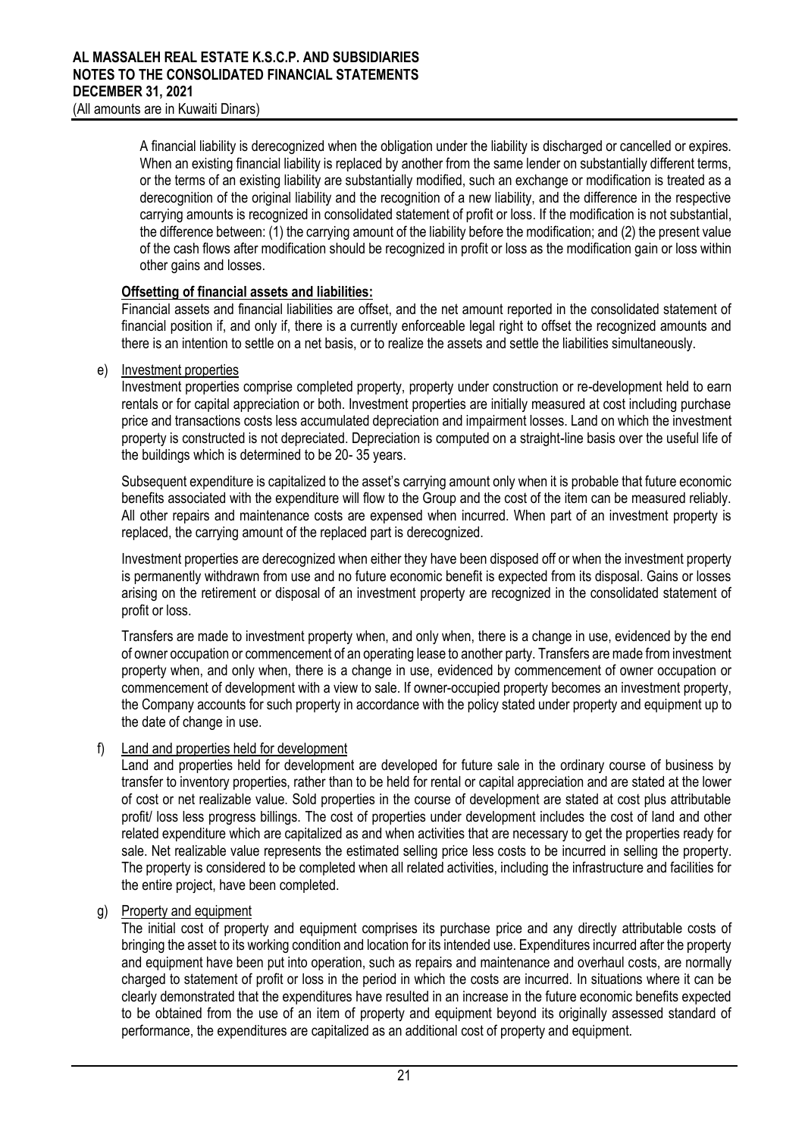A financial liability is derecognized when the obligation under the liability is discharged or cancelled or expires. When an existing financial liability is replaced by another from the same lender on substantially different terms, or the terms of an existing liability are substantially modified, such an exchange or modification is treated as a derecognition of the original liability and the recognition of a new liability, and the difference in the respective carrying amounts is recognized in consolidated statement of profit or loss. If the modification is not substantial, the difference between: (1) the carrying amount of the liability before the modification; and (2) the present value of the cash flows after modification should be recognized in profit or loss as the modification gain or loss within other gains and losses.

## **Offsetting of financial assets and liabilities:**

Financial assets and financial liabilities are offset, and the net amount reported in the consolidated statement of financial position if, and only if, there is a currently enforceable legal right to offset the recognized amounts and there is an intention to settle on a net basis, or to realize the assets and settle the liabilities simultaneously.

## e) Investment properties

Investment properties comprise completed property, property under construction or re-development held to earn rentals or for capital appreciation or both. Investment properties are initially measured at cost including purchase price and transactions costs less accumulated depreciation and impairment losses. Land on which the investment property is constructed is not depreciated. Depreciation is computed on a straight-line basis over the useful life of the buildings which is determined to be 20- 35 years.

Subsequent expenditure is capitalized to the asset's carrying amount only when it is probable that future economic benefits associated with the expenditure will flow to the Group and the cost of the item can be measured reliably. All other repairs and maintenance costs are expensed when incurred. When part of an investment property is replaced, the carrying amount of the replaced part is derecognized.

Investment properties are derecognized when either they have been disposed off or when the investment property is permanently withdrawn from use and no future economic benefit is expected from its disposal. Gains or losses arising on the retirement or disposal of an investment property are recognized in the consolidated statement of profit or loss.

Transfers are made to investment property when, and only when, there is a change in use, evidenced by the end of owner occupation or commencement of an operating lease to another party. Transfers are made from investment property when, and only when, there is a change in use, evidenced by commencement of owner occupation or commencement of development with a view to sale. If owner-occupied property becomes an investment property, the Company accounts for such property in accordance with the policy stated under property and equipment up to the date of change in use.

## f) Land and properties held for development

Land and properties held for development are developed for future sale in the ordinary course of business by transfer to inventory properties, rather than to be held for rental or capital appreciation and are stated at the lower of cost or net realizable value. Sold properties in the course of development are stated at cost plus attributable profit/ loss less progress billings. The cost of properties under development includes the cost of land and other related expenditure which are capitalized as and when activities that are necessary to get the properties ready for sale. Net realizable value represents the estimated selling price less costs to be incurred in selling the property. The property is considered to be completed when all related activities, including the infrastructure and facilities for the entire project, have been completed.

#### g) Property and equipment

The initial cost of property and equipment comprises its purchase price and any directly attributable costs of bringing the asset to its working condition and location for its intended use. Expenditures incurred after the property and equipment have been put into operation, such as repairs and maintenance and overhaul costs, are normally charged to statement of profit or loss in the period in which the costs are incurred. In situations where it can be clearly demonstrated that the expenditures have resulted in an increase in the future economic benefits expected to be obtained from the use of an item of property and equipment beyond its originally assessed standard of performance, the expenditures are capitalized as an additional cost of property and equipment.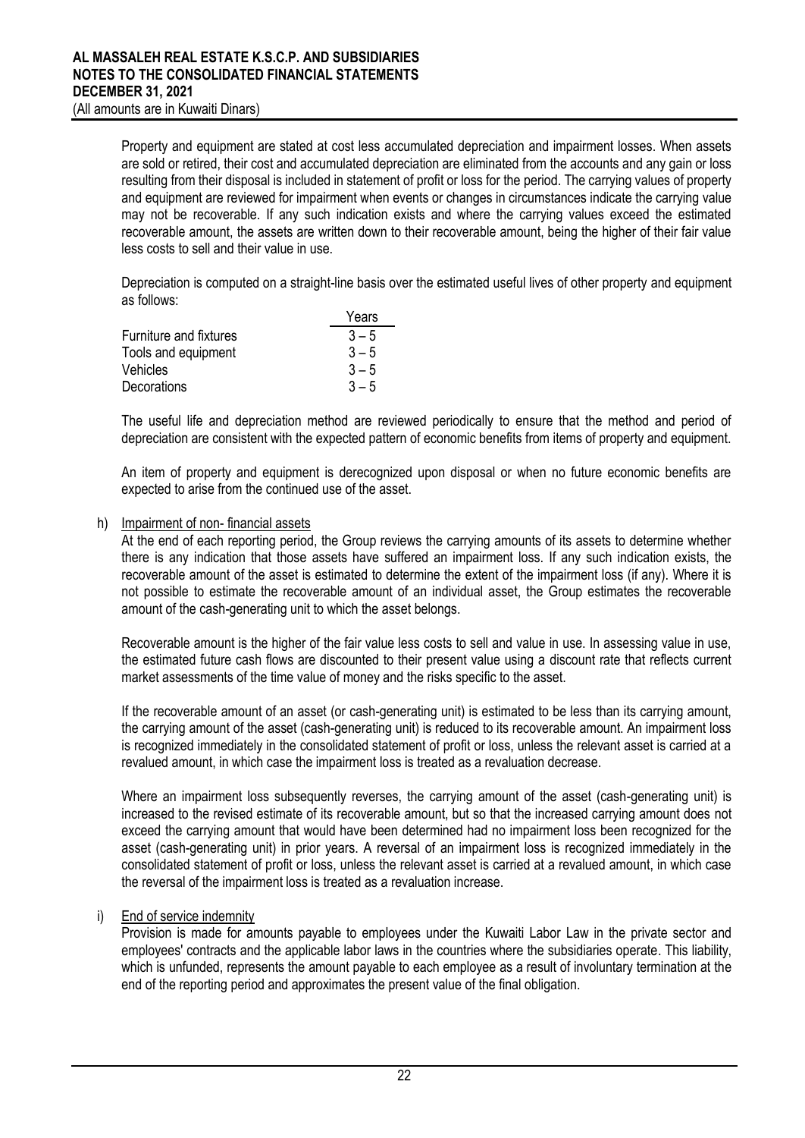Property and equipment are stated at cost less accumulated depreciation and impairment losses. When assets are sold or retired, their cost and accumulated depreciation are eliminated from the accounts and any gain or loss resulting from their disposal is included in statement of profit or loss for the period. The carrying values of property and equipment are reviewed for impairment when events or changes in circumstances indicate the carrying value may not be recoverable. If any such indication exists and where the carrying values exceed the estimated recoverable amount, the assets are written down to their recoverable amount, being the higher of their fair value less costs to sell and their value in use.

Depreciation is computed on a straight-line basis over the estimated useful lives of other property and equipment as follows:

| Furniture and fixtures | $3 - 5$ |
|------------------------|---------|
| Tools and equipment    | $3 - 5$ |
| Vehicles               | $3 - 5$ |
| Decorations            | $3 - 5$ |

The useful life and depreciation method are reviewed periodically to ensure that the method and period of depreciation are consistent with the expected pattern of economic benefits from items of property and equipment.

An item of property and equipment is derecognized upon disposal or when no future economic benefits are expected to arise from the continued use of the asset.

## h) Impairment of non- financial assets

At the end of each reporting period, the Group reviews the carrying amounts of its assets to determine whether there is any indication that those assets have suffered an impairment loss. If any such indication exists, the recoverable amount of the asset is estimated to determine the extent of the impairment loss (if any). Where it is not possible to estimate the recoverable amount of an individual asset, the Group estimates the recoverable amount of the cash-generating unit to which the asset belongs.

Recoverable amount is the higher of the fair value less costs to sell and value in use. In assessing value in use, the estimated future cash flows are discounted to their present value using a discount rate that reflects current market assessments of the time value of money and the risks specific to the asset.

If the recoverable amount of an asset (or cash-generating unit) is estimated to be less than its carrying amount, the carrying amount of the asset (cash-generating unit) is reduced to its recoverable amount. An impairment loss is recognized immediately in the consolidated statement of profit or loss, unless the relevant asset is carried at a revalued amount, in which case the impairment loss is treated as a revaluation decrease.

Where an impairment loss subsequently reverses, the carrying amount of the asset (cash-generating unit) is increased to the revised estimate of its recoverable amount, but so that the increased carrying amount does not exceed the carrying amount that would have been determined had no impairment loss been recognized for the asset (cash-generating unit) in prior years. A reversal of an impairment loss is recognized immediately in the consolidated statement of profit or loss, unless the relevant asset is carried at a revalued amount, in which case the reversal of the impairment loss is treated as a revaluation increase.

#### i) End of service indemnity

Provision is made for amounts payable to employees under the Kuwaiti Labor Law in the private sector and employees' contracts and the applicable labor laws in the countries where the subsidiaries operate. This liability, which is unfunded, represents the amount payable to each employee as a result of involuntary termination at the end of the reporting period and approximates the present value of the final obligation.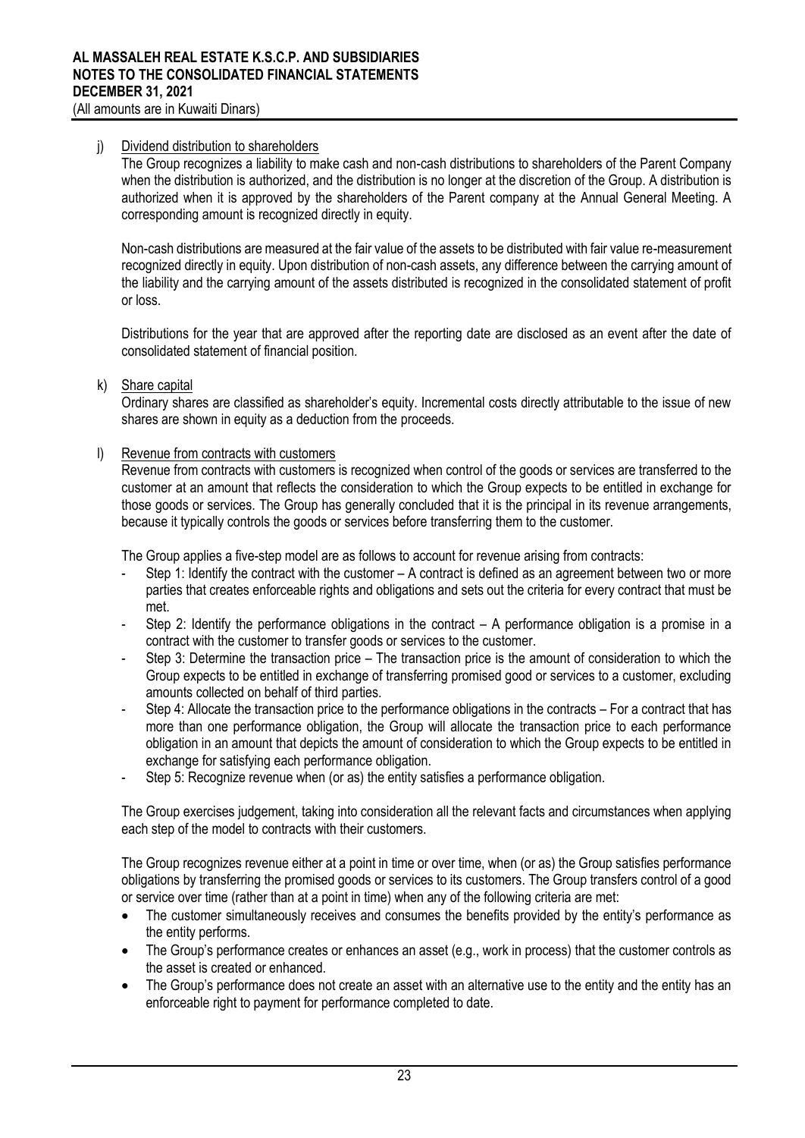## j) Dividend distribution to shareholders

The Group recognizes a liability to make cash and non-cash distributions to shareholders of the Parent Company when the distribution is authorized, and the distribution is no longer at the discretion of the Group. A distribution is authorized when it is approved by the shareholders of the Parent company at the Annual General Meeting. A corresponding amount is recognized directly in equity.

Non-cash distributions are measured at the fair value of the assets to be distributed with fair value re-measurement recognized directly in equity. Upon distribution of non-cash assets, any difference between the carrying amount of the liability and the carrying amount of the assets distributed is recognized in the consolidated statement of profit or loss.

Distributions for the year that are approved after the reporting date are disclosed as an event after the date of consolidated statement of financial position.

## k) Share capital

Ordinary shares are classified as shareholder's equity. Incremental costs directly attributable to the issue of new shares are shown in equity as a deduction from the proceeds.

## l) Revenue from contracts with customers

Revenue from contracts with customers is recognized when control of the goods or services are transferred to the customer at an amount that reflects the consideration to which the Group expects to be entitled in exchange for those goods or services. The Group has generally concluded that it is the principal in its revenue arrangements, because it typically controls the goods or services before transferring them to the customer.

The Group applies a five-step model are as follows to account for revenue arising from contracts:

- Step 1: Identify the contract with the customer A contract is defined as an agreement between two or more parties that creates enforceable rights and obligations and sets out the criteria for every contract that must be met.
- Step 2: Identify the performance obligations in the contract  $-$  A performance obligation is a promise in a contract with the customer to transfer goods or services to the customer.
- Step 3: Determine the transaction price The transaction price is the amount of consideration to which the Group expects to be entitled in exchange of transferring promised good or services to a customer, excluding amounts collected on behalf of third parties.
- Step 4: Allocate the transaction price to the performance obligations in the contracts For a contract that has more than one performance obligation, the Group will allocate the transaction price to each performance obligation in an amount that depicts the amount of consideration to which the Group expects to be entitled in exchange for satisfying each performance obligation.
- Step 5: Recognize revenue when (or as) the entity satisfies a performance obligation.

The Group exercises judgement, taking into consideration all the relevant facts and circumstances when applying each step of the model to contracts with their customers.

The Group recognizes revenue either at a point in time or over time, when (or as) the Group satisfies performance obligations by transferring the promised goods or services to its customers. The Group transfers control of a good or service over time (rather than at a point in time) when any of the following criteria are met:

- The customer simultaneously receives and consumes the benefits provided by the entity's performance as the entity performs.
- The Group's performance creates or enhances an asset (e.g., work in process) that the customer controls as the asset is created or enhanced.
- The Group's performance does not create an asset with an alternative use to the entity and the entity has an enforceable right to payment for performance completed to date.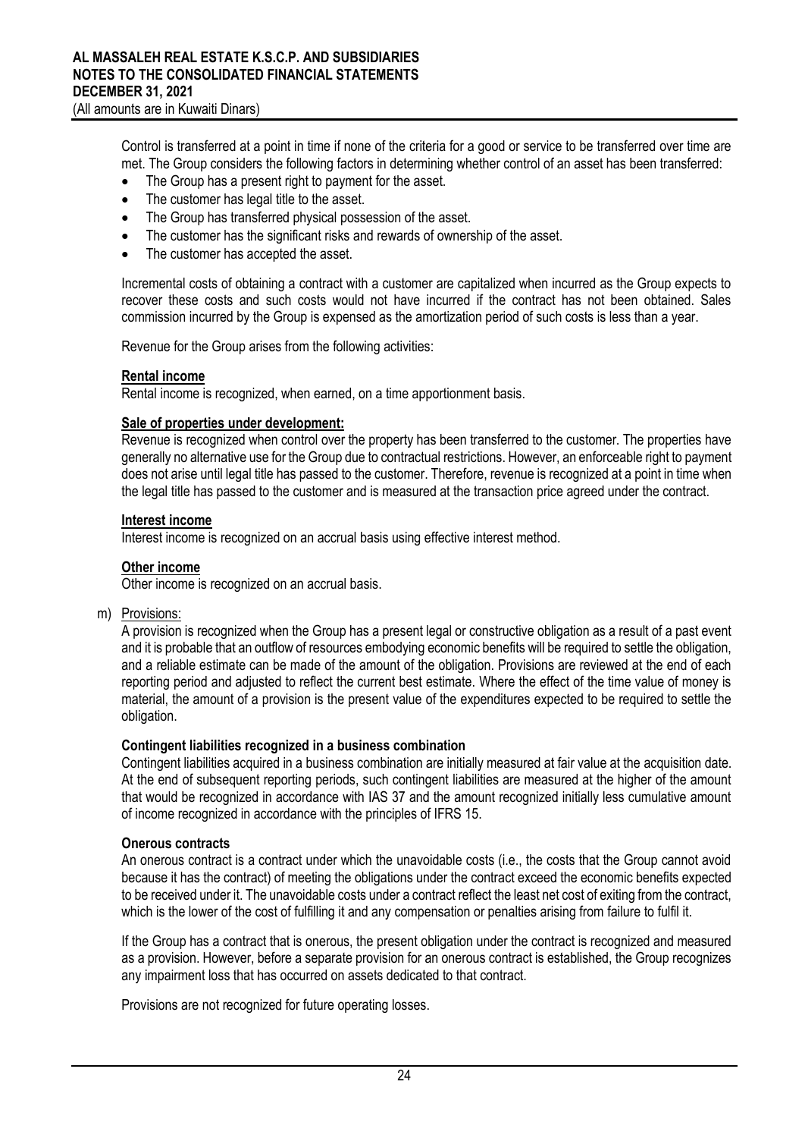# **AL MASSALEH REAL ESTATE K.S.C.P. AND SUBSIDIARIES NOTES TO THE CONSOLIDATED FINANCIAL STATEMENTS DECEMBER 31, 2021**

(All amounts are in Kuwaiti Dinars)

Control is transferred at a point in time if none of the criteria for a good or service to be transferred over time are met. The Group considers the following factors in determining whether control of an asset has been transferred:

- The Group has a present right to payment for the asset.
- The customer has legal title to the asset.
- The Group has transferred physical possession of the asset.
- The customer has the significant risks and rewards of ownership of the asset.
- The customer has accepted the asset.

Incremental costs of obtaining a contract with a customer are capitalized when incurred as the Group expects to recover these costs and such costs would not have incurred if the contract has not been obtained. Sales commission incurred by the Group is expensed as the amortization period of such costs is less than a year.

Revenue for the Group arises from the following activities:

#### **Rental income**

Rental income is recognized, when earned, on a time apportionment basis.

## **Sale of properties under development:**

Revenue is recognized when control over the property has been transferred to the customer. The properties have generally no alternative use for the Group due to contractual restrictions. However, an enforceable right to payment does not arise until legal title has passed to the customer. Therefore, revenue is recognized at a point in time when the legal title has passed to the customer and is measured at the transaction price agreed under the contract.

#### **Interest income**

Interest income is recognized on an accrual basis using effective interest method.

#### **Other income**

Other income is recognized on an accrual basis.

m) Provisions:

A provision is recognized when the Group has a present legal or constructive obligation as a result of a past event and it is probable that an outflow of resources embodying economic benefits will be required to settle the obligation, and a reliable estimate can be made of the amount of the obligation. Provisions are reviewed at the end of each reporting period and adjusted to reflect the current best estimate. Where the effect of the time value of money is material, the amount of a provision is the present value of the expenditures expected to be required to settle the obligation.

## **Contingent liabilities recognized in a business combination**

Contingent liabilities acquired in a business combination are initially measured at fair value at the acquisition date. At the end of subsequent reporting periods, such contingent liabilities are measured at the higher of the amount that would be recognized in accordance with IAS 37 and the amount recognized initially less cumulative amount of income recognized in accordance with the principles of IFRS 15.

#### **Onerous contracts**

An onerous contract is a contract under which the unavoidable costs (i.e., the costs that the Group cannot avoid because it has the contract) of meeting the obligations under the contract exceed the economic benefits expected to be received under it. The unavoidable costs under a contract reflect the least net cost of exiting from the contract, which is the lower of the cost of fulfilling it and any compensation or penalties arising from failure to fulfil it.

If the Group has a contract that is onerous, the present obligation under the contract is recognized and measured as a provision. However, before a separate provision for an onerous contract is established, the Group recognizes any impairment loss that has occurred on assets dedicated to that contract.

Provisions are not recognized for future operating losses.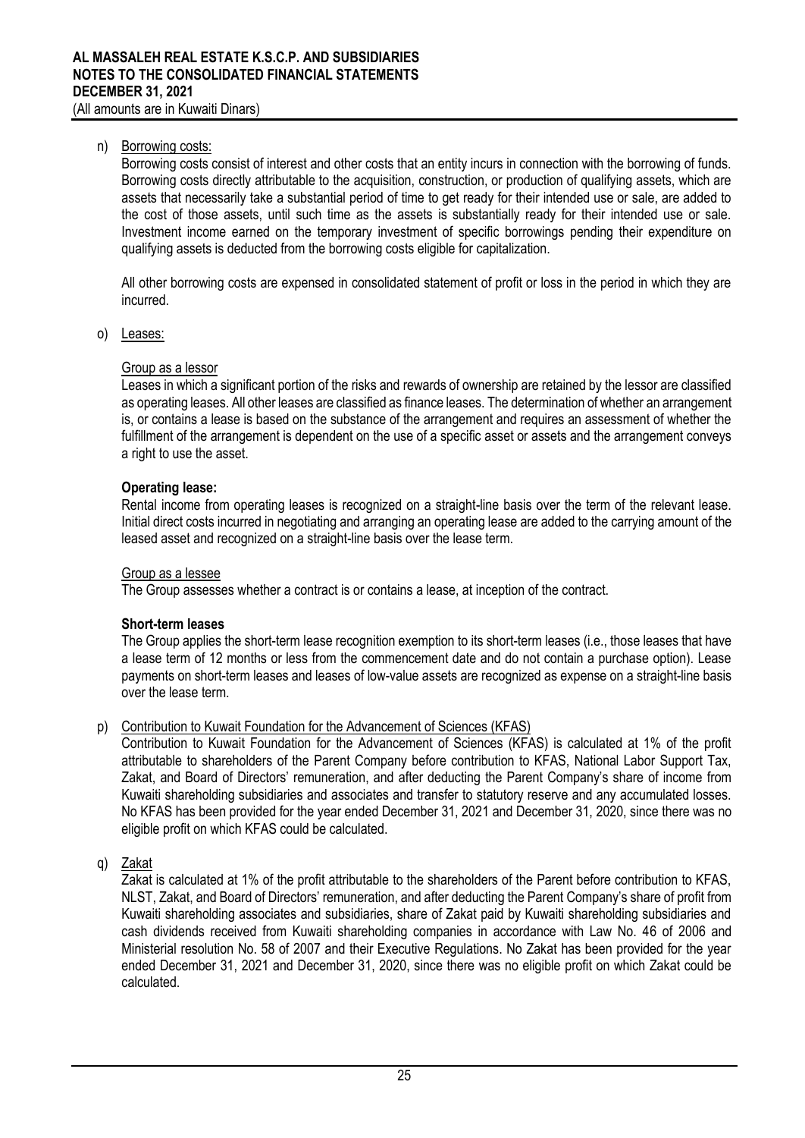## n) Borrowing costs:

Borrowing costs consist of interest and other costs that an entity incurs in connection with the borrowing of funds. Borrowing costs directly attributable to the acquisition, construction, or production of qualifying assets, which are assets that necessarily take a substantial period of time to get ready for their intended use or sale, are added to the cost of those assets, until such time as the assets is substantially ready for their intended use or sale. Investment income earned on the temporary investment of specific borrowings pending their expenditure on qualifying assets is deducted from the borrowing costs eligible for capitalization.

All other borrowing costs are expensed in consolidated statement of profit or loss in the period in which they are incurred.

o) Leases:

## Group as a lessor

Leases in which a significant portion of the risks and rewards of ownership are retained by the lessor are classified as operating leases. All other leases are classified as finance leases. The determination of whether an arrangement is, or contains a lease is based on the substance of the arrangement and requires an assessment of whether the fulfillment of the arrangement is dependent on the use of a specific asset or assets and the arrangement conveys a right to use the asset.

## **Operating lease:**

Rental income from operating leases is recognized on a straight-line basis over the term of the relevant lease. Initial direct costs incurred in negotiating and arranging an operating lease are added to the carrying amount of the leased asset and recognized on a straight-line basis over the lease term.

## Group as a lessee

The Group assesses whether a contract is or contains a lease, at inception of the contract.

## **Short-term leases**

The Group applies the short-term lease recognition exemption to its short-term leases (i.e., those leases that have a lease term of 12 months or less from the commencement date and do not contain a purchase option). Lease payments on short-term leases and leases of low-value assets are recognized as expense on a straight-line basis over the lease term.

## p) Contribution to Kuwait Foundation for the Advancement of Sciences (KFAS)

Contribution to Kuwait Foundation for the Advancement of Sciences (KFAS) is calculated at 1% of the profit attributable to shareholders of the Parent Company before contribution to KFAS, National Labor Support Tax, Zakat, and Board of Directors' remuneration, and after deducting the Parent Company's share of income from Kuwaiti shareholding subsidiaries and associates and transfer to statutory reserve and any accumulated losses. No KFAS has been provided for the year ended December 31, 2021 and December 31, 2020, since there was no eligible profit on which KFAS could be calculated.

q) Zakat

Zakat is calculated at 1% of the profit attributable to the shareholders of the Parent before contribution to KFAS, NLST, Zakat, and Board of Directors' remuneration, and after deducting the Parent Company's share of profit from Kuwaiti shareholding associates and subsidiaries, share of Zakat paid by Kuwaiti shareholding subsidiaries and cash dividends received from Kuwaiti shareholding companies in accordance with Law No. 46 of 2006 and Ministerial resolution No. 58 of 2007 and their Executive Regulations. No Zakat has been provided for the year ended December 31, 2021 and December 31, 2020, since there was no eligible profit on which Zakat could be calculated.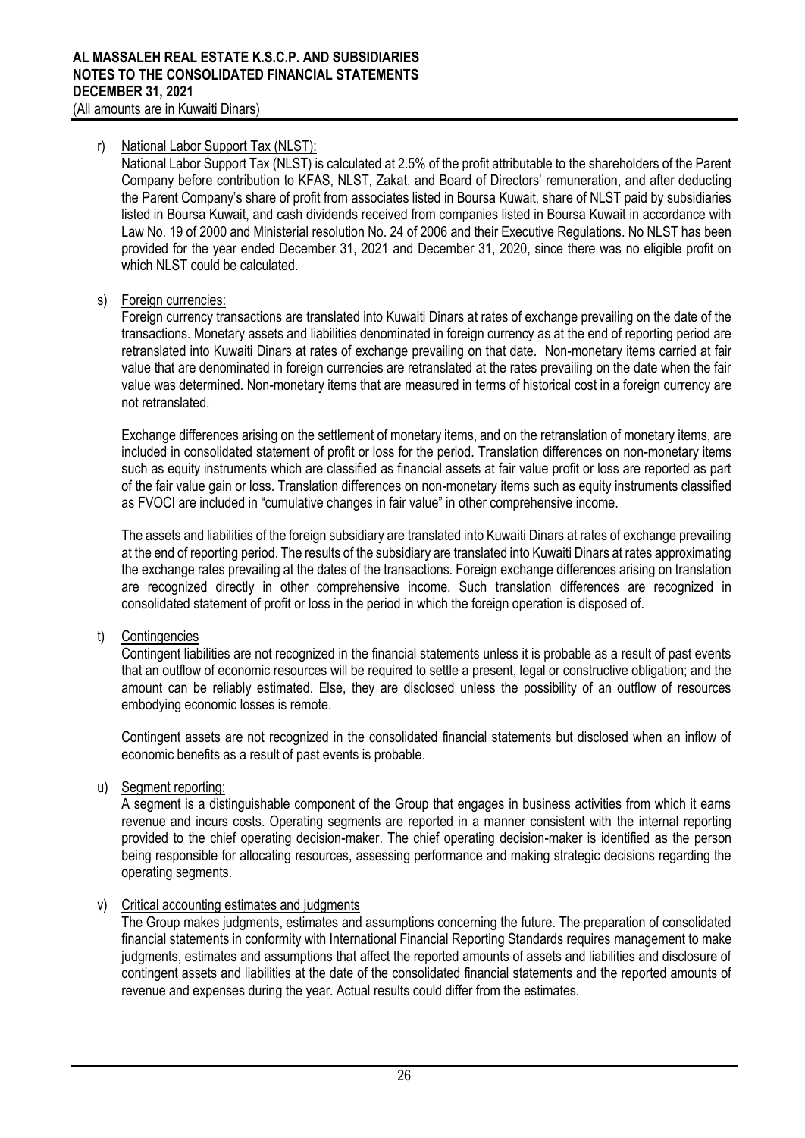## r) National Labor Support Tax (NLST):

National Labor Support Tax (NLST) is calculated at 2.5% of the profit attributable to the shareholders of the Parent Company before contribution to KFAS, NLST, Zakat, and Board of Directors' remuneration, and after deducting the Parent Company's share of profit from associates listed in Boursa Kuwait, share of NLST paid by subsidiaries listed in Boursa Kuwait, and cash dividends received from companies listed in Boursa Kuwait in accordance with Law No. 19 of 2000 and Ministerial resolution No. 24 of 2006 and their Executive Regulations. No NLST has been provided for the year ended December 31, 2021 and December 31, 2020, since there was no eligible profit on which NLST could be calculated.

## s) Foreign currencies:

Foreign currency transactions are translated into Kuwaiti Dinars at rates of exchange prevailing on the date of the transactions. Monetary assets and liabilities denominated in foreign currency as at the end of reporting period are retranslated into Kuwaiti Dinars at rates of exchange prevailing on that date. Non-monetary items carried at fair value that are denominated in foreign currencies are retranslated at the rates prevailing on the date when the fair value was determined. Non-monetary items that are measured in terms of historical cost in a foreign currency are not retranslated.

Exchange differences arising on the settlement of monetary items, and on the retranslation of monetary items, are included in consolidated statement of profit or loss for the period. Translation differences on non-monetary items such as equity instruments which are classified as financial assets at fair value profit or loss are reported as part of the fair value gain or loss. Translation differences on non-monetary items such as equity instruments classified as FVOCI are included in "cumulative changes in fair value" in other comprehensive income.

The assets and liabilities of the foreign subsidiary are translated into Kuwaiti Dinars at rates of exchange prevailing at the end of reporting period. The results of the subsidiary are translated into Kuwaiti Dinars at rates approximating the exchange rates prevailing at the dates of the transactions. Foreign exchange differences arising on translation are recognized directly in other comprehensive income. Such translation differences are recognized in consolidated statement of profit or loss in the period in which the foreign operation is disposed of.

## t) Contingencies

Contingent liabilities are not recognized in the financial statements unless it is probable as a result of past events that an outflow of economic resources will be required to settle a present, legal or constructive obligation; and the amount can be reliably estimated. Else, they are disclosed unless the possibility of an outflow of resources embodying economic losses is remote.

Contingent assets are not recognized in the consolidated financial statements but disclosed when an inflow of economic benefits as a result of past events is probable.

## u) Segment reporting:

A segment is a distinguishable component of the Group that engages in business activities from which it earns revenue and incurs costs. Operating segments are reported in a manner consistent with the internal reporting provided to the chief operating decision-maker. The chief operating decision-maker is identified as the person being responsible for allocating resources, assessing performance and making strategic decisions regarding the operating segments.

## v) Critical accounting estimates and judgments

The Group makes judgments, estimates and assumptions concerning the future. The preparation of consolidated financial statements in conformity with International Financial Reporting Standards requires management to make judgments, estimates and assumptions that affect the reported amounts of assets and liabilities and disclosure of contingent assets and liabilities at the date of the consolidated financial statements and the reported amounts of revenue and expenses during the year. Actual results could differ from the estimates.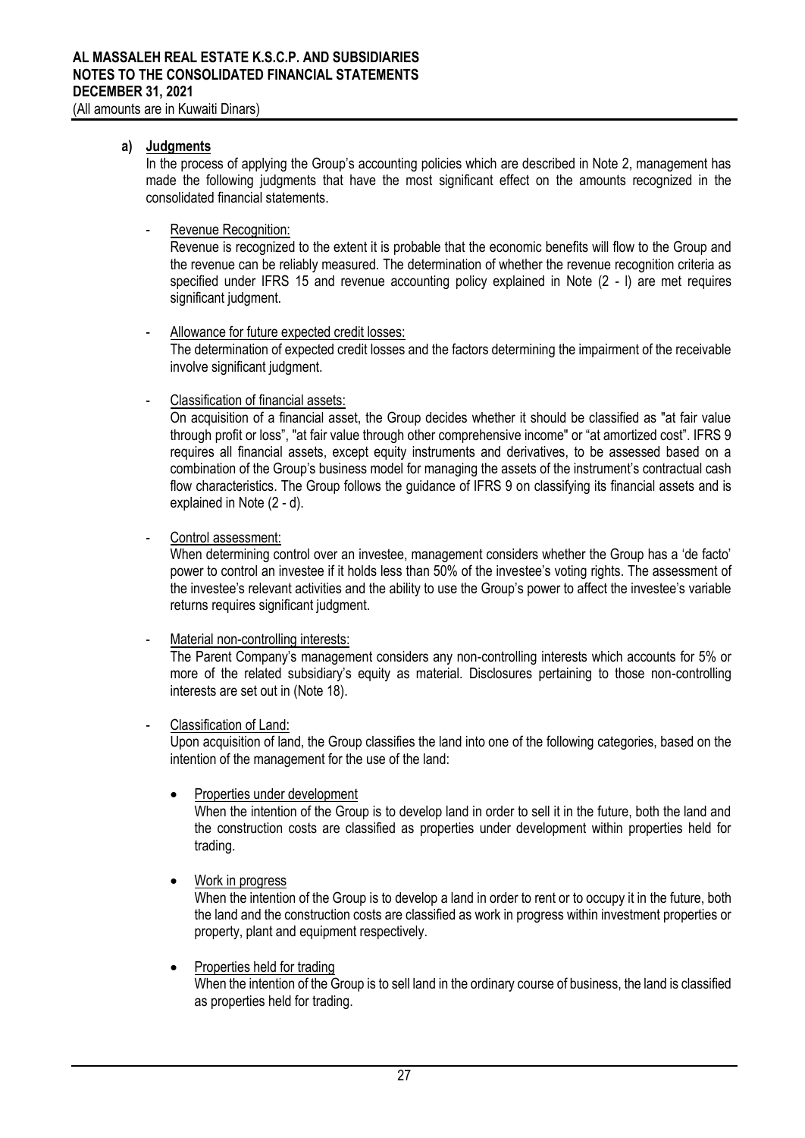## **a) Judgments**

In the process of applying the Group's accounting policies which are described in Note 2, management has made the following judgments that have the most significant effect on the amounts recognized in the consolidated financial statements.

## Revenue Recognition:

Revenue is recognized to the extent it is probable that the economic benefits will flow to the Group and the revenue can be reliably measured. The determination of whether the revenue recognition criteria as specified under IFRS 15 and revenue accounting policy explained in Note (2 - I) are met requires significant judgment.

#### Allowance for future expected credit losses:

The determination of expected credit losses and the factors determining the impairment of the receivable involve significant judgment.

Classification of financial assets:

On acquisition of a financial asset, the Group decides whether it should be classified as "at fair value through profit or loss", "at fair value through other comprehensive income" or "at amortized cost". IFRS 9 requires all financial assets, except equity instruments and derivatives, to be assessed based on a combination of the Group's business model for managing the assets of the instrument's contractual cash flow characteristics. The Group follows the guidance of IFRS 9 on classifying its financial assets and is explained in Note (2 - d).

Control assessment:

When determining control over an investee, management considers whether the Group has a 'de facto' power to control an investee if it holds less than 50% of the investee's voting rights. The assessment of the investee's relevant activities and the ability to use the Group's power to affect the investee's variable returns requires significant judgment.

Material non-controlling interests:

The Parent Company's management considers any non-controlling interests which accounts for 5% or more of the related subsidiary's equity as material. Disclosures pertaining to those non-controlling interests are set out in (Note 18).

## Classification of Land:

Upon acquisition of land, the Group classifies the land into one of the following categories, based on the intention of the management for the use of the land:

Properties under development

When the intention of the Group is to develop land in order to sell it in the future, both the land and the construction costs are classified as properties under development within properties held for trading.

Work in progress

When the intention of the Group is to develop a land in order to rent or to occupy it in the future, both the land and the construction costs are classified as work in progress within investment properties or property, plant and equipment respectively.

Properties held for trading

When the intention of the Group is to sell land in the ordinary course of business, the land is classified as properties held for trading.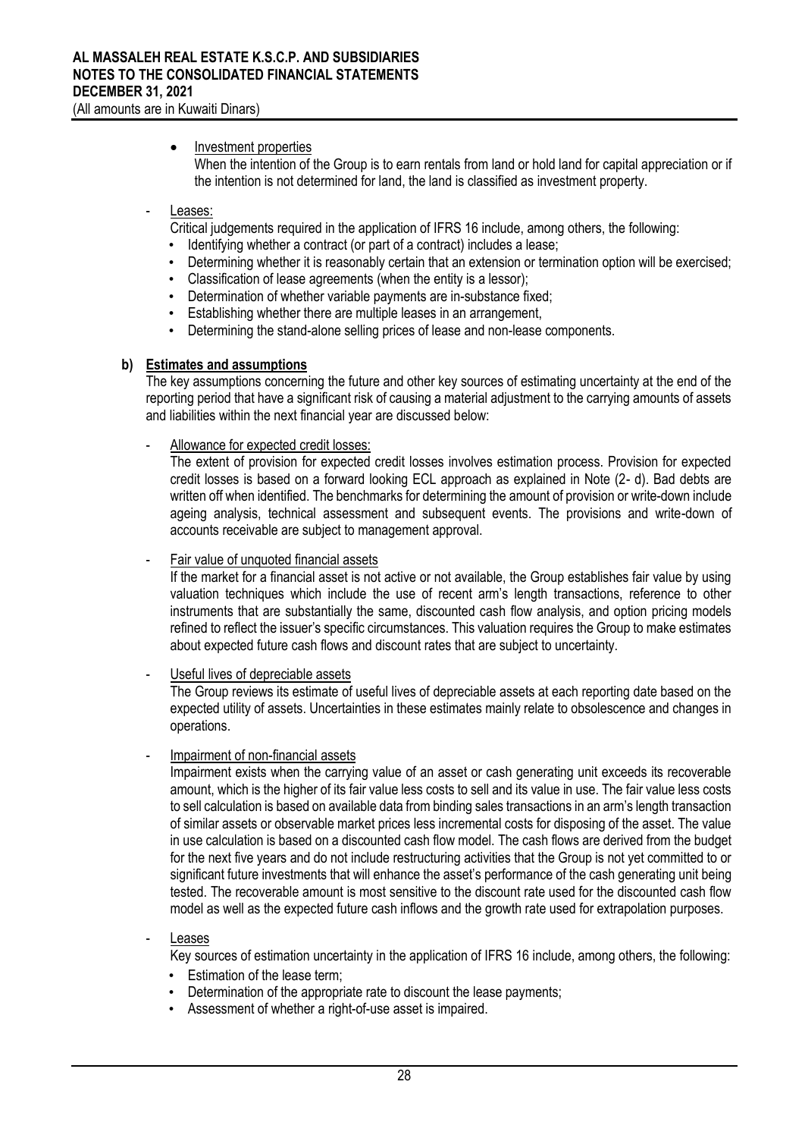#### • Investment properties

When the intention of the Group is to earn rentals from land or hold land for capital appreciation or if the intention is not determined for land, the land is classified as investment property.

- Leases:
	- Critical judgements required in the application of IFRS 16 include, among others, the following:
	- Identifying whether a contract (or part of a contract) includes a lease;
	- Determining whether it is reasonably certain that an extension or termination option will be exercised;
	- Classification of lease agreements (when the entity is a lessor);
	- Determination of whether variable payments are in-substance fixed;
	- Establishing whether there are multiple leases in an arrangement,
	- Determining the stand-alone selling prices of lease and non-lease components.

## **b) Estimates and assumptions**

The key assumptions concerning the future and other key sources of estimating uncertainty at the end of the reporting period that have a significant risk of causing a material adjustment to the carrying amounts of assets and liabilities within the next financial year are discussed below:

Allowance for expected credit losses:

The extent of provision for expected credit losses involves estimation process. Provision for expected credit losses is based on a forward looking ECL approach as explained in Note (2- d). Bad debts are written off when identified. The benchmarks for determining the amount of provision or write-down include ageing analysis, technical assessment and subsequent events. The provisions and write-down of accounts receivable are subject to management approval.

Fair value of unquoted financial assets

If the market for a financial asset is not active or not available, the Group establishes fair value by using valuation techniques which include the use of recent arm's length transactions, reference to other instruments that are substantially the same, discounted cash flow analysis, and option pricing models refined to reflect the issuer's specific circumstances. This valuation requires the Group to make estimates about expected future cash flows and discount rates that are subject to uncertainty.

#### Useful lives of depreciable assets

The Group reviews its estimate of useful lives of depreciable assets at each reporting date based on the expected utility of assets. Uncertainties in these estimates mainly relate to obsolescence and changes in operations.

Impairment of non-financial assets

Impairment exists when the carrying value of an asset or cash generating unit exceeds its recoverable amount, which is the higher of its fair value less costs to sell and its value in use. The fair value less costs to sell calculation is based on available data from binding sales transactions in an arm's length transaction of similar assets or observable market prices less incremental costs for disposing of the asset. The value in use calculation is based on a discounted cash flow model. The cash flows are derived from the budget for the next five years and do not include restructuring activities that the Group is not yet committed to or significant future investments that will enhance the asset's performance of the cash generating unit being tested. The recoverable amount is most sensitive to the discount rate used for the discounted cash flow model as well as the expected future cash inflows and the growth rate used for extrapolation purposes.

#### **Leases**

Key sources of estimation uncertainty in the application of IFRS 16 include, among others, the following:

- Estimation of the lease term;
- Determination of the appropriate rate to discount the lease payments;
- Assessment of whether a right-of-use asset is impaired.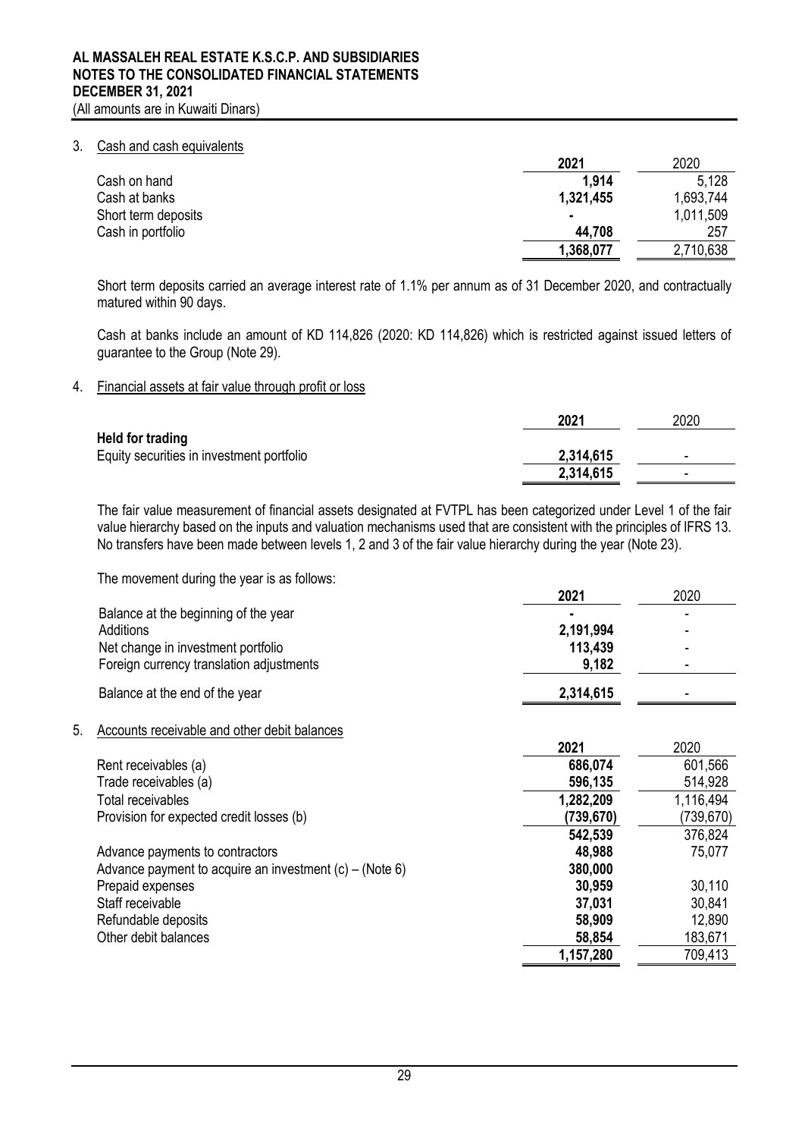# **AL MASSALEH REAL ESTATE K.S.C.P. AND SUBSIDIARIES NOTES TO THE CONSOLIDATED FINANCIAL STATEMENTS DECEMBER 31, 2021**

(All amounts are in Kuwaiti Dinars)

#### 3. Cash and cash equivalents

|                     | 2021      | 2020      |
|---------------------|-----------|-----------|
| Cash on hand        | 1,914     | 5.128     |
| Cash at banks       | 1,321,455 | 1,693,744 |
| Short term deposits |           | 1,011,509 |
| Cash in portfolio   | 44,708    | 257       |
|                     | 1,368,077 | 2,710,638 |

Short term deposits carried an average interest rate of 1.1% per annum as of 31 December 2020, and contractually matured within 90 days.

Cash at banks include an amount of KD 114,826 (2020: KD 114,826) which is restricted against issued letters of guarantee to the Group (Note 29).

#### 4. Financial assets at fair value through profit or loss

|                                           | 2021      | 2020                     |
|-------------------------------------------|-----------|--------------------------|
| Held for trading                          |           |                          |
| Equity securities in investment portfolio | 2,314,615 | $\overline{\phantom{a}}$ |
|                                           | 2,314,615 | $\overline{\phantom{a}}$ |

The fair value measurement of financial assets designated at FVTPL has been categorized under Level 1 of the fair value hierarchy based on the inputs and valuation mechanisms used that are consistent with the principles of IFRS 13. No transfers have been made between levels 1, 2 and 3 of the fair value hierarchy during the year (Note 23).

The movement during the year is as follows:

|                                                           | 2021       | 2020      |
|-----------------------------------------------------------|------------|-----------|
| Balance at the beginning of the year                      |            |           |
| Additions                                                 | 2,191,994  |           |
| Net change in investment portfolio                        | 113,439    |           |
| Foreign currency translation adjustments                  | 9,182      |           |
| Balance at the end of the year                            | 2,314,615  |           |
| 5.<br>Accounts receivable and other debit balances        |            |           |
|                                                           | 2021       | 2020      |
| Rent receivables (a)                                      | 686,074    | 601,566   |
| Trade receivables (a)                                     | 596,135    | 514,928   |
| Total receivables                                         | 1,282,209  | 1,116,494 |
| Provision for expected credit losses (b)                  | (739, 670) | (739,670) |
|                                                           | 542,539    | 376,824   |
| Advance payments to contractors                           | 48,988     | 75,077    |
| Advance payment to acquire an investment $(c) - (Note 6)$ | 380,000    |           |
| Prepaid expenses                                          | 30,959     | 30,110    |
| Staff receivable                                          | 37,031     | 30,841    |
| Refundable deposits                                       | 58,909     | 12,890    |
| Other debit balances                                      | 58,854     | 183,671   |
|                                                           | 1,157,280  | 709,413   |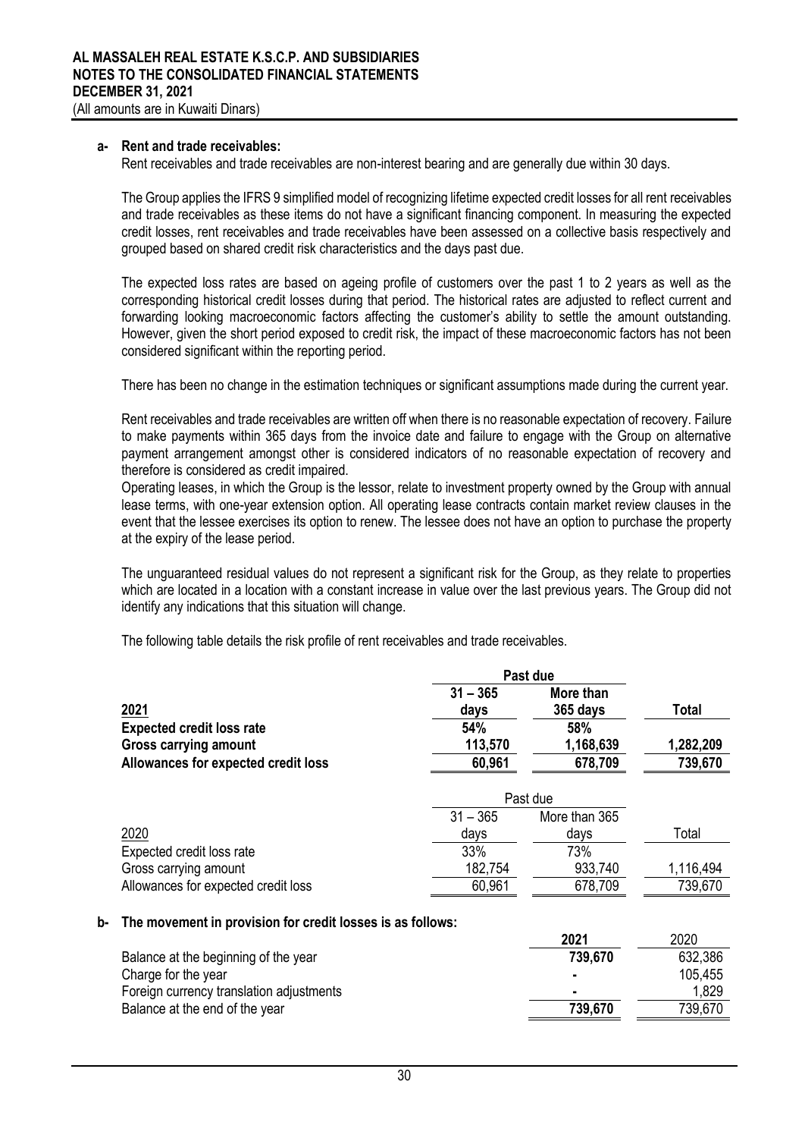## **a- Rent and trade receivables:**

Rent receivables and trade receivables are non-interest bearing and are generally due within 30 days.

The Group applies the IFRS 9 simplified model of recognizing lifetime expected credit losses for all rent receivables and trade receivables as these items do not have a significant financing component. In measuring the expected credit losses, rent receivables and trade receivables have been assessed on a collective basis respectively and grouped based on shared credit risk characteristics and the days past due.

The expected loss rates are based on ageing profile of customers over the past 1 to 2 years as well as the corresponding historical credit losses during that period. The historical rates are adjusted to reflect current and forwarding looking macroeconomic factors affecting the customer's ability to settle the amount outstanding. However, given the short period exposed to credit risk, the impact of these macroeconomic factors has not been considered significant within the reporting period.

There has been no change in the estimation techniques or significant assumptions made during the current year.

Rent receivables and trade receivables are written off when there is no reasonable expectation of recovery. Failure to make payments within 365 days from the invoice date and failure to engage with the Group on alternative payment arrangement amongst other is considered indicators of no reasonable expectation of recovery and therefore is considered as credit impaired.

Operating leases, in which the Group is the lessor, relate to investment property owned by the Group with annual lease terms, with one-year extension option. All operating lease contracts contain market review clauses in the event that the lessee exercises its option to renew. The lessee does not have an option to purchase the property at the expiry of the lease period.

The unguaranteed residual values do not represent a significant risk for the Group, as they relate to properties which are located in a location with a constant increase in value over the last previous years. The Group did not identify any indications that this situation will change.

The following table details the risk profile of rent receivables and trade receivables.

|                                     |            | Past due      |              |
|-------------------------------------|------------|---------------|--------------|
|                                     | $31 - 365$ | More than     |              |
| <u>2021</u>                         | days       | 365 days      | <b>Total</b> |
| <b>Expected credit loss rate</b>    | 54%        | 58%           |              |
| <b>Gross carrying amount</b>        | 113,570    | 1,168,639     | 1,282,209    |
| Allowances for expected credit loss | 60,961     | 678,709       | 739,670      |
|                                     |            | Past due      |              |
|                                     |            |               |              |
|                                     | $31 - 365$ | More than 365 |              |
| 2020                                | days       | days          | Total        |
| Expected credit loss rate           | 33%        | 73%           |              |
| Gross carrying amount               | 182,754    | 933,740       | 1,116,494    |
| Allowances for expected credit loss | 60,961     | 678,709       | 739,670      |
|                                     |            |               |              |

#### **b- The movement in provision for credit losses is as follows:**

|                                          | 2021    | 2020    |
|------------------------------------------|---------|---------|
| Balance at the beginning of the year     | 739.670 | 632,386 |
| Charge for the year                      |         | 105,455 |
| Foreign currency translation adjustments |         | 1,829   |
| Balance at the end of the year           | 739,670 | 739,670 |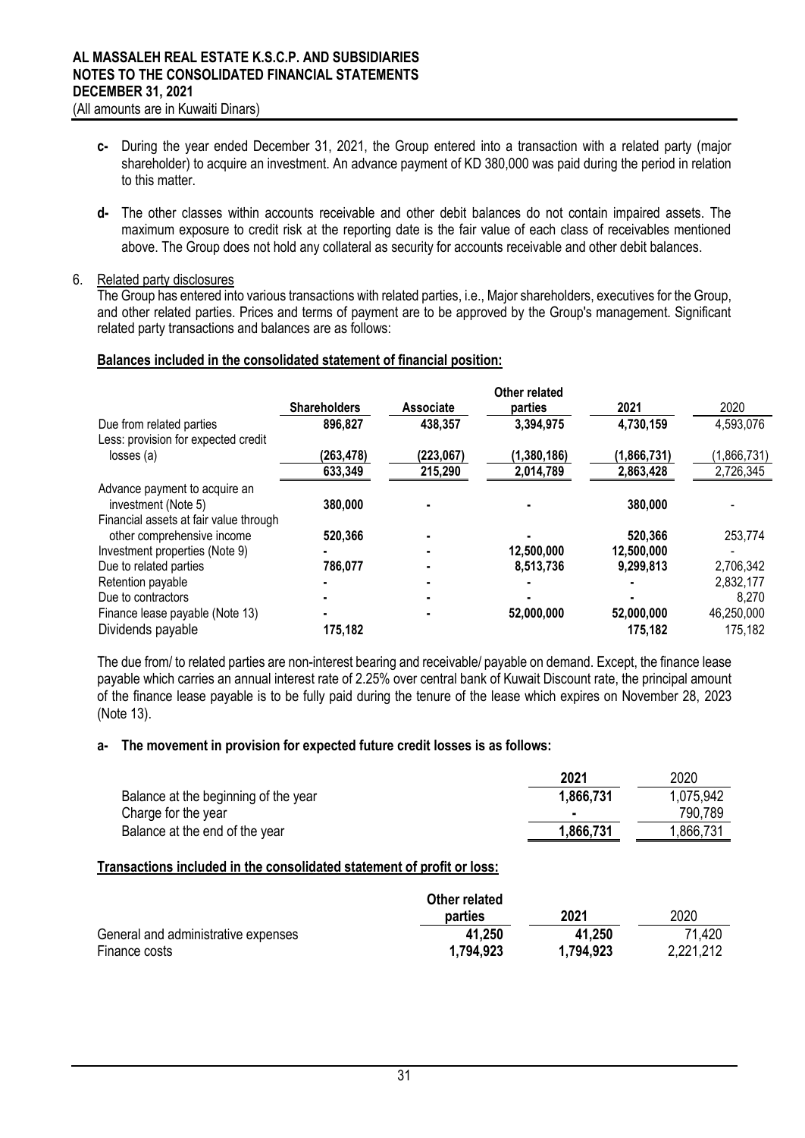- **c-** During the year ended December 31, 2021, the Group entered into a transaction with a related party (major shareholder) to acquire an investment. An advance payment of KD 380,000 was paid during the period in relation to this matter.
- **d-** The other classes within accounts receivable and other debit balances do not contain impaired assets. The maximum exposure to credit risk at the reporting date is the fair value of each class of receivables mentioned above. The Group does not hold any collateral as security for accounts receivable and other debit balances.

#### 6. Related party disclosures

The Group has entered into various transactions with related parties, i.e., Major shareholders, executives for the Group, and other related parties. Prices and terms of payment are to be approved by the Group's management. Significant related party transactions and balances are as follows:

## **Balances included in the consolidated statement of financial position:**

|                                        |                     |           | Other related |             |             |
|----------------------------------------|---------------------|-----------|---------------|-------------|-------------|
|                                        | <b>Shareholders</b> | Associate | parties       | 2021        | 2020        |
| Due from related parties               | 896,827             | 438,357   | 3,394,975     | 4,730,159   | 4,593,076   |
| Less: provision for expected credit    |                     |           |               |             |             |
| losses(a)                              | (263, 478)          | (223,067) | (1,380,186)   | (1,866,731) | (1,866,731) |
|                                        | 633,349             | 215,290   | 2,014,789     | 2,863,428   | 2,726,345   |
| Advance payment to acquire an          |                     |           |               |             |             |
| investment (Note 5)                    | 380,000             |           |               | 380,000     |             |
| Financial assets at fair value through |                     |           |               |             |             |
| other comprehensive income             | 520,366             |           |               | 520,366     | 253,774     |
| Investment properties (Note 9)         |                     |           | 12,500,000    | 12,500,000  |             |
| Due to related parties                 | 786,077             |           | 8,513,736     | 9,299,813   | 2,706,342   |
| Retention payable                      |                     |           |               |             | 2,832,177   |
| Due to contractors                     |                     |           |               |             | 8,270       |
| Finance lease payable (Note 13)        |                     |           | 52,000,000    | 52,000,000  | 46,250,000  |
| Dividends payable                      | 175,182             |           |               | 175,182     | 175,182     |

The due from/ to related parties are non-interest bearing and receivable/ payable on demand. Except, the finance lease payable which carries an annual interest rate of 2.25% over central bank of Kuwait Discount rate, the principal amount of the finance lease payable is to be fully paid during the tenure of the lease which expires on November 28, 2023 (Note 13).

#### **a- The movement in provision for expected future credit losses is as follows:**

|                                      | 2021      | 2020      |
|--------------------------------------|-----------|-----------|
| Balance at the beginning of the year | 1,866,731 | 1,075,942 |
| Charge for the year                  |           | 790.789   |
| Balance at the end of the year       | 1,866,731 | ,866,731  |
|                                      |           |           |

## **Transactions included in the consolidated statement of profit or loss:**

|                                     | Other related |           |           |
|-------------------------------------|---------------|-----------|-----------|
|                                     | parties       | 2021      | 2020      |
| General and administrative expenses | 41,250        | 41.250    | 71,420    |
| Finance costs                       | 1,794,923     | 1,794,923 | 2,221,212 |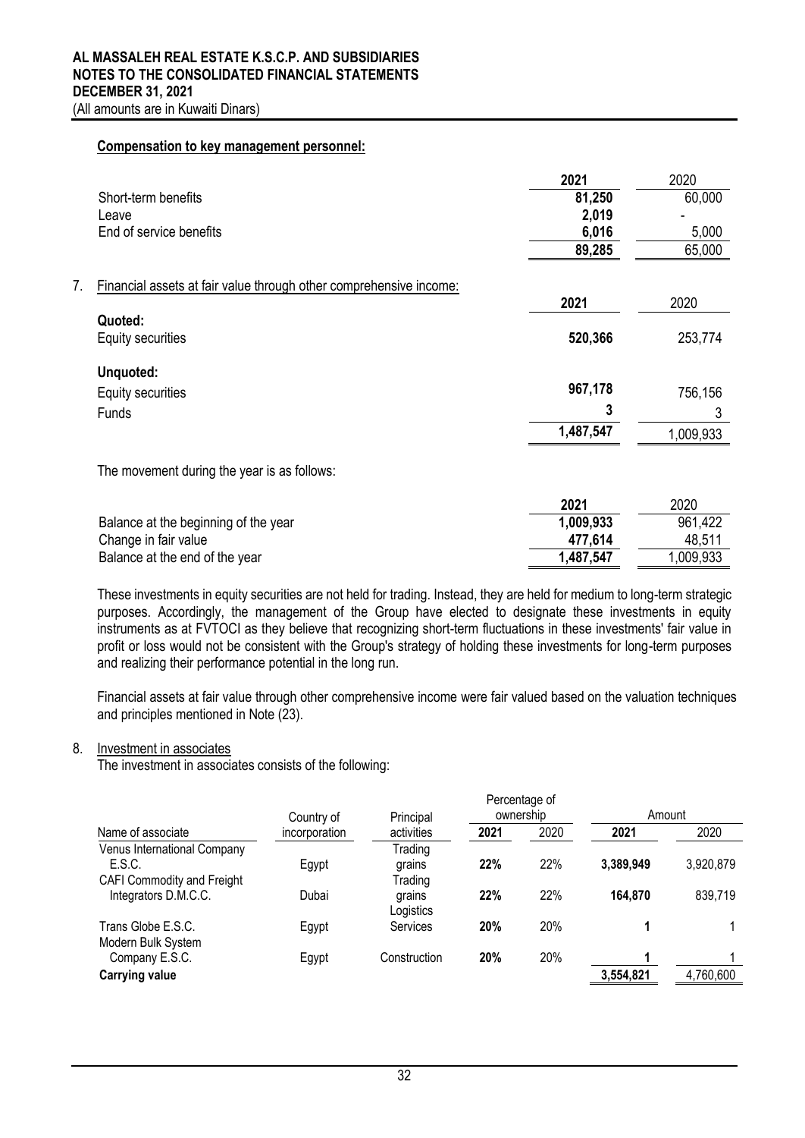## **Compensation to key management personnel:**

|                                                                          | 2021      | 2020      |
|--------------------------------------------------------------------------|-----------|-----------|
| Short-term benefits                                                      | 81,250    | 60,000    |
| Leave                                                                    | 2,019     |           |
| End of service benefits                                                  | 6,016     | 5,000     |
|                                                                          | 89,285    | 65,000    |
| 7.<br>Financial assets at fair value through other comprehensive income: |           |           |
|                                                                          | 2021      | 2020      |
| Quoted:                                                                  |           |           |
| Equity securities                                                        | 520,366   | 253,774   |
| Unquoted:                                                                |           |           |
| Equity securities                                                        | 967,178   | 756,156   |
| Funds                                                                    | 3         | 3         |
|                                                                          | 1,487,547 | 1,009,933 |
| The movement during the year is as follows:                              |           |           |
|                                                                          | 2021      | 2020      |
| Balance at the beginning of the year                                     | 1,009,933 | 961,422   |
| Change in fair value                                                     | 477,614   | 48,511    |
| Balance at the end of the year                                           | 1,487,547 | 1,009,933 |

These investments in equity securities are not held for trading. Instead, they are held for medium to long-term strategic purposes. Accordingly, the management of the Group have elected to designate these investments in equity instruments as at FVTOCI as they believe that recognizing short-term fluctuations in these investments' fair value in profit or loss would not be consistent with the Group's strategy of holding these investments for long-term purposes and realizing their performance potential in the long run.

Financial assets at fair value through other comprehensive income were fair valued based on the valuation techniques and principles mentioned in Note (23).

#### 8. Investment in associates

The investment in associates consists of the following:

|                                                           |               |                                |      | Percentage of |           |           |
|-----------------------------------------------------------|---------------|--------------------------------|------|---------------|-----------|-----------|
|                                                           | Country of    | Principal                      |      | ownership     |           | Amount    |
| Name of associate                                         | incorporation | activities                     | 2021 | 2020          | 2021      | 2020      |
| Venus International Company<br>E.S.C.                     | Egypt         | Trading<br>grains              | 22%  | 22%           | 3,389,949 | 3,920,879 |
| <b>CAFI Commodity and Freight</b><br>Integrators D.M.C.C. | Dubai         | Trading<br>grains<br>Logistics | 22%  | 22%           | 164,870   | 839,719   |
| Trans Globe E.S.C.<br>Modern Bulk System                  | Egypt         | Services                       | 20%  | 20%           |           |           |
| Company E.S.C.<br><b>Carrying value</b>                   | Egypt         | Construction                   | 20%  | 20%           | 3,554,821 | 4,760,600 |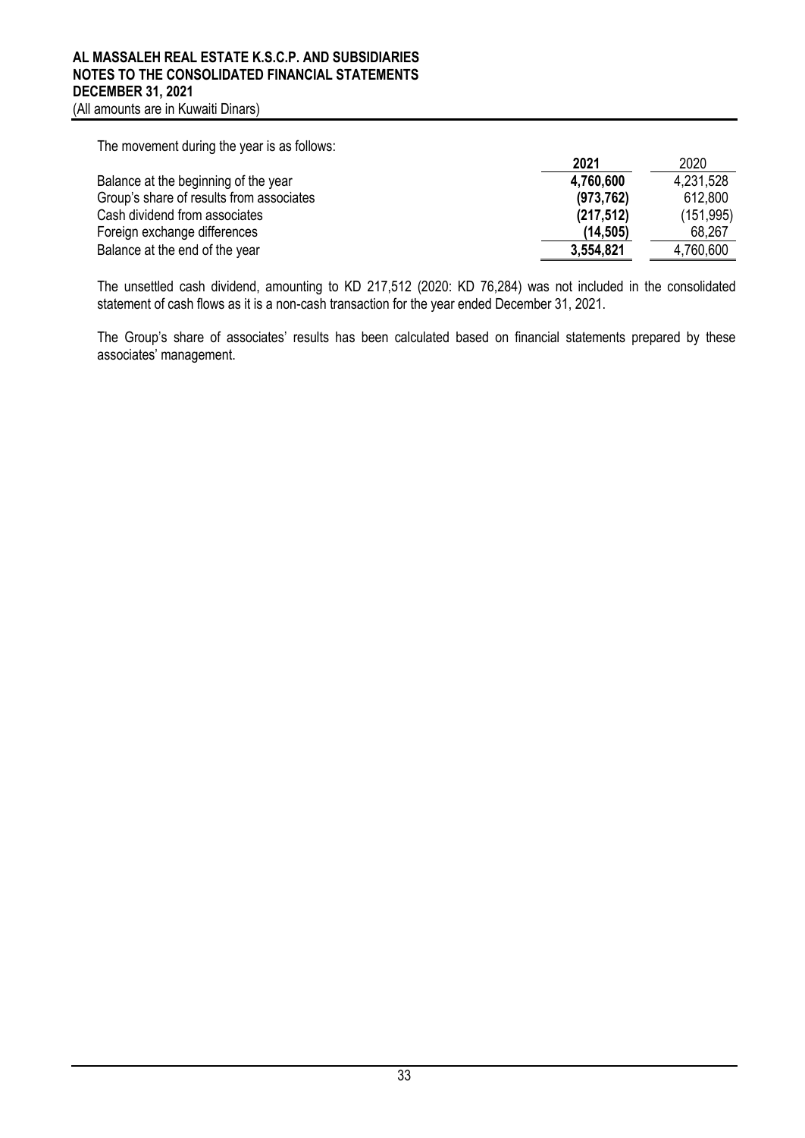The movement during the year is as follows:

| $1.1.0$ . The following weaking the four to the following. | 2021       | 2020      |
|------------------------------------------------------------|------------|-----------|
| Balance at the beginning of the year                       | 4,760,600  | 4,231,528 |
| Group's share of results from associates                   | (973, 762) | 612,800   |
| Cash dividend from associates                              | (217, 512) | (151,995) |
| Foreign exchange differences                               | (14, 505)  | 68,267    |
| Balance at the end of the year                             | 3,554,821  | 4,760,600 |

The unsettled cash dividend, amounting to KD 217,512 (2020: KD 76,284) was not included in the consolidated statement of cash flows as it is a non-cash transaction for the year ended December 31, 2021.

The Group's share of associates' results has been calculated based on financial statements prepared by these associates' management.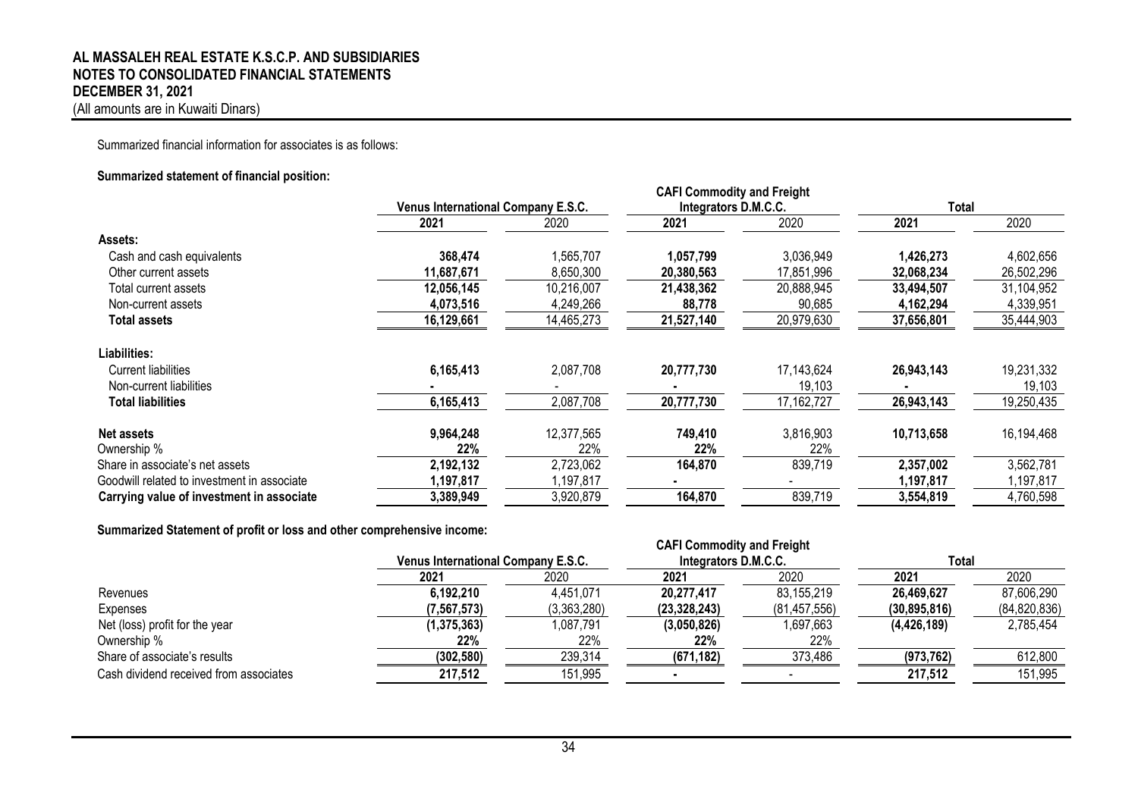## **AL MASSALEH REAL ESTATE K.S.C.P. AND SUBSIDIARIES NOTES TO CONSOLIDATED FINANCIAL STATEMENTS DECEMBER 31, 2021** (All amounts are in Kuwaiti Dinars)

Summarized financial information for associates is as follows:

### **Summarized statement of financial position:**

|                                             | <b>CAFI Commodity and Freight</b>         |            |                      |              |            |            |
|---------------------------------------------|-------------------------------------------|------------|----------------------|--------------|------------|------------|
|                                             | <b>Venus International Company E.S.C.</b> |            | Integrators D.M.C.C. |              | Total      |            |
|                                             | 2021                                      | 2020       | 2021                 | 2020         | 2021       | 2020       |
| Assets:                                     |                                           |            |                      |              |            |            |
| Cash and cash equivalents                   | 368,474                                   | 1,565,707  | 1,057,799            | 3,036,949    | 1,426,273  | 4,602,656  |
| Other current assets                        | 11,687,671                                | 8,650,300  | 20,380,563           | 17,851,996   | 32,068,234 | 26,502,296 |
| Total current assets                        | 12,056,145                                | 10,216,007 | 21,438,362           | 20,888,945   | 33,494,507 | 31,104,952 |
| Non-current assets                          | 4,073,516                                 | 4,249,266  | 88,778               | 90,685       | 4,162,294  | 4,339,951  |
| <b>Total assets</b>                         | 16,129,661                                | 14,465,273 | 21,527,140           | 20,979,630   | 37,656,801 | 35,444,903 |
| Liabilities:                                |                                           |            |                      |              |            |            |
| <b>Current liabilities</b>                  | 6,165,413                                 | 2,087,708  | 20,777,730           | 17,143,624   | 26,943,143 | 19,231,332 |
| Non-current liabilities                     |                                           |            |                      | 19,103       |            | 19,103     |
| <b>Total liabilities</b>                    | 6,165,413                                 | 2,087,708  | 20,777,730           | 17, 162, 727 | 26,943,143 | 19,250,435 |
| Net assets                                  | 9,964,248                                 | 12,377,565 | 749,410              | 3,816,903    | 10,713,658 | 16,194,468 |
| Ownership %                                 | 22%                                       | 22%        | 22%                  | 22%          |            |            |
| Share in associate's net assets             | 2,192,132                                 | 2,723,062  | 164,870              | 839,719      | 2,357,002  | 3,562,781  |
| Goodwill related to investment in associate | 1,197,817                                 | 1,197,817  |                      |              | 1,197,817  | 1,197,817  |
| Carrying value of investment in associate   | 3,389,949                                 | 3,920,879  | 164,870              | 839,719      | 3,554,819  | 4,760,598  |

## **Summarized Statement of profit or loss and other comprehensive income:**

|                                        | <b>CAFI Commodity and Freight</b> |                                           |                |                      |                |              |  |
|----------------------------------------|-----------------------------------|-------------------------------------------|----------------|----------------------|----------------|--------------|--|
|                                        |                                   | <b>Venus International Company E.S.C.</b> |                | Integrators D.M.C.C. |                | Total        |  |
|                                        | 2021                              | 2020                                      | 2021           | 2020                 | 2021           | 2020         |  |
| Revenues                               | 6,192,210                         | 4,451,071                                 | 20,277,417     | 83,155,219           | 26,469,627     | 87,606,290   |  |
| Expenses                               | (7,567,573)                       | (3,363,280)                               | (23, 328, 243) | (81, 457, 556)       | (30, 895, 816) | (84,820,836) |  |
| Net (loss) profit for the year         | (1, 375, 363)                     | 1,087,791                                 | (3,050,826)    | 697,663,             | (4, 426, 189)  | 2,785,454    |  |
| Ownership %                            | 22%                               | 22%                                       | 22%            | 22%                  |                |              |  |
| Share of associate's results           | (302, 580)                        | 239,314                                   | (671, 182)     | 373,486              | (973, 762)     | 612,800      |  |
| Cash dividend received from associates | 217,512                           | 151,995                                   |                |                      | 217,512        | 151,995      |  |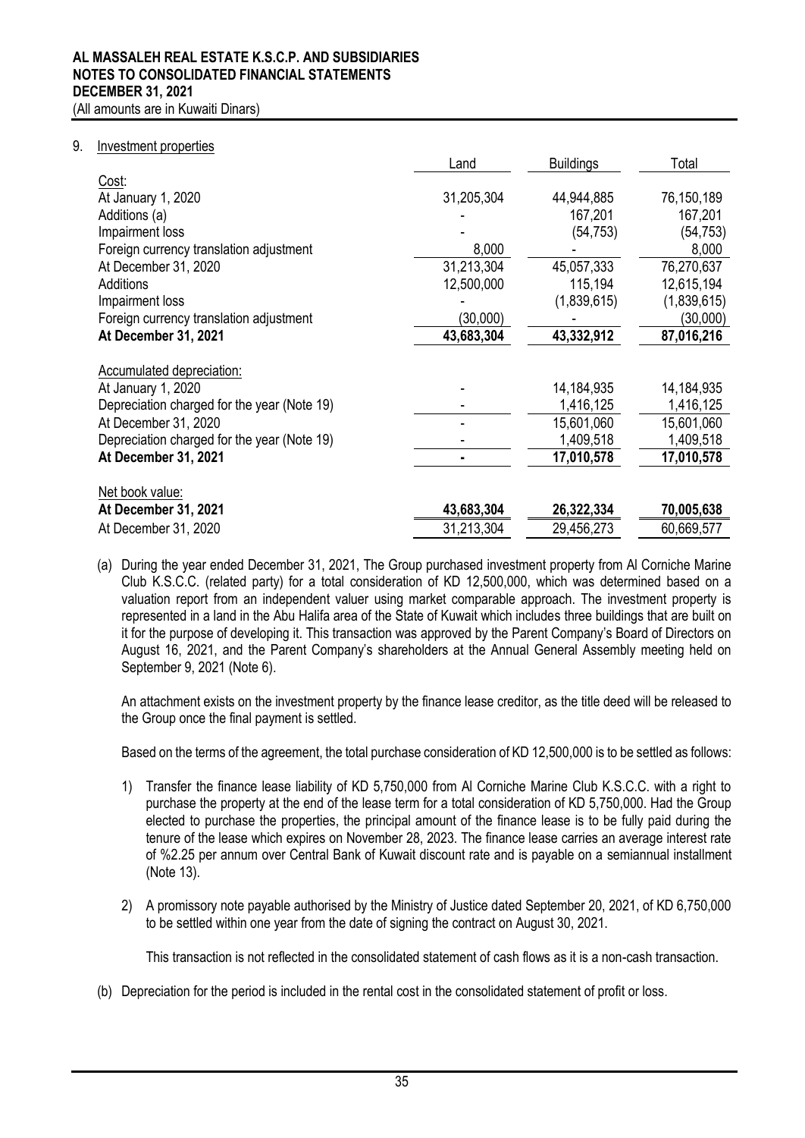# **AL MASSALEH REAL ESTATE K.S.C.P. AND SUBSIDIARIES NOTES TO CONSOLIDATED FINANCIAL STATEMENTS DECEMBER 31, 2021**

(All amounts are in Kuwaiti Dinars)

#### 9. Investment properties

|                                             | Land       | <b>Buildings</b> | Total       |
|---------------------------------------------|------------|------------------|-------------|
| <u>Cost:</u>                                |            |                  |             |
| At January 1, 2020                          | 31,205,304 | 44,944,885       | 76,150,189  |
| Additions (a)                               |            | 167,201          | 167,201     |
| Impairment loss                             |            | (54, 753)        | (54,753)    |
| Foreign currency translation adjustment     | 8,000      |                  | 8,000       |
| At December 31, 2020                        | 31,213,304 | 45,057,333       | 76,270,637  |
| Additions                                   | 12,500,000 | 115,194          | 12,615,194  |
| Impairment loss                             |            | (1,839,615)      | (1,839,615) |
| Foreign currency translation adjustment     | (30,000)   |                  | (30,000)    |
| At December 31, 2021                        | 43,683,304 | 43,332,912       | 87,016,216  |
| Accumulated depreciation:                   |            |                  |             |
| At January 1, 2020                          |            | 14,184,935       | 14,184,935  |
| Depreciation charged for the year (Note 19) |            | 1,416,125        | 1,416,125   |
| At December 31, 2020                        |            | 15,601,060       | 15,601,060  |
| Depreciation charged for the year (Note 19) |            | 1,409,518        | 1,409,518   |
| At December 31, 2021                        |            | 17,010,578       | 17,010,578  |
| Net book value:                             |            |                  |             |
| At December 31, 2021                        | 43,683,304 | 26,322,334       | 70,005,638  |
| At December 31, 2020                        | 31,213,304 | 29,456,273       | 60,669,577  |

(a) During the year ended December 31, 2021, The Group purchased investment property from Al Corniche Marine Club K.S.C.C. (related party) for a total consideration of KD 12,500,000, which was determined based on a valuation report from an independent valuer using market comparable approach. The investment property is represented in a land in the Abu Halifa area of the State of Kuwait which includes three buildings that are built on it for the purpose of developing it. This transaction was approved by the Parent Company's Board of Directors on August 16, 2021, and the Parent Company's shareholders at the Annual General Assembly meeting held on September 9, 2021 (Note 6).

An attachment exists on the investment property by the finance lease creditor, as the title deed will be released to the Group once the final payment is settled.

Based on the terms of the agreement, the total purchase consideration of KD 12,500,000 is to be settled as follows:

- 1) Transfer the finance lease liability of KD 5,750,000 from Al Corniche Marine Club K.S.C.C. with a right to purchase the property at the end of the lease term for a total consideration of KD 5,750,000. Had the Group elected to purchase the properties, the principal amount of the finance lease is to be fully paid during the tenure of the lease which expires on November 28, 2023. The finance lease carries an average interest rate of %2.25 per annum over Central Bank of Kuwait discount rate and is payable on a semiannual installment (Note 13).
- 2) A promissory note payable authorised by the Ministry of Justice dated September 20, 2021, of KD 6,750,000 to be settled within one year from the date of signing the contract on August 30, 2021.

This transaction is not reflected in the consolidated statement of cash flows as it is a non-cash transaction.

(b) Depreciation for the period is included in the rental cost in the consolidated statement of profit or loss.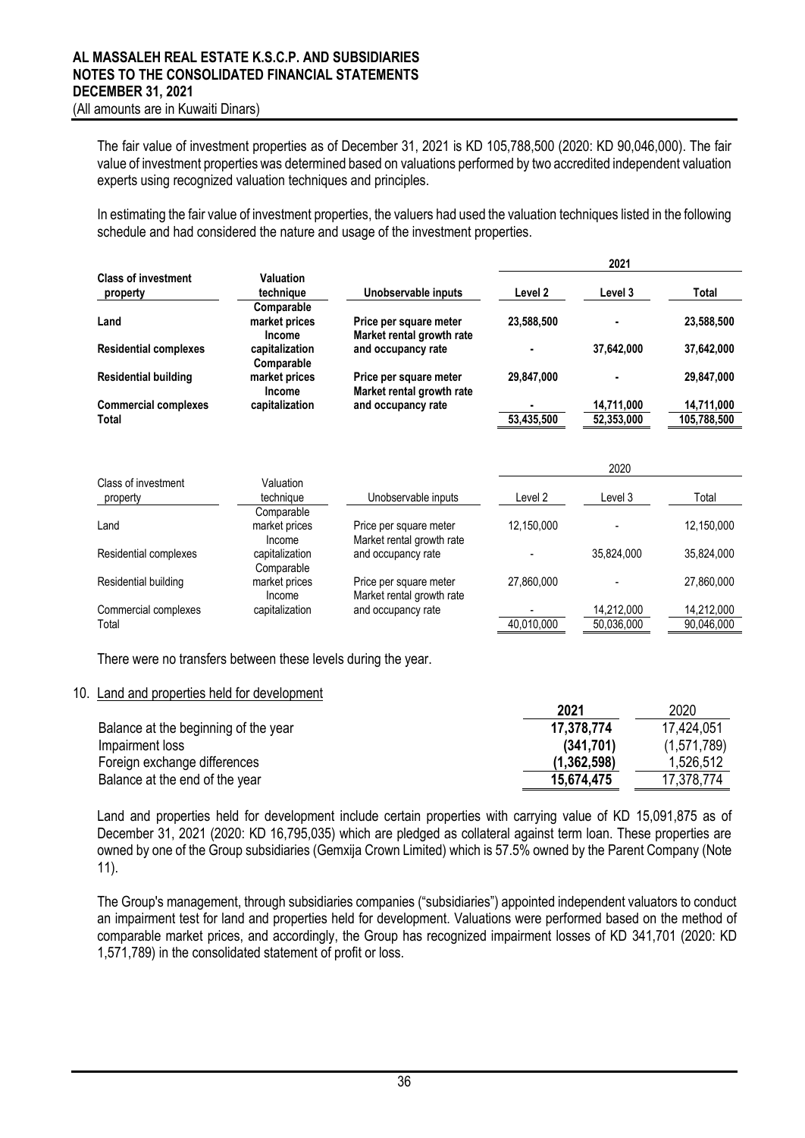The fair value of investment properties as of December 31, 2021 is KD 105,788,500 (2020: KD 90,046,000). The fair value of investment properties was determined based on valuations performed by two accredited independent valuation experts using recognized valuation techniques and principles.

In estimating the fair value of investment properties, the valuers had used the valuation techniques listed in the following schedule and had considered the nature and usage of the investment properties.

|                                        |                                              |                                                     |            | 2021       |             |
|----------------------------------------|----------------------------------------------|-----------------------------------------------------|------------|------------|-------------|
| <b>Class of investment</b><br>property | <b>Valuation</b><br>technique                | Unobservable inputs                                 | Level 2    | Level 3    | Total       |
| Land                                   | Comparable<br>market prices<br><b>Income</b> | Price per square meter<br>Market rental growth rate | 23,588,500 |            | 23,588,500  |
| <b>Residential complexes</b>           | capitalization<br>Comparable                 | and occupancy rate                                  |            | 37,642,000 | 37,642,000  |
| <b>Residential building</b>            | market prices<br>Income                      | Price per square meter<br>Market rental growth rate | 29,847,000 |            | 29,847,000  |
| <b>Commercial complexes</b>            | capitalization                               | and occupancy rate                                  |            | 14,711,000 | 14,711,000  |
| Total                                  |                                              |                                                     | 53,435,500 | 52,353,000 | 105,788,500 |
| Class of investment                    | Valuation                                    |                                                     |            | 2020       |             |
| property                               | technique                                    | Unobservable inputs                                 | Level 2    | Level 3    | Total       |
| Land                                   | Comparable<br>market prices<br>Income        | Price per square meter<br>Market rental growth rate | 12,150,000 |            | 12,150,000  |
| Residential complexes                  | capitalization<br>Comparable                 | and occupancy rate                                  |            | 35,824,000 | 35,824,000  |
| Residential building                   | market prices<br>Income                      | Price per square meter<br>Market rental growth rate | 27,860,000 |            | 27,860,000  |
| Commercial complexes                   | capitalization                               | and occupancy rate                                  |            | 14,212,000 | 14,212,000  |
| Total                                  |                                              |                                                     | 40,010,000 | 50,036,000 | 90,046,000  |

There were no transfers between these levels during the year.

#### 10. Land and properties held for development

|                                      | 2021        | 2020        |
|--------------------------------------|-------------|-------------|
| Balance at the beginning of the year | 17,378,774  | 17,424,051  |
| Impairment loss                      | (341,701)   | (1,571,789) |
| Foreign exchange differences         | (1,362,598) | 1,526,512   |
| Balance at the end of the year       | 15,674,475  | 17,378,774  |

Land and properties held for development include certain properties with carrying value of KD 15,091,875 as of December 31, 2021 (2020: KD 16,795,035) which are pledged as collateral against term loan. These properties are owned by one of the Group subsidiaries (Gemxija Crown Limited) which is 57.5% owned by the Parent Company (Note 11).

The Group's management, through subsidiaries companies ("subsidiaries") appointed independent valuators to conduct an impairment test for land and properties held for development. Valuations were performed based on the method of comparable market prices, and accordingly, the Group has recognized impairment losses of KD 341,701 (2020: KD 1,571,789) in the consolidated statement of profit or loss.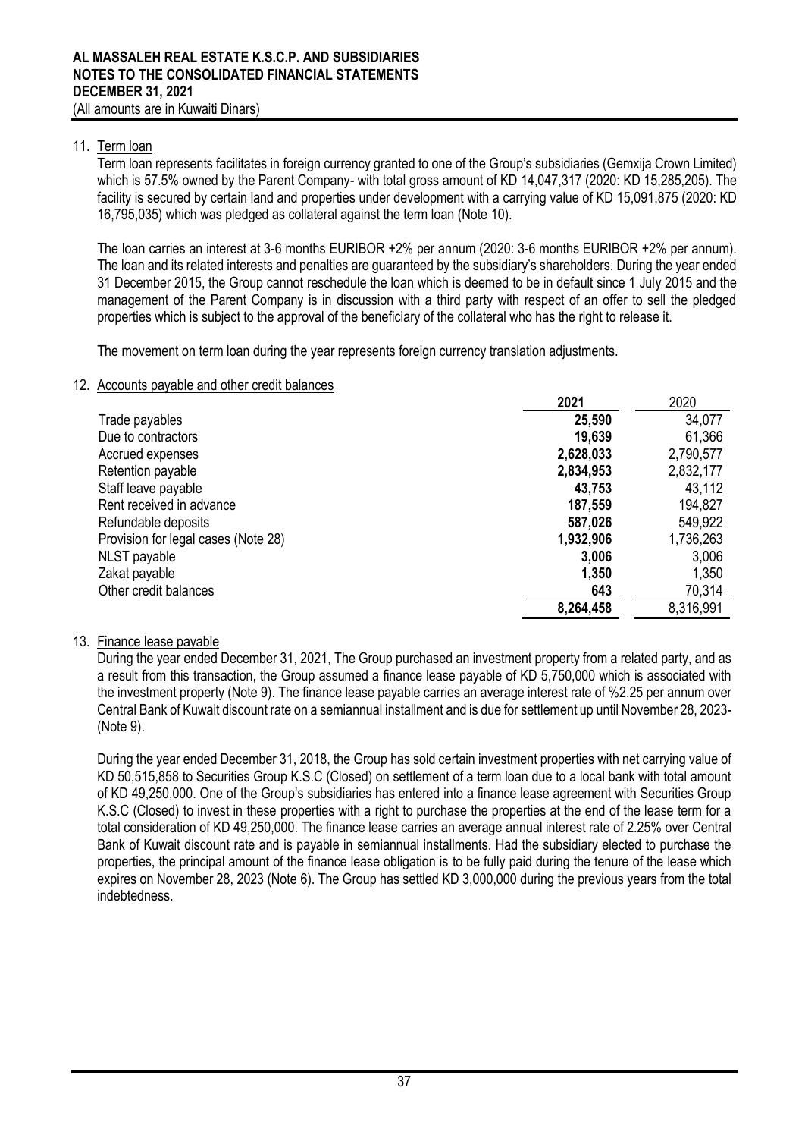## 11. Term loan

Term loan represents facilitates in foreign currency granted to one of the Group's subsidiaries (Gemxija Crown Limited) which is 57.5% owned by the Parent Company- with total gross amount of KD 14,047,317 (2020: KD 15,285,205). The facility is secured by certain land and properties under development with a carrying value of KD 15,091,875 (2020: KD 16,795,035) which was pledged as collateral against the term loan (Note 10).

The loan carries an interest at 3-6 months EURIBOR +2% per annum (2020: 3-6 months EURIBOR +2% per annum). The loan and its related interests and penalties are guaranteed by the subsidiary's shareholders. During the year ended 31 December 2015, the Group cannot reschedule the loan which is deemed to be in default since 1 July 2015 and the management of the Parent Company is in discussion with a third party with respect of an offer to sell the pledged properties which is subject to the approval of the beneficiary of the collateral who has the right to release it.

The movement on term loan during the year represents foreign currency translation adjustments.

## 12. Accounts payable and other credit balances

|                                     | 2021      | 2020      |
|-------------------------------------|-----------|-----------|
| Trade payables                      | 25,590    | 34,077    |
| Due to contractors                  | 19,639    | 61,366    |
| Accrued expenses                    | 2,628,033 | 2,790,577 |
| Retention payable                   | 2,834,953 | 2,832,177 |
| Staff leave payable                 | 43,753    | 43,112    |
| Rent received in advance            | 187,559   | 194,827   |
| Refundable deposits                 | 587,026   | 549,922   |
| Provision for legal cases (Note 28) | 1,932,906 | 1,736,263 |
| NLST payable                        | 3,006     | 3,006     |
| Zakat payable                       | 1,350     | 1,350     |
| Other credit balances               | 643       | 70,314    |
|                                     | 8,264,458 | 8,316,991 |

# 13. Finance lease payable

During the year ended December 31, 2021, The Group purchased an investment property from a related party, and as a result from this transaction, the Group assumed a finance lease payable of KD 5,750,000 which is associated with the investment property (Note 9). The finance lease payable carries an average interest rate of %2.25 per annum over Central Bank of Kuwait discount rate on a semiannual installment and is due for settlement up until November 28, 2023- (Note 9).

During the year ended December 31, 2018, the Group has sold certain investment properties with net carrying value of KD 50,515,858 to Securities Group K.S.C (Closed) on settlement of a term loan due to a local bank with total amount of KD 49,250,000. One of the Group's subsidiaries has entered into a finance lease agreement with Securities Group K.S.C (Closed) to invest in these properties with a right to purchase the properties at the end of the lease term for a total consideration of KD 49,250,000. The finance lease carries an average annual interest rate of 2.25% over Central Bank of Kuwait discount rate and is payable in semiannual installments. Had the subsidiary elected to purchase the properties, the principal amount of the finance lease obligation is to be fully paid during the tenure of the lease which expires on November 28, 2023 (Note 6). The Group has settled KD 3,000,000 during the previous years from the total indebtedness.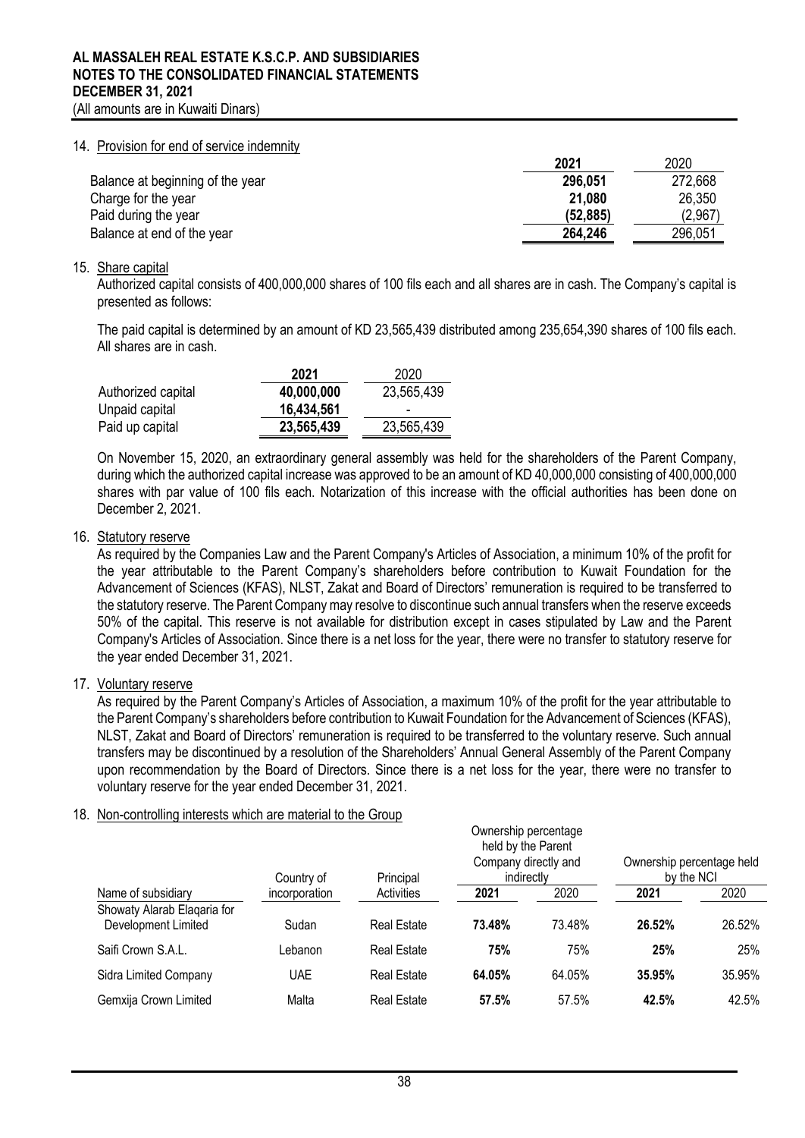# **AL MASSALEH REAL ESTATE K.S.C.P. AND SUBSIDIARIES NOTES TO THE CONSOLIDATED FINANCIAL STATEMENTS DECEMBER 31, 2021**

(All amounts are in Kuwaiti Dinars)

#### 14. Provision for end of service indemnity

|                                  | 2021      | 2020    |
|----------------------------------|-----------|---------|
| Balance at beginning of the year | 296,051   | 272,668 |
| Charge for the year              | 21,080    | 26,350  |
| Paid during the year             | (52, 885) | (2,967) |
| Balance at end of the year       | 264,246   | 296,051 |

#### 15. Share capital

Authorized capital consists of 400,000,000 shares of 100 fils each and all shares are in cash. The Company's capital is presented as follows:

The paid capital is determined by an amount of KD 23,565,439 distributed among 235,654,390 shares of 100 fils each. All shares are in cash.

|                    | 2021       | 2020       |
|--------------------|------------|------------|
| Authorized capital | 40,000,000 | 23,565,439 |
| Unpaid capital     | 16,434,561 | -          |
| Paid up capital    | 23,565,439 | 23,565,439 |

On November 15, 2020, an extraordinary general assembly was held for the shareholders of the Parent Company, during which the authorized capital increase was approved to be an amount of KD 40,000,000 consisting of 400,000,000 shares with par value of 100 fils each. Notarization of this increase with the official authorities has been done on December 2, 2021.

## 16. Statutory reserve

As required by the Companies Law and the Parent Company's Articles of Association, a minimum 10% of the profit for the year attributable to the Parent Company's shareholders before contribution to Kuwait Foundation for the Advancement of Sciences (KFAS), NLST, Zakat and Board of Directors' remuneration is required to be transferred to the statutory reserve. The Parent Company may resolve to discontinue such annual transfers when the reserve exceeds 50% of the capital. This reserve is not available for distribution except in cases stipulated by Law and the Parent Company's Articles of Association. Since there is a net loss for the year, there were no transfer to statutory reserve for the year ended December 31, 2021.

## 17. Voluntary reserve

As required by the Parent Company's Articles of Association, a maximum 10% of the profit for the year attributable to the Parent Company's shareholders before contribution to Kuwait Foundation for the Advancement of Sciences (KFAS), NLST, Zakat and Board of Directors' remuneration is required to be transferred to the voluntary reserve. Such annual transfers may be discontinued by a resolution of the Shareholders' Annual General Assembly of the Parent Company upon recommendation by the Board of Directors. Since there is a net loss for the year, there were no transfer to voluntary reserve for the year ended December 31, 2021.

#### 18. Non-controlling interests which are material to the Group

|                                                    | Country of    | Principal          | Ownership percentage<br>held by the Parent<br>Company directly and<br>indirectly |        | Ownership percentage held<br>by the NCI |        |
|----------------------------------------------------|---------------|--------------------|----------------------------------------------------------------------------------|--------|-----------------------------------------|--------|
| Name of subsidiary                                 | incorporation | Activities         | 2021                                                                             | 2020   | 2021                                    | 2020   |
| Showaty Alarab Elagaria for<br>Development Limited | Sudan         | <b>Real Estate</b> | 73.48%                                                                           | 73.48% | 26.52%                                  | 26.52% |
| Saifi Crown S.A.L.                                 | Lebanon       | <b>Real Estate</b> | 75%                                                                              | 75%    | 25%                                     | 25%    |
| Sidra Limited Company                              | UAE           | <b>Real Estate</b> | 64.05%                                                                           | 64.05% | 35.95%                                  | 35.95% |
| Gemxija Crown Limited                              | Malta         | <b>Real Estate</b> | 57.5%                                                                            | 57.5%  | 42.5%                                   | 42.5%  |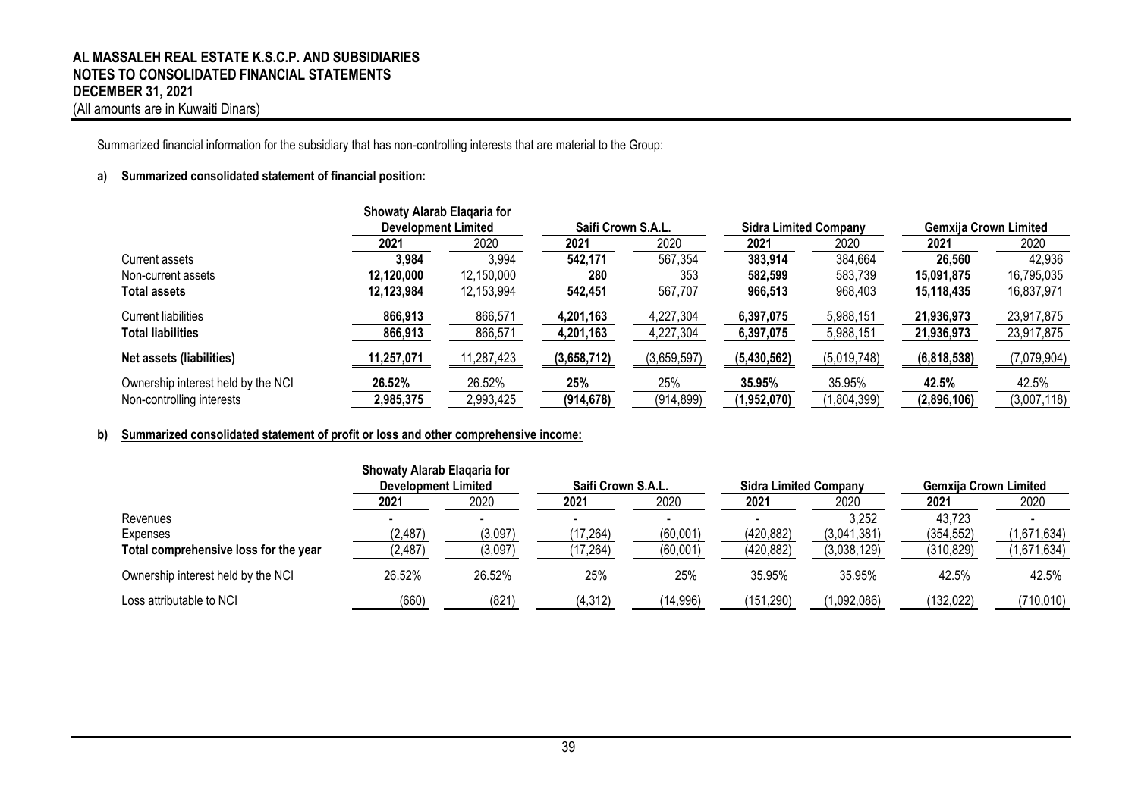## **AL MASSALEH REAL ESTATE K.S.C.P. AND SUBSIDIARIES NOTES TO CONSOLIDATED FINANCIAL STATEMENTS DECEMBER 31, 2021** (All amounts are in Kuwaiti Dinars)

Summarized financial information for the subsidiary that has non-controlling interests that are material to the Group:

#### **a) Summarized consolidated statement of financial position:**

|                                    | <b>Showaty Alarab Elagaria for</b><br><b>Development Limited</b> |            | Saifi Crown S.A.L. |             | <b>Sidra Limited Company</b> |             | <b>Gemxila Crown Limited</b> |             |
|------------------------------------|------------------------------------------------------------------|------------|--------------------|-------------|------------------------------|-------------|------------------------------|-------------|
|                                    | 2021                                                             | 2020       | 2021               | 2020        | 2021                         | 2020        | 2021                         | 2020        |
| Current assets                     | 3,984                                                            | 3,994      | 542,171            | 567,354     | 383,914                      | 384,664     | 26,560                       | 42,936      |
| Non-current assets                 | 12,120,000                                                       | 12,150,000 | 280                | 353         | 582,599                      | 583,739     | 15,091,875                   | 16,795,035  |
| Total assets                       | 12,123,984                                                       | 12,153,994 | 542,451            | 567,707     | 966,513                      | 968,403     | 15,118,435                   | 16,837,971  |
| <b>Current liabilities</b>         | 866,913                                                          | 866,571    | 4,201,163          | 4,227,304   | 6,397,075                    | 5,988,151   | 21,936,973                   | 23,917,875  |
| <b>Total liabilities</b>           | 866,913                                                          | 866,571    | 4,201,163          | 4,227,304   | 6,397,075                    | 5,988,151   | 21,936,973                   | 23,917,875  |
| Net assets (liabilities)           | 11,257,071                                                       | 11,287,423 | (3,658,712)        | (3,659,597) | (5,430,562)                  | (5,019,748) | (6,818,538)                  | (7,079,904) |
| Ownership interest held by the NCI | 26.52%                                                           | 26.52%     | 25%                | 25%         | 35.95%                       | 35.95%      | 42.5%                        | 42.5%       |
| Non-controlling interests          | 2,985,375                                                        | 2,993,425  | (914, 678)         | (914, 899)  | (1,952,070)                  | (1,804,399) | (2,896,106)                  | (3,007,118) |

### **b) Summarized consolidated statement of profit or loss and other comprehensive income:**

|                                       | <b>Showaty Alarab Elagaria for</b> |                          |                    |          |                              |             |                              |             |
|---------------------------------------|------------------------------------|--------------------------|--------------------|----------|------------------------------|-------------|------------------------------|-------------|
|                                       | <b>Development Limited</b>         |                          | Saifi Crown S.A.L. |          | <b>Sidra Limited Company</b> |             | <b>Gemxija Crown Limited</b> |             |
|                                       | 2021                               | 2020                     | 2021               | 2020     | 2021                         | 2020        | 2021                         | 2020        |
| Revenues                              |                                    | $\overline{\phantom{0}}$ |                    |          |                              | 3,252       | 43,723                       |             |
| Expenses                              | (2, 487)                           | (3,097)                  | (17, 264)          | (60,001) | (420, 882)                   | (3,041,381) | (354, 552)                   | 1,671,634)  |
| Total comprehensive loss for the year | (2, 487)                           | (3,097)                  | (17, 264)          | (60,001) | (420, 882)                   | (3,038,129) | (310, 829)                   | (1,671,634) |
| Ownership interest held by the NCI    | 26.52%                             | 26.52%                   | 25%                | 25%      | 35.95%                       | 35.95%      | 42.5%                        | 42.5%       |
| Loss attributable to NCI              | (660)                              | (821)                    | (4, 312)           | (14,996) | (151, 290)                   | 1,092,086)  | (132, 022)                   | (710,010)   |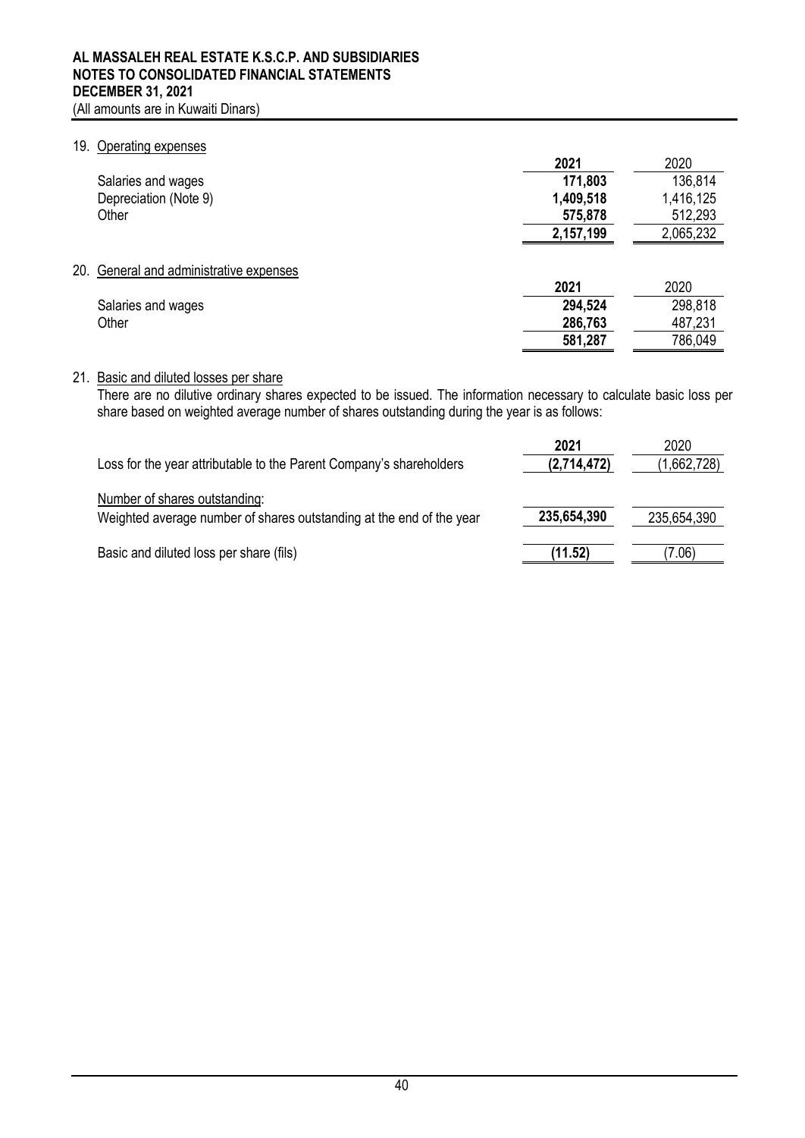# **AL MASSALEH REAL ESTATE K.S.C.P. AND SUBSIDIARIES NOTES TO CONSOLIDATED FINANCIAL STATEMENTS DECEMBER 31, 2021**

(All amounts are in Kuwaiti Dinars)

## 19. Operating expenses

|                                            | 2021      | 2020      |
|--------------------------------------------|-----------|-----------|
| Salaries and wages                         | 171,803   | 136,814   |
| Depreciation (Note 9)                      | 1,409,518 | 1,416,125 |
| Other                                      | 575,878   | 512,293   |
|                                            | 2,157,199 | 2,065,232 |
| 20.<br>General and administrative expenses | 2021      | 2020      |
| Salaries and wages                         | 294,524   | 298,818   |
| Other                                      | 286,763   | 487,231   |
|                                            | 581,287   | 786,049   |

## 21. Basic and diluted losses per share

There are no dilutive ordinary shares expected to be issued. The information necessary to calculate basic loss per share based on weighted average number of shares outstanding during the year is as follows:

| Loss for the year attributable to the Parent Company's shareholders                                   | 2021<br>(2,714,472) | 2020<br>(1,662,728) |
|-------------------------------------------------------------------------------------------------------|---------------------|---------------------|
| Number of shares outstanding:<br>Weighted average number of shares outstanding at the end of the year | 235,654,390         | 235,654,390         |
| Basic and diluted loss per share (fils)                                                               | (11.52)             | (7.06)              |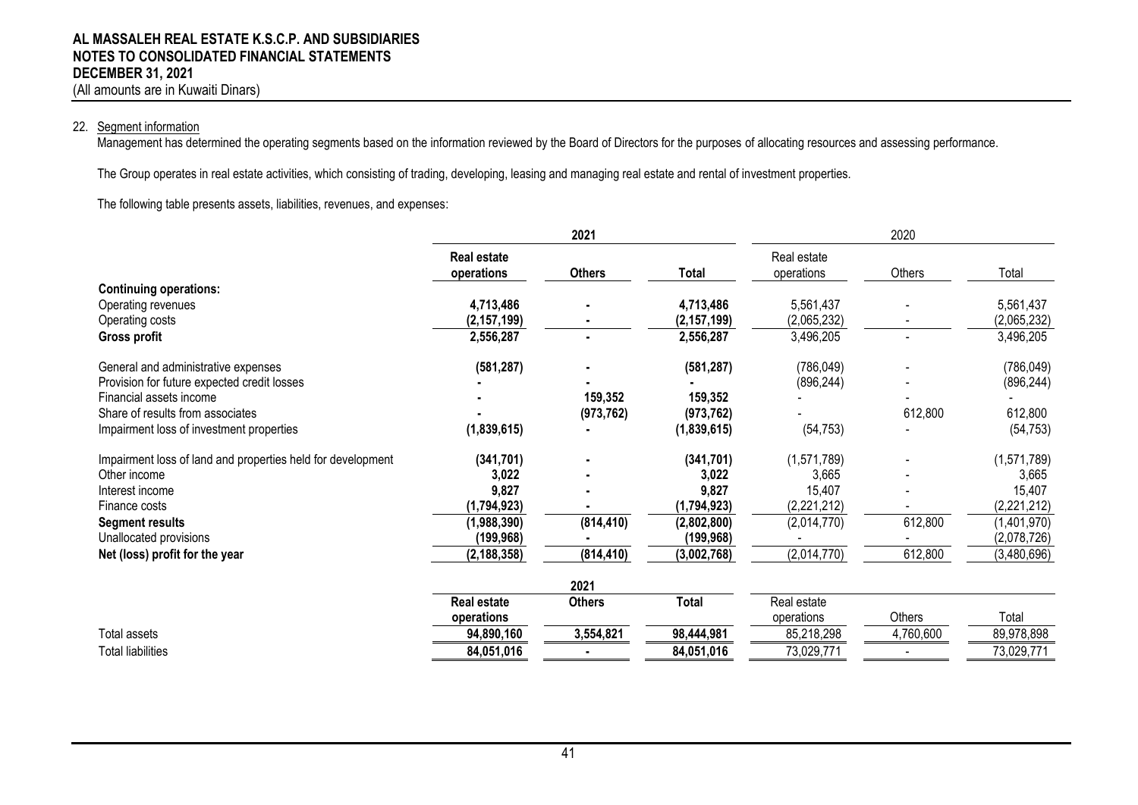#### 22. Segment information

Management has determined the operating segments based on the information reviewed by the Board of Directors for the purposes of allocating resources and assessing performance.

The Group operates in real estate activities, which consisting of trading, developing, leasing and managing real estate and rental of investment properties.

The following table presents assets, liabilities, revenues, and expenses:

|                                                             | 2021                      |               |               | 2020                      |         |             |
|-------------------------------------------------------------|---------------------------|---------------|---------------|---------------------------|---------|-------------|
|                                                             | Real estate<br>operations | <b>Others</b> | Total         | Real estate<br>operations | Others  | Total       |
| <b>Continuing operations:</b>                               |                           |               |               |                           |         |             |
| Operating revenues                                          | 4,713,486                 |               | 4,713,486     | 5,561,437                 |         | 5,561,437   |
| Operating costs                                             | (2, 157, 199)             |               | (2, 157, 199) | (2,065,232)               |         | (2,065,232) |
| <b>Gross profit</b>                                         | 2,556,287                 |               | 2,556,287     | 3,496,205                 |         | 3,496,205   |
| General and administrative expenses                         | (581, 287)                |               | (581, 287)    | (786, 049)                |         | (786, 049)  |
| Provision for future expected credit losses                 |                           |               |               | (896, 244)                |         | (896, 244)  |
| Financial assets income                                     |                           | 159,352       | 159,352       |                           |         |             |
| Share of results from associates                            |                           | (973, 762)    | (973, 762)    |                           | 612,800 | 612,800     |
| Impairment loss of investment properties                    | (1,839,615)               |               | (1,839,615)   | (54, 753)                 |         | (54, 753)   |
| Impairment loss of land and properties held for development | (341, 701)                |               | (341, 701)    | (1,571,789)               |         | (1,571,789) |
| Other income                                                | 3,022                     |               | 3,022         | 3,665                     |         | 3,665       |
| Interest income                                             | 9,827                     |               | 9,827         | 15,407                    |         | 15,407      |
| Finance costs                                               | (1,794,923)               |               | (1,794,923)   | (2,221,212)               |         | (2,221,212) |
| <b>Segment results</b>                                      | (1,988,390)               | (814, 410)    | (2,802,800)   | (2,014,770)               | 612,800 | (1,401,970) |
| Unallocated provisions                                      | (199,968)                 |               | (199,968)     |                           |         | (2,078,726) |
| Net (loss) profit for the year                              | (2, 188, 358)             | (814, 410)    | (3,002,768)   | (2,014,770)               | 612,800 | (3,480,696) |
|                                                             |                           | 2021          |               |                           |         |             |

|                          | ----               |               |            |             |          |            |
|--------------------------|--------------------|---------------|------------|-------------|----------|------------|
|                          | <b>Real estate</b> | <b>Others</b> | Total      | Real estate |          |            |
|                          | operations         |               |            | operations  | Others   | ota        |
| Total assets             | 94,890,160         | 3,554,821     | 98,444,981 | 85,218,298  | .760,600 | 89,978,898 |
| <b>Total liabilities</b> | 84,051,016         |               | 84,051,016 | 73,029,771  |          | 73,029,771 |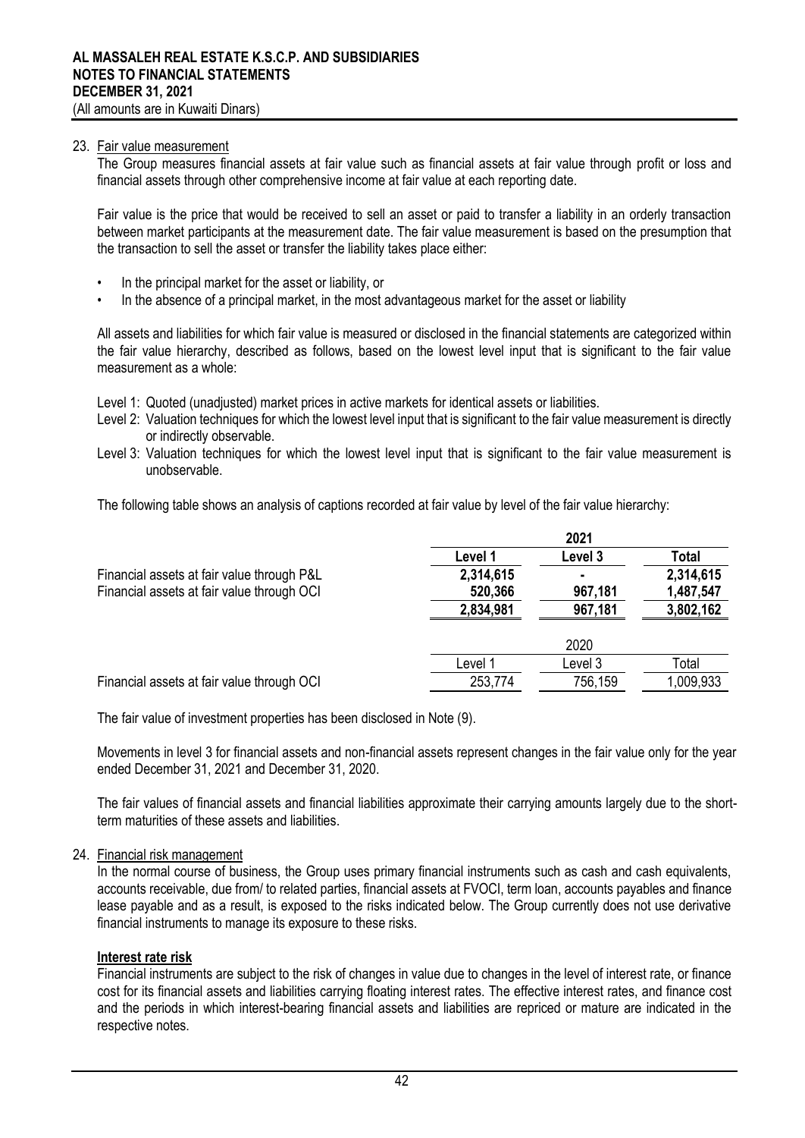# 23. Fair value measurement

The Group measures financial assets at fair value such as financial assets at fair value through profit or loss and financial assets through other comprehensive income at fair value at each reporting date.

Fair value is the price that would be received to sell an asset or paid to transfer a liability in an orderly transaction between market participants at the measurement date. The fair value measurement is based on the presumption that the transaction to sell the asset or transfer the liability takes place either:

- In the principal market for the asset or liability, or
- In the absence of a principal market, in the most advantageous market for the asset or liability

All assets and liabilities for which fair value is measured or disclosed in the financial statements are categorized within the fair value hierarchy, described as follows, based on the lowest level input that is significant to the fair value measurement as a whole:

- Level 1: Quoted (unadjusted) market prices in active markets for identical assets or liabilities.
- Level 2: Valuation techniques for which the lowest level input that is significant to the fair value measurement is directly or indirectly observable.
- Level 3: Valuation techniques for which the lowest level input that is significant to the fair value measurement is unobservable.

The following table shows an analysis of captions recorded at fair value by level of the fair value hierarchy:

|                                            |           | 2021    |           |
|--------------------------------------------|-----------|---------|-----------|
|                                            | Level 1   | Level 3 | Total     |
| Financial assets at fair value through P&L | 2,314,615 |         | 2,314,615 |
| Financial assets at fair value through OCI | 520,366   | 967,181 | 1,487,547 |
|                                            | 2,834,981 | 967,181 | 3,802,162 |
|                                            |           | 2020    |           |
|                                            | Level 1   | Level 3 | Total     |
| Financial assets at fair value through OCI | 253,774   | 756,159 | 1,009,933 |

The fair value of investment properties has been disclosed in Note (9).

Movements in level 3 for financial assets and non-financial assets represent changes in the fair value only for the year ended December 31, 2021 and December 31, 2020.

The fair values of financial assets and financial liabilities approximate their carrying amounts largely due to the shortterm maturities of these assets and liabilities.

## 24. Financial risk management

In the normal course of business, the Group uses primary financial instruments such as cash and cash equivalents, accounts receivable, due from/ to related parties, financial assets at FVOCI, term loan, accounts payables and finance lease payable and as a result, is exposed to the risks indicated below. The Group currently does not use derivative financial instruments to manage its exposure to these risks.

#### **Interest rate risk**

Financial instruments are subject to the risk of changes in value due to changes in the level of interest rate, or finance cost for its financial assets and liabilities carrying floating interest rates. The effective interest rates, and finance cost and the periods in which interest-bearing financial assets and liabilities are repriced or mature are indicated in the respective notes.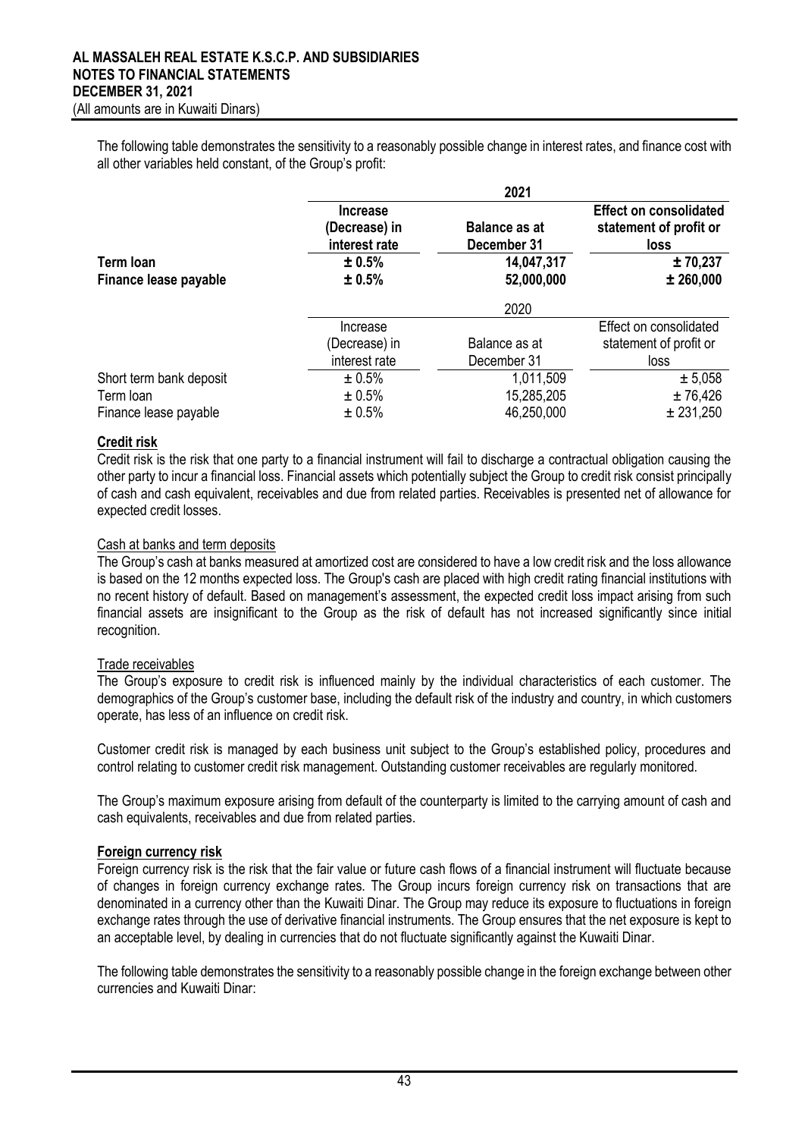## **AL MASSALEH REAL ESTATE K.S.C.P. AND SUBSIDIARIES NOTES TO FINANCIAL STATEMENTS DECEMBER 31, 2021**

(All amounts are in Kuwaiti Dinars)

The following table demonstrates the sensitivity to a reasonably possible change in interest rates, and finance cost with all other variables held constant, of the Group's profit:

|                         |                                                   | 2021                                |                                                                        |
|-------------------------|---------------------------------------------------|-------------------------------------|------------------------------------------------------------------------|
|                         | <b>Increase</b><br>(Decrease) in<br>interest rate | <b>Balance as at</b><br>December 31 | <b>Effect on consolidated</b><br>statement of profit or<br><b>loss</b> |
| Term Ioan               | ± 0.5%                                            | 14,047,317                          | ±70,237                                                                |
| Finance lease payable   | ± 0.5%                                            | 52,000,000                          | ± 260,000                                                              |
|                         |                                                   | 2020                                |                                                                        |
|                         | Increase                                          |                                     | Effect on consolidated                                                 |
|                         | (Decrease) in                                     | Balance as at                       | statement of profit or                                                 |
|                         | interest rate                                     | December 31                         | loss                                                                   |
| Short term bank deposit | ± 0.5%                                            | 1,011,509                           | ± 5,058                                                                |
| Term loan               | ± 0.5%                                            | 15,285,205                          | ± 76,426                                                               |
| Finance lease payable   | ± 0.5%                                            | 46,250,000                          | ± 231,250                                                              |

## **Credit risk**

Credit risk is the risk that one party to a financial instrument will fail to discharge a contractual obligation causing the other party to incur a financial loss. Financial assets which potentially subject the Group to credit risk consist principally of cash and cash equivalent, receivables and due from related parties. Receivables is presented net of allowance for expected credit losses.

## Cash at banks and term deposits

The Group's cash at banks measured at amortized cost are considered to have a low credit risk and the loss allowance is based on the 12 months expected loss. The Group's cash are placed with high credit rating financial institutions with no recent history of default. Based on management's assessment, the expected credit loss impact arising from such financial assets are insignificant to the Group as the risk of default has not increased significantly since initial recognition.

## Trade receivables

The Group's exposure to credit risk is influenced mainly by the individual characteristics of each customer. The demographics of the Group's customer base, including the default risk of the industry and country, in which customers operate, has less of an influence on credit risk.

Customer credit risk is managed by each business unit subject to the Group's established policy, procedures and control relating to customer credit risk management. Outstanding customer receivables are regularly monitored.

The Group's maximum exposure arising from default of the counterparty is limited to the carrying amount of cash and cash equivalents, receivables and due from related parties.

#### **Foreign currency risk**

Foreign currency risk is the risk that the fair value or future cash flows of a financial instrument will fluctuate because of changes in foreign currency exchange rates. The Group incurs foreign currency risk on transactions that are denominated in a currency other than the Kuwaiti Dinar. The Group may reduce its exposure to fluctuations in foreign exchange rates through the use of derivative financial instruments. The Group ensures that the net exposure is kept to an acceptable level, by dealing in currencies that do not fluctuate significantly against the Kuwaiti Dinar.

The following table demonstrates the sensitivity to a reasonably possible change in the foreign exchange between other currencies and Kuwaiti Dinar: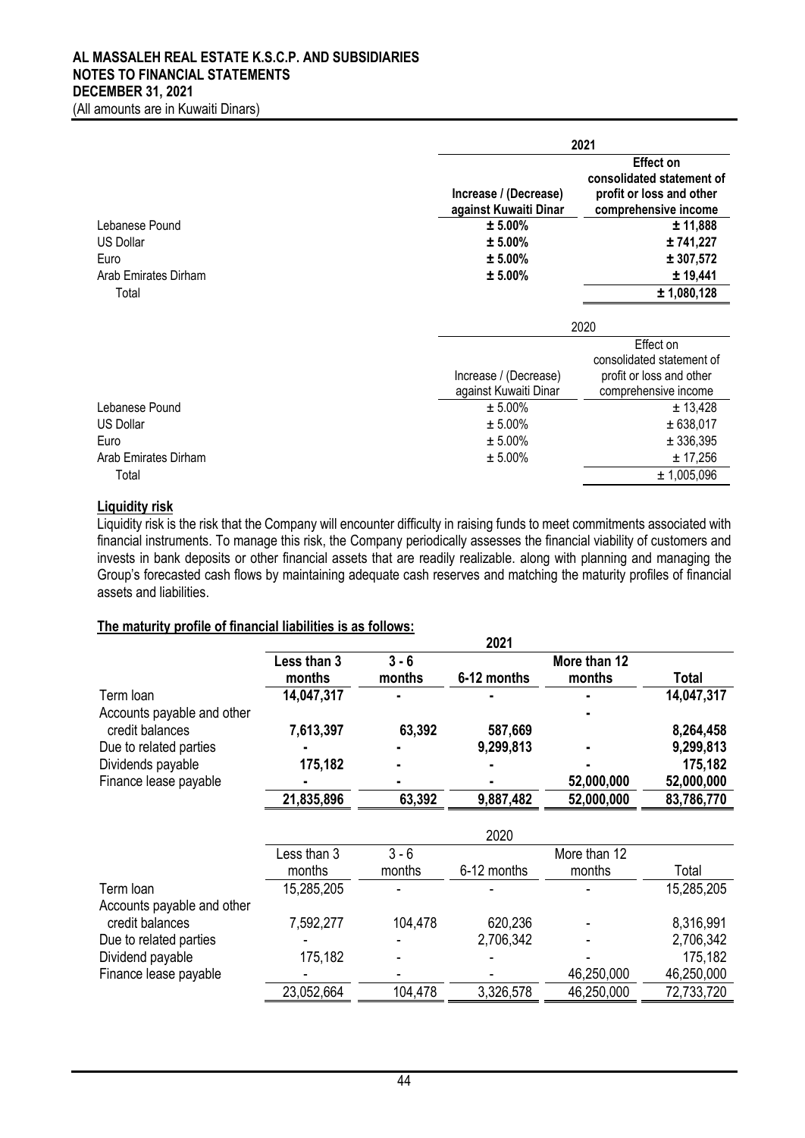# **AL MASSALEH REAL ESTATE K.S.C.P. AND SUBSIDIARIES NOTES TO FINANCIAL STATEMENTS DECEMBER 31, 2021**

(All amounts are in Kuwaiti Dinars)

|                      |                                                | 2021                                                                                              |  |
|----------------------|------------------------------------------------|---------------------------------------------------------------------------------------------------|--|
|                      | Increase / (Decrease)<br>against Kuwaiti Dinar | <b>Effect on</b><br>consolidated statement of<br>profit or loss and other<br>comprehensive income |  |
| Lebanese Pound       | $± 5.00\%$                                     | ± 11,888                                                                                          |  |
| <b>US Dollar</b>     | $± 5.00\%$                                     | ± 741,227                                                                                         |  |
| Euro                 | ± 5.00%                                        | ± 307,572                                                                                         |  |
| Arab Emirates Dirham | ± 5.00%                                        | ± 19,441                                                                                          |  |
| Total                |                                                | ± 1,080,128                                                                                       |  |
|                      |                                                | 2020                                                                                              |  |
|                      |                                                | Effect on<br>consolidated statement of                                                            |  |
|                      | Increase / (Decrease)                          | profit or loss and other                                                                          |  |
|                      | against Kuwaiti Dinar                          | comprehensive income                                                                              |  |
| Lebanese Pound       | ± 5.00%                                        | ± 13,428                                                                                          |  |
| <b>US Dollar</b>     | ± 5.00%                                        | ± 638,017                                                                                         |  |
| Euro                 | $± 5.00\%$                                     | ± 336,395                                                                                         |  |
| Arab Emirates Dirham | ± 5.00%                                        | ± 17,256                                                                                          |  |
| Total                |                                                | ± 1,005,096                                                                                       |  |

## **Liquidity risk**

Liquidity risk is the risk that the Company will encounter difficulty in raising funds to meet commitments associated with financial instruments. To manage this risk, the Company periodically assesses the financial viability of customers and invests in bank deposits or other financial assets that are readily realizable. along with planning and managing the Group's forecasted cash flows by maintaining adequate cash reserves and matching the maturity profiles of financial assets and liabilities.

## **The maturity profile of financial liabilities is as follows:**

|                            |                       |                   | 2021        |                        |            |
|----------------------------|-----------------------|-------------------|-------------|------------------------|------------|
|                            | Less than 3<br>months | $3 - 6$<br>months | 6-12 months | More than 12<br>months | Total      |
| Term Ioan                  | 14,047,317            |                   |             |                        | 14,047,317 |
| Accounts payable and other |                       |                   |             |                        |            |
| credit balances            | 7,613,397             | 63,392            | 587,669     |                        | 8,264,458  |
| Due to related parties     |                       |                   | 9,299,813   |                        | 9,299,813  |
| Dividends payable          | 175,182               |                   |             |                        | 175,182    |
| Finance lease payable      |                       |                   |             | 52,000,000             | 52,000,000 |
|                            | 21,835,896            | 63,392            | 9,887,482   | 52,000,000             | 83,786,770 |
|                            |                       |                   |             |                        |            |
|                            |                       |                   | 2020        |                        |            |
|                            | Less than 3           | $3 - 6$           |             | More than 12           |            |
|                            | months                | months            | 6-12 months | months                 | Total      |
| Term loan                  | 15,285,205            |                   |             |                        | 15,285,205 |
| Accounts payable and other |                       |                   |             |                        |            |
| credit balances            | 7,592,277             | 104,478           | 620,236     |                        | 8,316,991  |
| Due to related parties     |                       |                   | 2,706,342   |                        | 2,706,342  |
| Dividend payable           | 175,182               |                   |             |                        | 175,182    |
| Finance lease payable      |                       |                   |             | 46,250,000             | 46,250,000 |
|                            | 23,052,664            | 104,478           | 3,326,578   | 46,250,000             | 72,733,720 |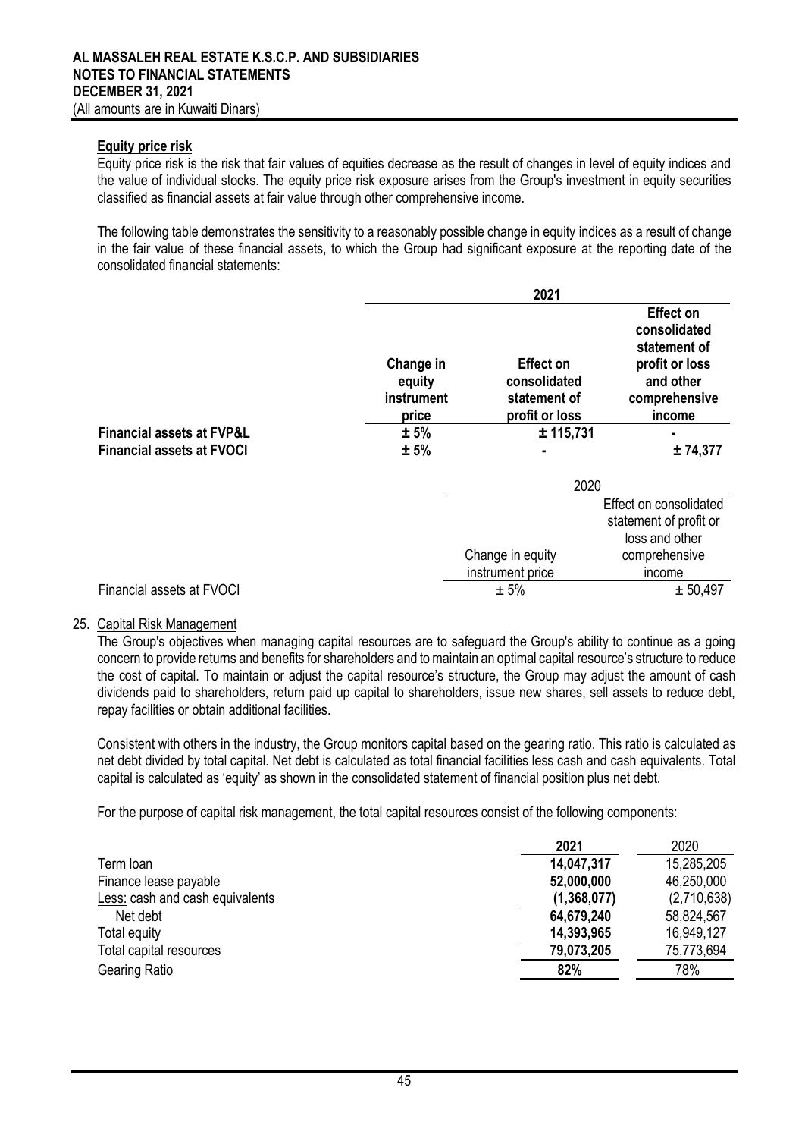## **Equity price risk**

Equity price risk is the risk that fair values of equities decrease as the result of changes in level of equity indices and the value of individual stocks. The equity price risk exposure arises from the Group's investment in equity securities classified as financial assets at fair value through other comprehensive income.

The following table demonstrates the sensitivity to a reasonably possible change in equity indices as a result of change in the fair value of these financial assets, to which the Group had significant exposure at the reporting date of the consolidated financial statements:

|                                      |                                            | 2021                                                               |                                                                                                            |
|--------------------------------------|--------------------------------------------|--------------------------------------------------------------------|------------------------------------------------------------------------------------------------------------|
|                                      | Change in<br>equity<br>instrument<br>price | <b>Effect on</b><br>consolidated<br>statement of<br>profit or loss | <b>Effect on</b><br>consolidated<br>statement of<br>profit or loss<br>and other<br>comprehensive<br>income |
| <b>Financial assets at FVP&amp;L</b> | ± 5%                                       | ± 115,731                                                          |                                                                                                            |
| <b>Financial assets at FVOCI</b>     | ± 5%                                       |                                                                    | ±74,377                                                                                                    |
|                                      |                                            | 2020                                                               |                                                                                                            |
|                                      |                                            |                                                                    | Effect on consolidated<br>statement of profit or<br>loss and other                                         |
|                                      |                                            | Change in equity                                                   | comprehensive                                                                                              |
|                                      |                                            | instrument price                                                   | income                                                                                                     |
| Financial assets at FVOCI            |                                            | ± 5%                                                               | ± 50,497                                                                                                   |

## 25. Capital Risk Management

The Group's objectives when managing capital resources are to safeguard the Group's ability to continue as a going concern to provide returns and benefits for shareholders and to maintain an optimal capital resource's structure to reduce the cost of capital. To maintain or adjust the capital resource's structure, the Group may adjust the amount of cash dividends paid to shareholders, return paid up capital to shareholders, issue new shares, sell assets to reduce debt, repay facilities or obtain additional facilities.

Consistent with others in the industry, the Group monitors capital based on the gearing ratio. This ratio is calculated as net debt divided by total capital. Net debt is calculated as total financial facilities less cash and cash equivalents. Total capital is calculated as 'equity' as shown in the consolidated statement of financial position plus net debt.

For the purpose of capital risk management, the total capital resources consist of the following components:

|                                 | 2021        | 2020        |
|---------------------------------|-------------|-------------|
| Term loan                       | 14,047,317  | 15,285,205  |
| Finance lease payable           | 52,000,000  | 46,250,000  |
| Less: cash and cash equivalents | (1,368,077) | (2,710,638) |
| Net debt                        | 64,679,240  | 58,824,567  |
| Total equity                    | 14,393,965  | 16,949,127  |
| Total capital resources         | 79,073,205  | 75,773,694  |
| Gearing Ratio                   | 82%         | 78%         |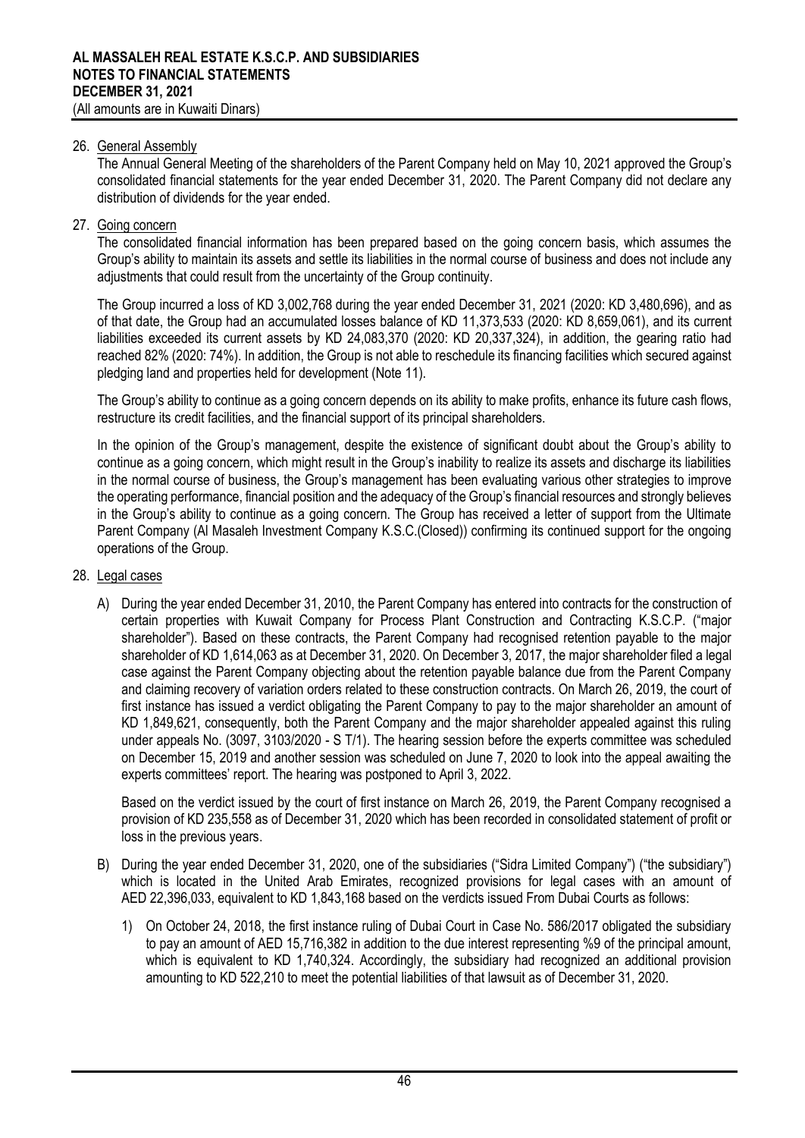## 26. General Assembly

The Annual General Meeting of the shareholders of the Parent Company held on May 10, 2021 approved the Group's consolidated financial statements for the year ended December 31, 2020. The Parent Company did not declare any distribution of dividends for the year ended.

## 27. Going concern

The consolidated financial information has been prepared based on the going concern basis, which assumes the Group's ability to maintain its assets and settle its liabilities in the normal course of business and does not include any adjustments that could result from the uncertainty of the Group continuity.

The Group incurred a loss of KD 3,002,768 during the year ended December 31, 2021 (2020: KD 3,480,696), and as of that date, the Group had an accumulated losses balance of KD 11,373,533 (2020: KD 8,659,061), and its current liabilities exceeded its current assets by KD 24,083,370 (2020: KD 20,337,324), in addition, the gearing ratio had reached 82% (2020: 74%). In addition, the Group is not able to reschedule its financing facilities which secured against pledging land and properties held for development (Note 11).

The Group's ability to continue as a going concern depends on its ability to make profits, enhance its future cash flows, restructure its credit facilities, and the financial support of its principal shareholders.

In the opinion of the Group's management, despite the existence of significant doubt about the Group's ability to continue as a going concern, which might result in the Group's inability to realize its assets and discharge its liabilities in the normal course of business, the Group's management has been evaluating various other strategies to improve the operating performance, financial position and the adequacy of the Group's financial resources and strongly believes in the Group's ability to continue as a going concern. The Group has received a letter of support from the Ultimate Parent Company (Al Masaleh Investment Company K.S.C.(Closed)) confirming its continued support for the ongoing operations of the Group.

## 28. Legal cases

A) During the year ended December 31, 2010, the Parent Company has entered into contracts for the construction of certain properties with Kuwait Company for Process Plant Construction and Contracting K.S.C.P. ("major shareholder"). Based on these contracts, the Parent Company had recognised retention payable to the major shareholder of KD 1,614,063 as at December 31, 2020. On December 3, 2017, the major shareholder filed a legal case against the Parent Company objecting about the retention payable balance due from the Parent Company and claiming recovery of variation orders related to these construction contracts. On March 26, 2019, the court of first instance has issued a verdict obligating the Parent Company to pay to the major shareholder an amount of KD 1,849,621, consequently, both the Parent Company and the major shareholder appealed against this ruling under appeals No. (3097, 3103/2020 - S T/1). The hearing session before the experts committee was scheduled on December 15, 2019 and another session was scheduled on June 7, 2020 to look into the appeal awaiting the experts committees' report. The hearing was postponed to April 3, 2022.

Based on the verdict issued by the court of first instance on March 26, 2019, the Parent Company recognised a provision of KD 235,558 as of December 31, 2020 which has been recorded in consolidated statement of profit or loss in the previous years.

- B) During the year ended December 31, 2020, one of the subsidiaries ("Sidra Limited Company") ("the subsidiary") which is located in the United Arab Emirates, recognized provisions for legal cases with an amount of AED 22,396,033, equivalent to KD 1,843,168 based on the verdicts issued From Dubai Courts as follows:
	- 1) On October 24, 2018, the first instance ruling of Dubai Court in Case No. 586/2017 obligated the subsidiary to pay an amount of AED 15,716,382 in addition to the due interest representing %9 of the principal amount, which is equivalent to KD 1,740,324. Accordingly, the subsidiary had recognized an additional provision amounting to KD 522,210 to meet the potential liabilities of that lawsuit as of December 31, 2020.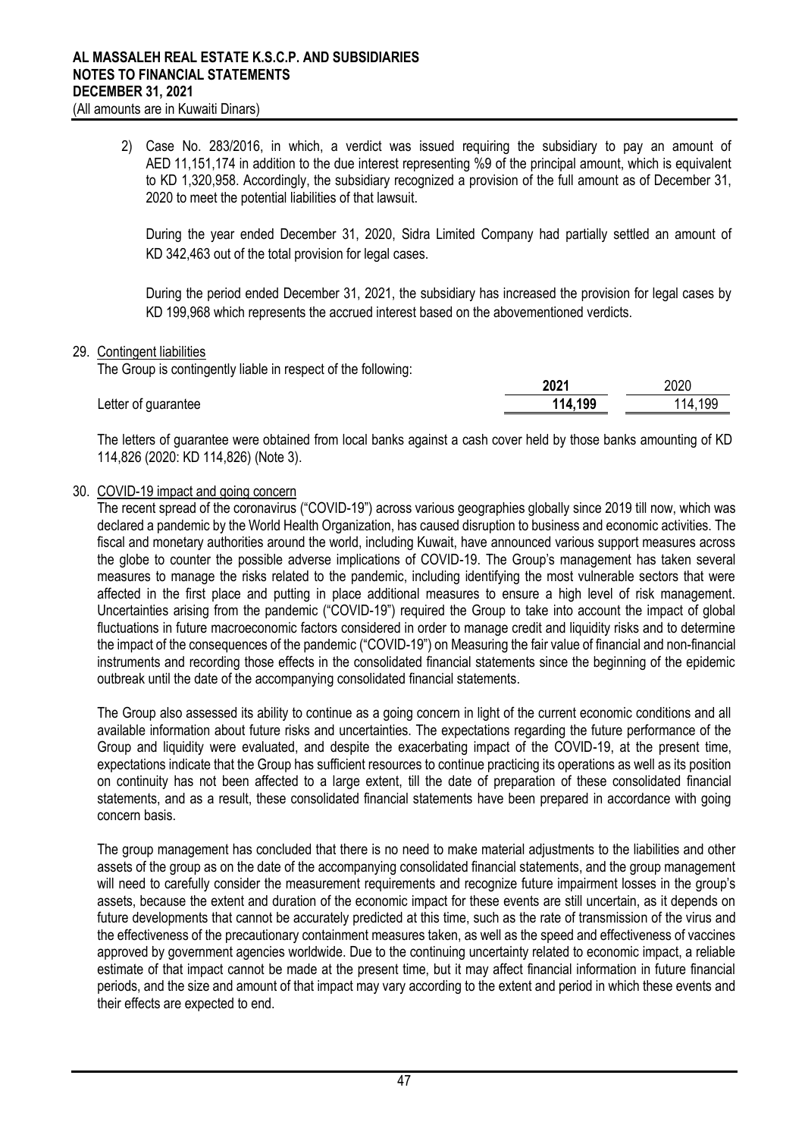2) Case No. 283/2016, in which, a verdict was issued requiring the subsidiary to pay an amount of AED 11,151,174 in addition to the due interest representing %9 of the principal amount, which is equivalent to KD 1,320,958. Accordingly, the subsidiary recognized a provision of the full amount as of December 31, 2020 to meet the potential liabilities of that lawsuit.

During the year ended December 31, 2020, Sidra Limited Company had partially settled an amount of KD 342,463 out of the total provision for legal cases.

During the period ended December 31, 2021, the subsidiary has increased the provision for legal cases by KD 199,968 which represents the accrued interest based on the abovementioned verdicts.

## 29. Contingent liabilities

The Group is contingently liable in respect of the following:

|                     | 2021    | 2020          |
|---------------------|---------|---------------|
| Letter of guarantee | 114,199 | 1.199<br>114. |
|                     |         |               |

The letters of guarantee were obtained from local banks against a cash cover held by those banks amounting of KD 114,826 (2020: KD 114,826) (Note 3).

## 30. COVID-19 impact and going concern

The recent spread of the coronavirus ("COVID-19") across various geographies globally since 2019 till now, which was declared a pandemic by the World Health Organization, has caused disruption to business and economic activities. The fiscal and monetary authorities around the world, including Kuwait, have announced various support measures across the globe to counter the possible adverse implications of COVID-19. The Group's management has taken several measures to manage the risks related to the pandemic, including identifying the most vulnerable sectors that were affected in the first place and putting in place additional measures to ensure a high level of risk management. Uncertainties arising from the pandemic ("COVID-19") required the Group to take into account the impact of global fluctuations in future macroeconomic factors considered in order to manage credit and liquidity risks and to determine the impact of the consequences of the pandemic ("COVID-19") on Measuring the fair value of financial and non-financial instruments and recording those effects in the consolidated financial statements since the beginning of the epidemic outbreak until the date of the accompanying consolidated financial statements.

The Group also assessed its ability to continue as a going concern in light of the current economic conditions and all available information about future risks and uncertainties. The expectations regarding the future performance of the Group and liquidity were evaluated, and despite the exacerbating impact of the COVID-19, at the present time, expectations indicate that the Group has sufficient resources to continue practicing its operations as well as its position on continuity has not been affected to a large extent, till the date of preparation of these consolidated financial statements, and as a result, these consolidated financial statements have been prepared in accordance with going concern basis.

The group management has concluded that there is no need to make material adjustments to the liabilities and other assets of the group as on the date of the accompanying consolidated financial statements, and the group management will need to carefully consider the measurement requirements and recognize future impairment losses in the group's assets, because the extent and duration of the economic impact for these events are still uncertain, as it depends on future developments that cannot be accurately predicted at this time, such as the rate of transmission of the virus and the effectiveness of the precautionary containment measures taken, as well as the speed and effectiveness of vaccines approved by government agencies worldwide. Due to the continuing uncertainty related to economic impact, a reliable estimate of that impact cannot be made at the present time, but it may affect financial information in future financial periods, and the size and amount of that impact may vary according to the extent and period in which these events and their effects are expected to end.